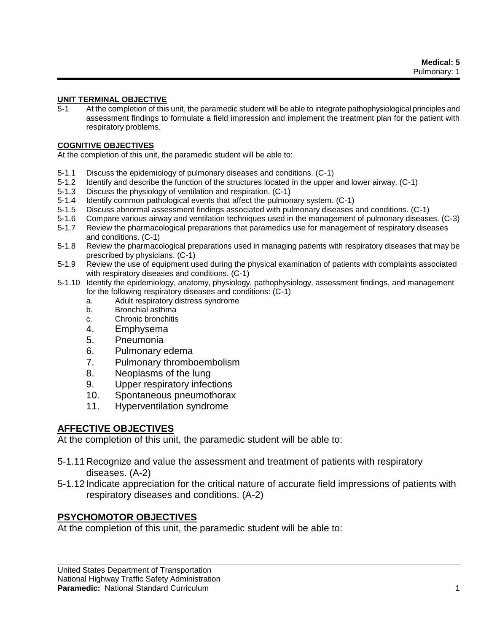#### **UNIT TERMINAL OBJECTIVE**

5-1 At the completion of this unit, the paramedic student will be able to integrate pathophysiological principles and assessment findings to formulate a field impression and implement the treatment plan for the patient with respiratory problems.

#### **COGNITIVE OBJECTIVES**

At the completion of this unit, the paramedic student will be able to:

- 5-1.1 Discuss the epidemiology of pulmonary diseases and conditions. (C-1)
- 5-1.2 Identify and describe the function of the structures located in the upper and lower airway. (C-1)
- 5-1.3 Discuss the physiology of ventilation and respiration. (C-1)
- 5-1.4 Identify common pathological events that affect the pulmonary system. (C-1)
- 5-1.5 Discuss abnormal assessment findings associated with pulmonary diseases and conditions. (C-1)
- 5-1.6 Compare various airway and ventilation techniques used in the management of pulmonary diseases. (C-3)
- 5-1.7 Review the pharmacological preparations that paramedics use for management of respiratory diseases and conditions. (C-1)
- 5-1.8 Review the pharmacological preparations used in managing patients with respiratory diseases that may be prescribed by physicians. (C-1)
- 5-1.9 Review the use of equipment used during the physical examination of patients with complaints associated with respiratory diseases and conditions. (C-1)
- 5-1.10 Identify the epidemiology, anatomy, physiology, pathophysiology, assessment findings, and management for the following respiratory diseases and conditions: (C-1)
	- a. Adult respiratory distress syndrome
	- b. Bronchial asthma
	- c. Chronic bronchitis
	- 4. Emphysema
	- 5. Pneumonia
	- 6. Pulmonary edema
	- 7. Pulmonary thromboembolism
	- 8. Neoplasms of the lung
	- 9. Upper respiratory infections
	- 10. Spontaneous pneumothorax
	- 11. Hyperventilation syndrome

# **AFFECTIVE OBJECTIVES**

At the completion of this unit, the paramedic student will be able to:

- 5-1.11 Recognize and value the assessment and treatment of patients with respiratory diseases. (A-2)
- 5-1.12 Indicate appreciation for the critical nature of accurate field impressions of patients with respiratory diseases and conditions. (A-2)

# **PSYCHOMOTOR OBJECTIVES**

At the completion of this unit, the paramedic student will be able to: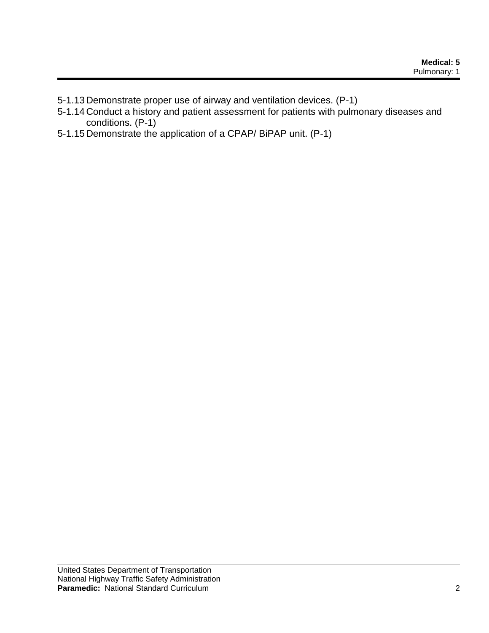- 5-1.13 Demonstrate proper use of airway and ventilation devices. (P-1)
- 5-1.14 Conduct a history and patient assessment for patients with pulmonary diseases and conditions. (P-1)
- 5-1.15 Demonstrate the application of a CPAP/ BiPAP unit. (P-1)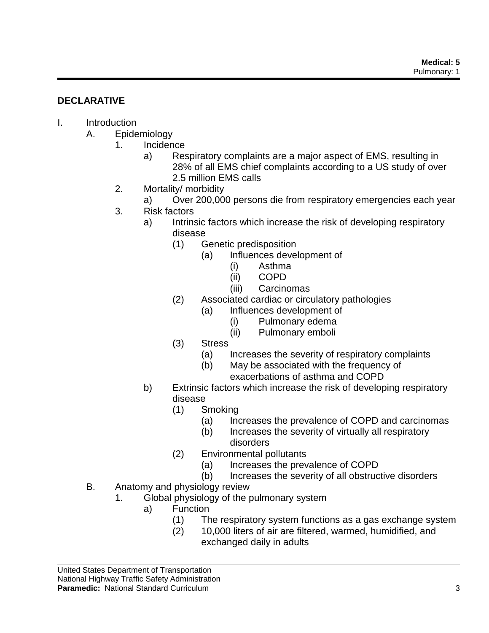# **DECLARATIVE**

# I. Introduction

- A. Epidemiology
	- 1. Incidence
		- a) Respiratory complaints are a major aspect of EMS, resulting in 28% of all EMS chief complaints according to a US study of over 2.5 million EMS calls
	- 2. Mortality/ morbidity
		- a) Over 200,000 persons die from respiratory emergencies each year
	- 3. Risk factors
		- a) Intrinsic factors which increase the risk of developing respiratory disease
			- (1) Genetic predisposition
				- (a) Influences development of
					- (i) Asthma
					- (ii) COPD
					- (iii) Carcinomas
			- (2) Associated cardiac or circulatory pathologies
				- (a) Influences development of
					- (i) Pulmonary edema
					- (ii) Pulmonary emboli
			- (3) Stress
				- (a) Increases the severity of respiratory complaints
				- (b) May be associated with the frequency of
				- exacerbations of asthma and COPD
		- b) Extrinsic factors which increase the risk of developing respiratory disease
			- (1) Smoking
				- (a) Increases the prevalence of COPD and carcinomas
				- (b) Increases the severity of virtually all respiratory disorders
			- (2) Environmental pollutants
				- (a) Increases the prevalence of COPD
				- (b) Increases the severity of all obstructive disorders
- B. Anatomy and physiology review
	- 1. Global physiology of the pulmonary system
		- a) Function
			- (1) The respiratory system functions as a gas exchange system
			- (2) 10,000 liters of air are filtered, warmed, humidified, and exchanged daily in adults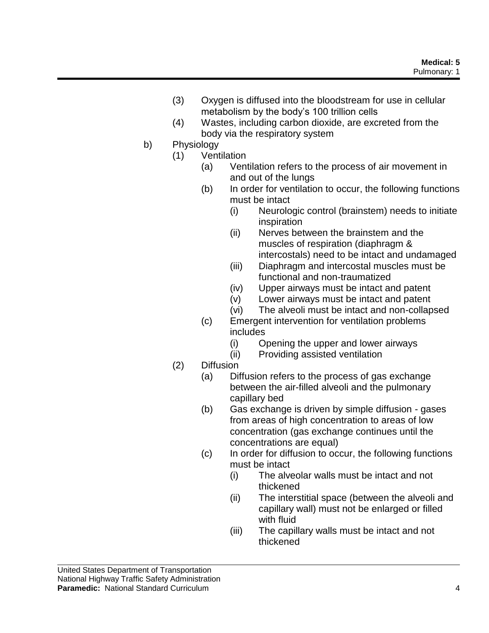- (3) Oxygen is diffused into the bloodstream for use in cellular metabolism by the body's 100 trillion cells
- (4) Wastes, including carbon dioxide, are excreted from the body via the respiratory system
- b) Physiology
	- (1) Ventilation
		- (a) Ventilation refers to the process of air movement in and out of the lungs
		- (b) In order for ventilation to occur, the following functions must be intact
			- (i) Neurologic control (brainstem) needs to initiate inspiration
			- (ii) Nerves between the brainstem and the muscles of respiration (diaphragm & intercostals) need to be intact and undamaged
			- (iii) Diaphragm and intercostal muscles must be functional and non-traumatized
			- (iv) Upper airways must be intact and patent
			- (v) Lower airways must be intact and patent
			- (vi) The alveoli must be intact and non-collapsed
		- (c) Emergent intervention for ventilation problems includes
			- (i) Opening the upper and lower airways
			- (ii) Providing assisted ventilation
	- (2) Diffusion
		- (a) Diffusion refers to the process of gas exchange between the air-filled alveoli and the pulmonary capillary bed
		- (b) Gas exchange is driven by simple diffusion gases from areas of high concentration to areas of low concentration (gas exchange continues until the concentrations are equal)
		- (c) In order for diffusion to occur, the following functions must be intact
			- (i) The alveolar walls must be intact and not thickened
			- (ii) The interstitial space (between the alveoli and capillary wall) must not be enlarged or filled with fluid
			- (iii) The capillary walls must be intact and not thickened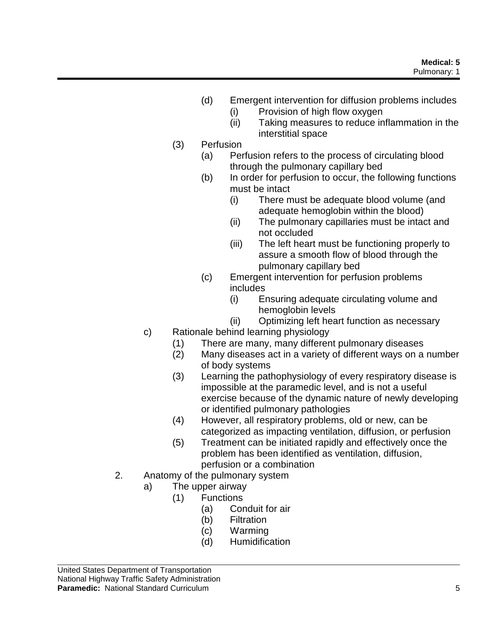- (d) Emergent intervention for diffusion problems includes
	- (i) Provision of high flow oxygen
	- (ii) Taking measures to reduce inflammation in the interstitial space
- (3) Perfusion
	- (a) Perfusion refers to the process of circulating blood through the pulmonary capillary bed
	- (b) In order for perfusion to occur, the following functions must be intact
		- (i) There must be adequate blood volume (and adequate hemoglobin within the blood)
		- (ii) The pulmonary capillaries must be intact and not occluded
		- (iii) The left heart must be functioning properly to assure a smooth flow of blood through the pulmonary capillary bed
	- (c) Emergent intervention for perfusion problems includes
		- (i) Ensuring adequate circulating volume and hemoglobin levels
		- (ii) Optimizing left heart function as necessary
- c) Rationale behind learning physiology
	- (1) There are many, many different pulmonary diseases
	- (2) Many diseases act in a variety of different ways on a number of body systems
	- (3) Learning the pathophysiology of every respiratory disease is impossible at the paramedic level, and is not a useful exercise because of the dynamic nature of newly developing or identified pulmonary pathologies
	- (4) However, all respiratory problems, old or new, can be categorized as impacting ventilation, diffusion, or perfusion
	- (5) Treatment can be initiated rapidly and effectively once the problem has been identified as ventilation, diffusion, perfusion or a combination
- 2. Anatomy of the pulmonary system
	- a) The upper airway
		- (1) Functions
			- (a) Conduit for air
			- (b) Filtration
			- (c) Warming
			- (d) Humidification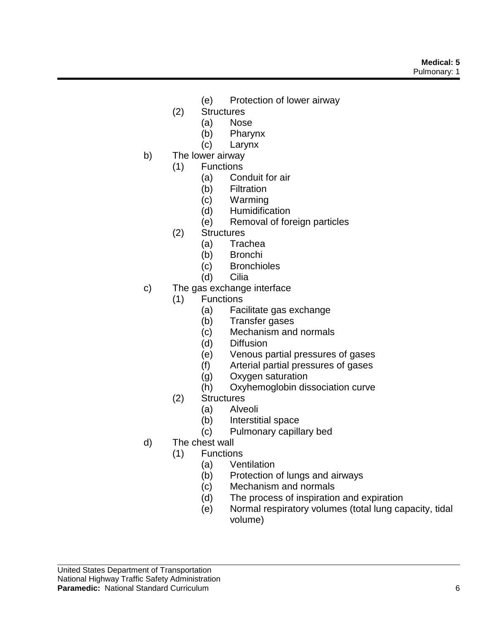- (e) Protection of lower airway
- (2) Structures
	- (a) Nose
	- (b) Pharynx
	- (c) Larynx
- b) The lower airway
	- (1) Functions
		- (a) Conduit for air
		- (b) Filtration
		- (c) Warming
		- (d) Humidification
		- (e) Removal of foreign particles
	- (2) Structures
		- (a) Trachea
		- (b) Bronchi
		- (c) Bronchioles
		- (d) Cilia
- c) The gas exchange interface
	- (1) Functions
		- (a) Facilitate gas exchange
		- (b) Transfer gases
		- (c) Mechanism and normals
		- (d) Diffusion
		- (e) Venous partial pressures of gases
		- (f) Arterial partial pressures of gases
		- (g) Oxygen saturation
		- (h) Oxyhemoglobin dissociation curve
	- (2) Structures
		- (a) Alveoli
		- (b) Interstitial space
		- (c) Pulmonary capillary bed
- d) The chest wall
	- (1) Functions
		- (a) Ventilation
		- (b) Protection of lungs and airways
		- (c) Mechanism and normals
		- (d) The process of inspiration and expiration
		- (e) Normal respiratory volumes (total lung capacity, tidal volume)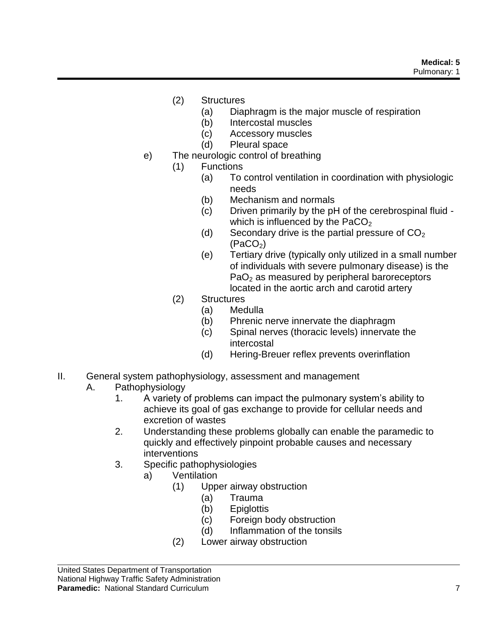- (2) Structures
	- (a) Diaphragm is the major muscle of respiration
	- (b) Intercostal muscles
	- (c) Accessory muscles
	- (d) Pleural space
- e) The neurologic control of breathing
	- (1) Functions
		- (a) To control ventilation in coordination with physiologic needs
		- (b) Mechanism and normals
		- (c) Driven primarily by the pH of the cerebrospinal fluid which is influenced by the  $PaCO<sub>2</sub>$
		- (d) Secondary drive is the partial pressure of  $CO<sub>2</sub>$  $(PaCO<sub>2</sub>)$
		- (e) Tertiary drive (typically only utilized in a small number of individuals with severe pulmonary disease) is the  $PaO<sub>2</sub>$  as measured by peripheral baroreceptors located in the aortic arch and carotid artery
	- (2) Structures
		- (a) Medulla
		- (b) Phrenic nerve innervate the diaphragm
		- (c) Spinal nerves (thoracic levels) innervate the intercostal
		- (d) Hering-Breuer reflex prevents overinflation
- II. General system pathophysiology, assessment and management
	- A. Pathophysiology
		- 1. A variety of problems can impact the pulmonary system's ability to achieve its goal of gas exchange to provide for cellular needs and excretion of wastes
		- 2. Understanding these problems globally can enable the paramedic to quickly and effectively pinpoint probable causes and necessary interventions
		- 3. Specific pathophysiologies
			- a) Ventilation
				- (1) Upper airway obstruction
					- (a) Trauma
						- (b) Epiglottis
						- (c) Foreign body obstruction
					- (d) Inflammation of the tonsils
				- (2) Lower airway obstruction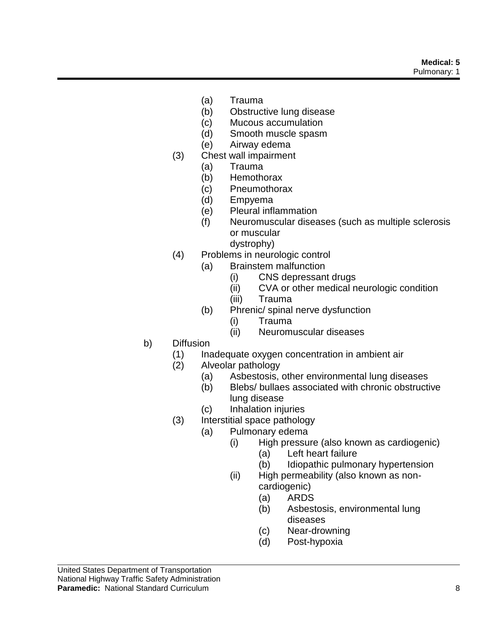- (a) Trauma
- (b) Obstructive lung disease
- (c) Mucous accumulation
- (d) Smooth muscle spasm
- (e) Airway edema
- (3) Chest wall impairment
	- (a) Trauma
	- (b) Hemothorax
	- (c) Pneumothorax
	- (d) Empyema
	- (e) Pleural inflammation
	- (f) Neuromuscular diseases (such as multiple sclerosis or muscular dystrophy)
- (4) Problems in neurologic control
	- (a) Brainstem malfunction
		- (i) CNS depressant drugs
		- (ii) CVA or other medical neurologic condition
		- (iii) Trauma
	- (b) Phrenic/ spinal nerve dysfunction
		- (i) Trauma
		- (ii) Neuromuscular diseases
- b) Diffusion
	- (1) Inadequate oxygen concentration in ambient air
	- (2) Alveolar pathology
		- (a) Asbestosis, other environmental lung diseases
		- (b) Blebs/ bullaes associated with chronic obstructive lung disease
		- (c) Inhalation injuries
	- (3) Interstitial space pathology
		- (a) Pulmonary edema
			- (i) High pressure (also known as cardiogenic)
				- (a) Left heart failure
				- (b) Idiopathic pulmonary hypertension
			- (ii) High permeability (also known as noncardiogenic)
				- (a) ARDS
				- (b) Asbestosis, environmental lung diseases
				- (c) Near-drowning
				- (d) Post-hypoxia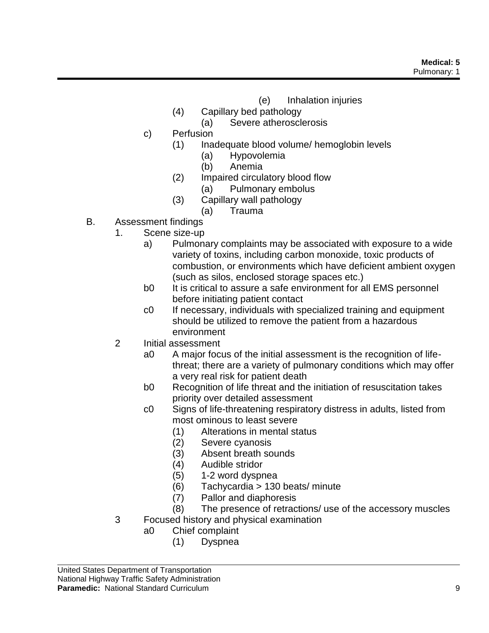- (e) Inhalation injuries
- (4) Capillary bed pathology
	- (a) Severe atherosclerosis
- c) Perfusion
	- (1) Inadequate blood volume/ hemoglobin levels
		- (a) Hypovolemia
		- (b) Anemia
	- (2) Impaired circulatory blood flow
		- (a) Pulmonary embolus
	- (3) Capillary wall pathology
		- (a) Trauma
- B. Assessment findings
	- 1. Scene size-up
		- a) Pulmonary complaints may be associated with exposure to a wide variety of toxins, including carbon monoxide, toxic products of combustion, or environments which have deficient ambient oxygen (such as silos, enclosed storage spaces etc.)
		- b0 It is critical to assure a safe environment for all EMS personnel before initiating patient contact
		- c0 If necessary, individuals with specialized training and equipment should be utilized to remove the patient from a hazardous environment
	- 2 Initial assessment
		- a0 A major focus of the initial assessment is the recognition of lifethreat; there are a variety of pulmonary conditions which may offer a very real risk for patient death
		- b0 Recognition of life threat and the initiation of resuscitation takes priority over detailed assessment
		- c0 Signs of life-threatening respiratory distress in adults, listed from most ominous to least severe
			- (1) Alterations in mental status
			- (2) Severe cyanosis
			- (3) Absent breath sounds
			- (4) Audible stridor
			- (5) 1-2 word dyspnea
			- (6) Tachycardia > 130 beats/ minute
			- (7) Pallor and diaphoresis
			- (8) The presence of retractions/ use of the accessory muscles
	- 3 Focused history and physical examination
		- a0 Chief complaint
			- (1) Dyspnea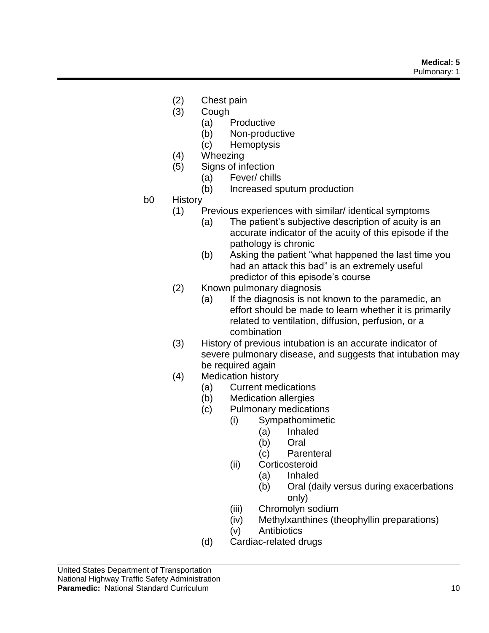- (2) Chest pain
- (3) Cough
	- (a) Productive
	- (b) Non-productive
	- (c) Hemoptysis
- (4) Wheezing
- (5) Signs of infection
	- (a) Fever/ chills
	- (b) Increased sputum production
- b0 History
	- (1) Previous experiences with similar/ identical symptoms
		- (a) The patient's subjective description of acuity is an accurate indicator of the acuity of this episode if the pathology is chronic
		- (b) Asking the patient "what happened the last time you had an attack this bad" is an extremely useful predictor of this episode's course
	- (2) Known pulmonary diagnosis
		- (a) If the diagnosis is not known to the paramedic, an effort should be made to learn whether it is primarily related to ventilation, diffusion, perfusion, or a combination
	- (3) History of previous intubation is an accurate indicator of severe pulmonary disease, and suggests that intubation may be required again
	- (4) Medication history
		- (a) Current medications
		- (b) Medication allergies
		- (c) Pulmonary medications
			- (i) Sympathomimetic
				- (a) Inhaled
				- (b) Oral
				- (c) Parenteral
			- (ii) Corticosteroid
				- (a) Inhaled
				- (b) Oral (daily versus during exacerbations only)
			- (iii) Chromolyn sodium
			- (iv) Methylxanthines (theophyllin preparations)
			- (v) Antibiotics
		- (d) Cardiac-related drugs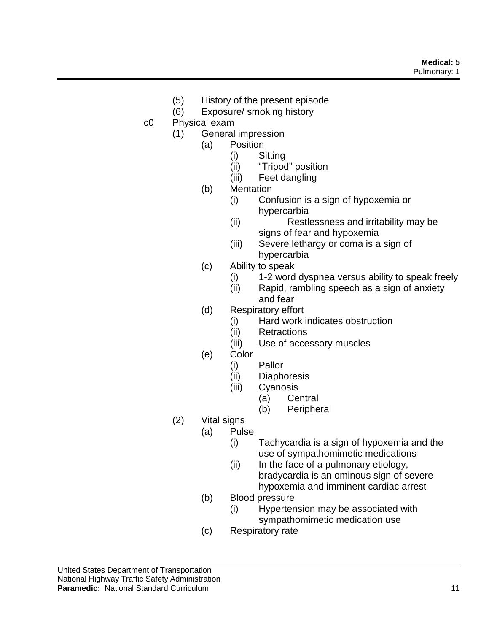- (5) History of the present episode
- (6) Exposure/ smoking history
- c0 Physical exam
	- (1) General impression
		- (a) Position
			- (i) Sitting
			- (ii) "Tripod" position
			- (iii) Feet dangling
		- (b) Mentation
			- (i) Confusion is a sign of hypoxemia or hypercarbia
			- (ii) Restlessness and irritability may be signs of fear and hypoxemia
			- (iii) Severe lethargy or coma is a sign of hypercarbia
		- (c) Ability to speak
			- (i) 1-2 word dyspnea versus ability to speak freely
			- (ii) Rapid, rambling speech as a sign of anxiety and fear
		- (d) Respiratory effort
			- (i) Hard work indicates obstruction
			- (ii) Retractions
			- (iii) Use of accessory muscles
		- (e) Color
			- (i) Pallor
			- (ii) Diaphoresis
			- (iii) Cyanosis
				- (a) Central
				- (b) Peripheral
	- (2) Vital signs
		- (a) Pulse
			- (i) Tachycardia is a sign of hypoxemia and the use of sympathomimetic medications
			- (ii) In the face of a pulmonary etiology, bradycardia is an ominous sign of severe hypoxemia and imminent cardiac arrest
			- (b) Blood pressure
				- (i) Hypertension may be associated with sympathomimetic medication use
			- (c) Respiratory rate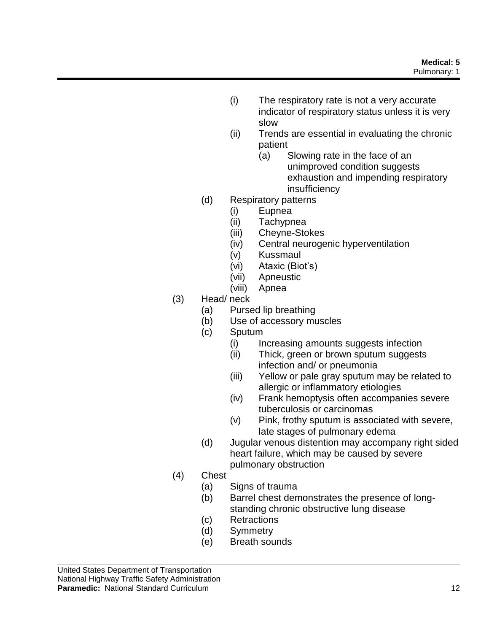- (i) The respiratory rate is not a very accurate indicator of respiratory status unless it is very slow
- (ii) Trends are essential in evaluating the chronic patient
	- (a) Slowing rate in the face of an unimproved condition suggests exhaustion and impending respiratory insufficiency
- (d) Respiratory patterns
	- (i) Eupnea
	- (ii) Tachypnea
	- (iii) Cheyne-Stokes
	- (iv) Central neurogenic hyperventilation
	- (v) Kussmaul
	- (vi) Ataxic (Biot's)
	- (vii) Apneustic
	- (viii) Apnea
- (3) Head/ neck
	- (a) Pursed lip breathing
	- (b) Use of accessory muscles
	- (c) Sputum
		- (i) Increasing amounts suggests infection
		- (ii) Thick, green or brown sputum suggests infection and/ or pneumonia
		- (iii) Yellow or pale gray sputum may be related to allergic or inflammatory etiologies
		- (iv) Frank hemoptysis often accompanies severe tuberculosis or carcinomas
		- (v) Pink, frothy sputum is associated with severe, late stages of pulmonary edema
	- (d) Jugular venous distention may accompany right sided heart failure, which may be caused by severe pulmonary obstruction
- (4) Chest
	- (a) Signs of trauma
	- (b) Barrel chest demonstrates the presence of longstanding chronic obstructive lung disease
	- (c) Retractions
	- (d) Symmetry
	- (e) Breath sounds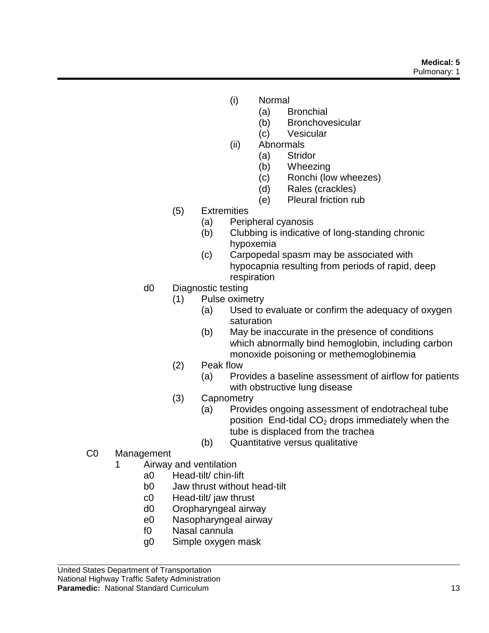- (i) Normal
	- (a) Bronchial
	- (b) Bronchovesicular
	- (c) Vesicular
- (ii) Abnormals
	- (a) Stridor
	- (b) Wheezing
	- (c) Ronchi (low wheezes)
	- (d) Rales (crackles)
	- (e) Pleural friction rub
- (5) Extremities
	- (a) Peripheral cyanosis
	- (b) Clubbing is indicative of long-standing chronic hypoxemia
	- (c) Carpopedal spasm may be associated with hypocapnia resulting from periods of rapid, deep respiration
- d0 Diagnostic testing
	- (1) Pulse oximetry
		- (a) Used to evaluate or confirm the adequacy of oxygen saturation
		- (b) May be inaccurate in the presence of conditions which abnormally bind hemoglobin, including carbon monoxide poisoning or methemoglobinemia
	- (2) Peak flow
		- (a) Provides a baseline assessment of airflow for patients with obstructive lung disease
	- (3) Capnometry
		- (a) Provides ongoing assessment of endotracheal tube position End-tidal  $CO<sub>2</sub>$  drops immediately when the tube is displaced from the trachea
		- (b) Quantitative versus qualitative
- C0 Management
	- 1 Airway and ventilation
		- a0 Head-tilt/ chin-lift
		- b0 Jaw thrust without head-tilt
		- c0 Head-tilt/ jaw thrust
		- d0 Oropharyngeal airway
		- e0 Nasopharyngeal airway
		- f0 Nasal cannula
		- g0 Simple oxygen mask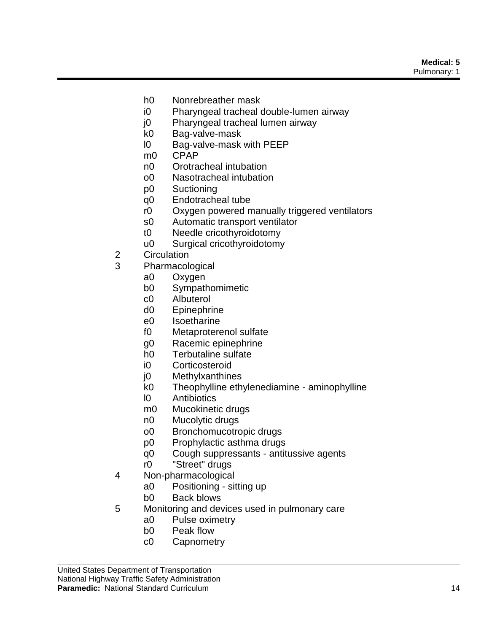- h0 Nonrebreather mask
- i0 Pharyngeal tracheal double-lumen airway
- j0 Pharyngeal tracheal lumen airway
- k0 Bag-valve-mask
- l0 Bag-valve-mask with PEEP
- m0 CPAP
- n0 Orotracheal intubation
- o0 Nasotracheal intubation
- p0 Suctioning
- q0 Endotracheal tube
- r0 Oxygen powered manually triggered ventilators
- s0 Automatic transport ventilator
- t0 Needle cricothyroidotomy
- u0 Surgical cricothyroidotomy
- 2 Circulation
- 3 Pharmacological
	- a0 Oxygen
	- b0 Sympathomimetic
	- c0 Albuterol
	- d0 Epinephrine
	- e0 Isoetharine
	- f0 Metaproterenol sulfate
	- g0 Racemic epinephrine
	- h0 Terbutaline sulfate
	- i0 Corticosteroid
	- j0 Methylxanthines
	- k0 Theophylline ethylenediamine aminophylline
	- l0 Antibiotics
	- m0 Mucokinetic drugs
	- n0 Mucolytic drugs
	- o0 Bronchomucotropic drugs
	- p0 Prophylactic asthma drugs
	- q0 Cough suppressants antitussive agents
	- r0 "Street" drugs
- 4 Non-pharmacological
	- a0 Positioning sitting up
	- b0 Back blows
- 5 Monitoring and devices used in pulmonary care
	- a0 Pulse oximetry
	- b0 Peak flow
	- c0 Capnometry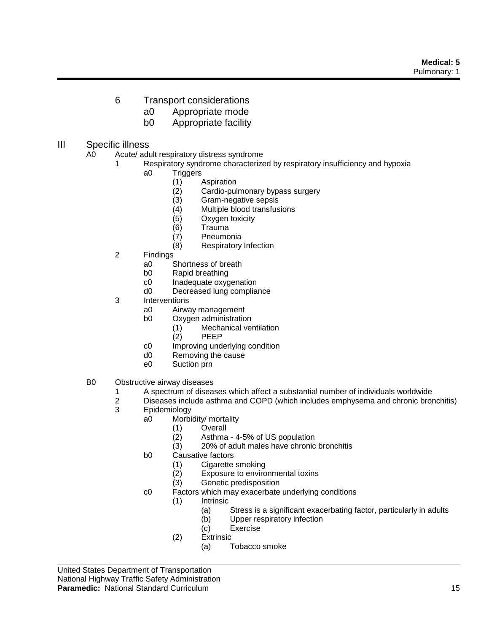- 6 Transport considerations
	- a0 Appropriate mode
	- b0 Appropriate facility
- III Specific illness
	- A0 Acute/ adult respiratory distress syndrome
		- 1 Respiratory syndrome characterized by respiratory insufficiency and hypoxia
			- a0 Triggers
				- (1) Aspiration
				- (2) Cardio-pulmonary bypass surgery
				- (3) Gram-negative sepsis
				- (4) Multiple blood transfusions
				- (5) Oxygen toxicity
				- (6) Trauma
				- (7) Pneumonia
				- (8) Respiratory Infection
		- 2 Findings
			- a0 Shortness of breath
			- b0 Rapid breathing<br>c0 Inadequate oxyo
			- Inadequate oxygenation
			- d0 Decreased lung compliance
		- 3 Interventions
			- a0 Airway management
			- b0 Oxygen administration
				- (1) Mechanical ventilation
					- (2) PEEP
			- c0 Improving underlying condition
			- d0 Removing the cause
			- e0 Suction prn
	- B0 Obstructive airway diseases
		- 1 A spectrum of diseases which affect a substantial number of individuals worldwide<br>2 Diseases include asthma and COPD (which includes emphysema and chronic bror
		- 2 Diseases include asthma and COPD (which includes emphysema and chronic bronchitis)
		- 3 Epidemiology
			- a0 Morbidity/ mortality
				- (1) Overall
				- (2) Asthma 4-5% of US population
				- (3) 20% of adult males have chronic bronchitis
				- b0 Causative factors
					- (1) Cigarette smoking
					- (2) Exposure to environmental toxins
					- (3) Genetic predisposition
				- c0 Factors which may exacerbate underlying conditions
					- (1) Intrinsic
						- (a) Stress is a significant exacerbating factor, particularly in adults
						- (b) Upper respiratory infection
						- (c) Exercise
					- (2) Extrinsic
						- (a) Tobacco smoke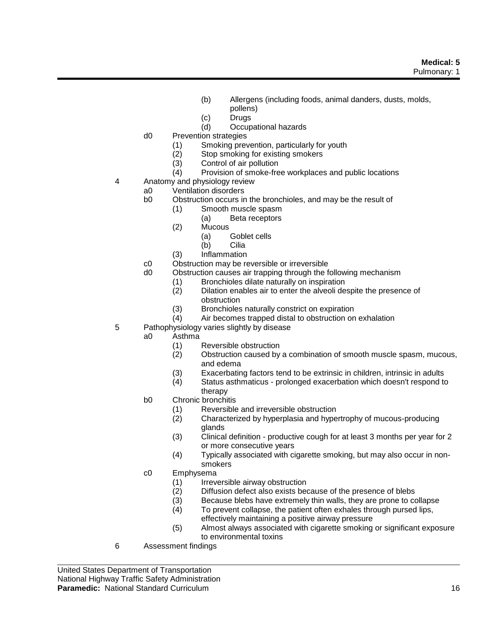- (b) Allergens (including foods, animal danders, dusts, molds,
	- pollens)
- (c) Drugs
- (d) Occupational hazards
- d0 Prevention strategies
	- (1) Smoking prevention, particularly for youth
	- (2) Stop smoking for existing smokers<br>(3) Control of air pollution
	- (3) Control of air pollution<br>(4) Provision of smoke-fre
	- Provision of smoke-free workplaces and public locations
- 4 Anatomy and physiology review
	- a0 Ventilation disorders
	- b0 Obstruction occurs in the bronchioles, and may be the result of
		- (1) Smooth muscle spasm
			- (a) Beta receptors
		- (2) Mucous
			- (a) Goblet cells
			- (b) Cilia
		- (3) Inflammation
	- c0 Obstruction may be reversible or irreversible
	- d0 Obstruction causes air trapping through the following mechanism
		- (1) Bronchioles dilate naturally on inspiration
			- (2) Dilation enables air to enter the alveoli despite the presence of obstruction
			- (3) Bronchioles naturally constrict on expiration
			- (4) Air becomes trapped distal to obstruction on exhalation
- 5 Pathophysiology varies slightly by disease
	- a0 Asthma
		- (1) Reversible obstruction
		- (2) Obstruction caused by a combination of smooth muscle spasm, mucous, and edema
		- (3) Exacerbating factors tend to be extrinsic in children, intrinsic in adults
		- (4) Status asthmaticus prolonged exacerbation which doesn't respond to therapy
	- b0 Chronic bronchitis
		- (1) Reversible and irreversible obstruction
		- (2) Characterized by hyperplasia and hypertrophy of mucous-producing glands
		- (3) Clinical definition productive cough for at least 3 months per year for 2 or more consecutive years
		- (4) Typically associated with cigarette smoking, but may also occur in nonsmokers
	- c0 Emphysema
		- (1) Irreversible airway obstruction
		- (2) Diffusion defect also exists because of the presence of blebs
		- (3) Because blebs have extremely thin walls, they are prone to collapse
		- (4) To prevent collapse, the patient often exhales through pursed lips, effectively maintaining a positive airway pressure
		- (5) Almost always associated with cigarette smoking or significant exposure to environmental toxins
- 6 Assessment findings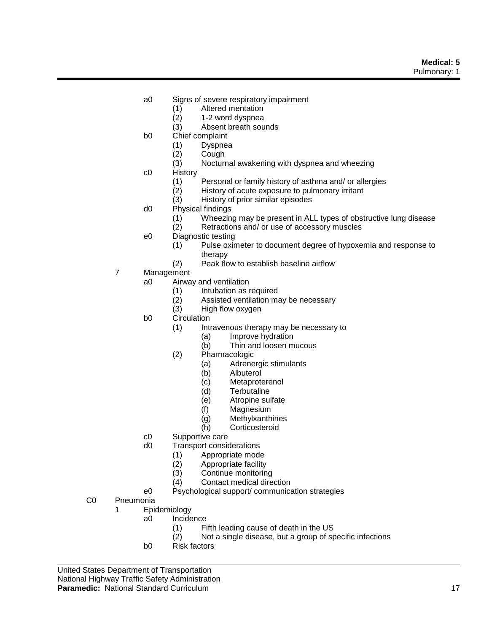- a0 Signs of severe respiratory impairment
	- (1) Altered mentation
	- 1-2 word dyspnea
	- (3) Absent breath sounds
- b0 Chief complaint
	- (1) Dyspnea
	- (2) Cough
	- Nocturnal awakening with dyspnea and wheezing
- c0 History
	- (1) Personal or family history of asthma and/ or allergies
	- (2) History of acute exposure to pulmonary irritant
	- (3) History of prior similar episodes
- d0 Physical findings
	- (1) Wheezing may be present in ALL types of obstructive lung disease
	- (2) Retractions and/ or use of accessory muscles
- e0 Diagnostic testing
	- (1) Pulse oximeter to document degree of hypoxemia and response to therapy
	- (2) Peak flow to establish baseline airflow
- 7 Management
	- a0 Airway and ventilation
		- (1) Intubation as required
		- (2) Assisted ventilation may be necessary<br>(3) High flow oxygen
		- High flow oxygen
	- b0 Circulation
		- (1) Intravenous therapy may be necessary to
			- (a) Improve hydration
				- (b) Thin and loosen mucous
		- (2) Pharmacologic
			- (a) Adrenergic stimulants
			- (b) Albuterol
			- (c) Metaproterenol
			- (d) Terbutaline
			- (e) Atropine sulfate
			- (f) Magnesium
			- (g) Methylxanthines
			- (h) Corticosteroid
	- c0 Supportive care
	- d0 Transport considerations
		- (1) Appropriate mode
			- (2) Appropriate facility
			- (3) Continue monitoring
			- (4) Contact medical direction
	- e0 Psychological support/ communication strategies
- C0 Pneumonia
	- 1 Epidemiology
		- a0 Incidence
			- (1) Fifth leading cause of death in the US
			- (2) Not a single disease, but a group of specific infections
		- b0 Risk factors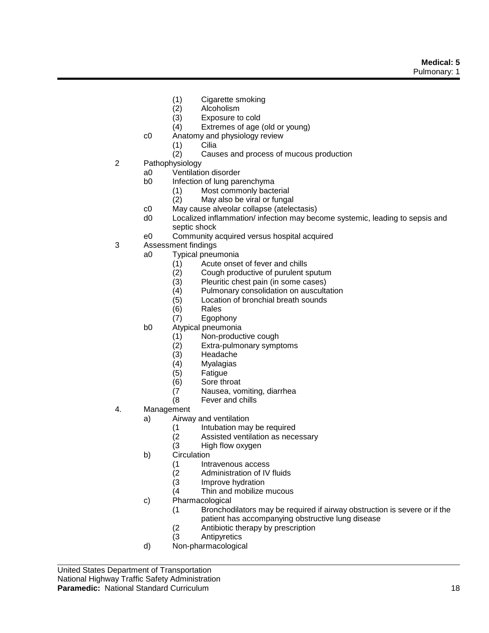- (1) Cigarette smoking
- (2) Alcoholism
- (3) Exposure to cold
- (4) Extremes of age (old or young)
- c0 Anatomy and physiology review
	- (1) Cilia
	- (2) Causes and process of mucous production
- 2 Pathophysiology
	- a0 Ventilation disorder
	- b0 Infection of lung parenchyma
		- (1) Most commonly bacterial
		- (2) May also be viral or fungal
	- c0 May cause alveolar collapse (atelectasis)
	- d0 Localized inflammation/ infection may become systemic, leading to sepsis and septic shock
	- e0 Community acquired versus hospital acquired
- 3 Assessment findings
	- a0 Typical pneumonia
		- (1) Acute onset of fever and chills
		- (2) Cough productive of purulent sputum
		- (3) Pleuritic chest pain (in some cases)
		- (4) Pulmonary consolidation on auscultation
		- (5) Location of bronchial breath sounds
		- (6) Rales
		- (7) Egophony
	- b0 Atypical pneumonia
		- (1) Non-productive cough
		- (2) Extra-pulmonary symptoms
		- (3) Headache
		- (4) Myalagias
		- (5) Fatigue
		- (6) Sore throat
		- (7 Nausea, vomiting, diarrhea
		- Fever and chills
- 4. Management
	- a) Airway and ventilation
		- (1 Intubation may be required
		- (2 Assisted ventilation as necessary
		- (3 High flow oxygen
	- b) Circulation
		- (1 Intravenous access
		- (2 Administration of IV fluids
		- (3 Improve hydration
		- (4 Thin and mobilize mucous
	- c) Pharmacological
		- (1 Bronchodilators may be required if airway obstruction is severe or if the patient has accompanying obstructive lung disease
		- (2 Antibiotic therapy by prescription<br>(3 Antipyretics
		- **Antipyretics**
	- d) Non-pharmacological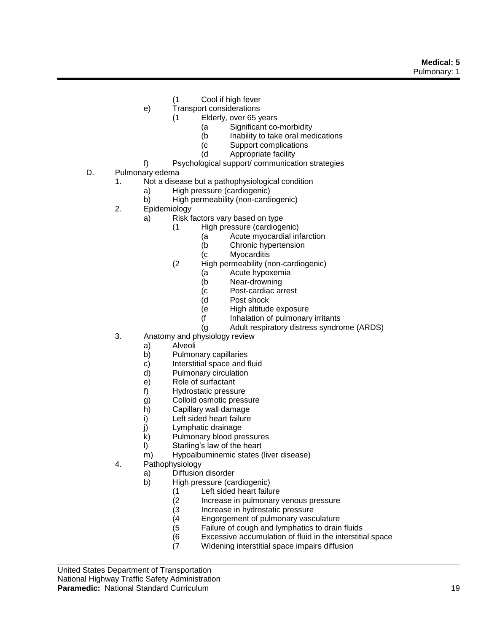- (1 Cool if high fever
- e) Transport considerations
	- (1 Elderly, over 65 years
		- (a Significant co-morbidity
		- (b Inability to take oral medications
		- (c Support complications
		- (d Appropriate facility
- f) Psychological support/ communication strategies
- D. Pulmonary edema
	- 1. Not a disease but a pathophysiological condition
		- a) High pressure (cardiogenic)
		- b) High permeability (non-cardiogenic)
	- 2. Epidemiology
		- a) Risk factors vary based on type
			- (1 High pressure (cardiogenic)
				- (a Acute myocardial infarction
				- (b Chronic hypertension
				- (c Myocarditis
			- (2 High permeability (non-cardiogenic)
				- (a Acute hypoxemia
				- (b Near-drowning
				- (c Post-cardiac arrest
				- (d Post shock
				- (e High altitude exposure
				- (f Inhalation of pulmonary irritants
				- (g Adult respiratory distress syndrome (ARDS)
	- 3. Anatomy and physiology review
		- a) Alveoli
		- b) Pulmonary capillaries
		- c) Interstitial space and fluid
		- d) Pulmonary circulation
		- e) Role of surfactant
		- f) Hydrostatic pressure
		- g) Colloid osmotic pressure
		- h) Capillary wall damage
		- i) Left sided heart failure
		- j) Lymphatic drainage
		- k) Pulmonary blood pressures
		- l) Starling's law of the heart
		- m) Hypoalbuminemic states (liver disease)
	- 4. Pathophysiology
		- a) Diffusion disorder
		- b) High pressure (cardiogenic)
			- (1 Left sided heart failure
				- (2 Increase in pulmonary venous pressure
				- (3 Increase in hydrostatic pressure
				- (4 Engorgement of pulmonary vasculature
				- (5 Failure of cough and lymphatics to drain fluids
				- (6 Excessive accumulation of fluid in the interstitial space<br>(7 Widening interstitial space impairs diffusion
				- Widening interstitial space impairs diffusion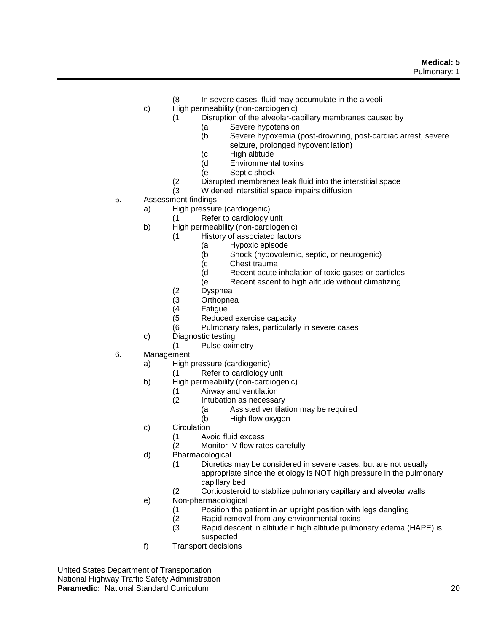(8 In severe cases, fluid may accumulate in the alveoli

- c) High permeability (non-cardiogenic)
	- (1 Disruption of the alveolar-capillary membranes caused by
		- (a Severe hypotension
		- (b Severe hypoxemia (post-drowning, post-cardiac arrest, severe seizure, prolonged hypoventilation)
		- (c High altitude
		- (d Environmental toxins
		- (e Septic shock
	- (2 Disrupted membranes leak fluid into the interstitial space
	- (3 Widened interstitial space impairs diffusion
- 5. Assessment findings
	- a) High pressure (cardiogenic)
		- (1 Refer to cardiology unit
	- b) High permeability (non-cardiogenic)
		- (1 History of associated factors
			- (a Hypoxic episode
			- (b Shock (hypovolemic, septic, or neurogenic)
			- (c Chest trauma
			- (d Recent acute inhalation of toxic gases or particles
			- (e Recent ascent to high altitude without climatizing
		- (2 Dyspnea<br>(3 Orthopne
		- (3 Orthopnea
		- (4 Fatigue
		- Reduced exercise capacity
		- (6 Pulmonary rales, particularly in severe cases
	- c) Diagnostic testing
		- (1 Pulse oximetry
- 6. Management
	- a) High pressure (cardiogenic)
		- (1 Refer to cardiology unit
	- b) High permeability (non-cardiogenic)
		-
		- (1 Airway and ventilation Intubation as necessary
			- (a Assisted ventilation may be required
			- (b High flow oxygen
	- c) Circulation
		- (1 Avoid fluid excess
		- (2 Monitor IV flow rates carefully
	- d) Pharmacological
		- (1 Diuretics may be considered in severe cases, but are not usually appropriate since the etiology is NOT high pressure in the pulmonary capillary bed
		- (2 Corticosteroid to stabilize pulmonary capillary and alveolar walls
	- e) Non-pharmacological
		- (1 Position the patient in an upright position with legs dangling
		- (2 Rapid removal from any environmental toxins
		- (3 Rapid descent in altitude if high altitude pulmonary edema (HAPE) is suspected
		- f) Transport decisions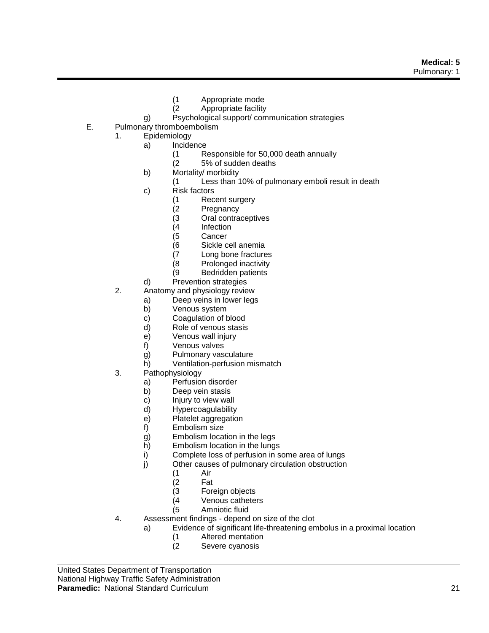- (1 Appropriate mode
- (2 Appropriate facility
- g) Psychological support/ communication strategies
- E. Pulmonary thromboembolism
	- 1. Epidemiology
		- a) Incidence
			- (1 Responsible for 50,000 death annually
			- 5% of sudden deaths
		- b) Mortality/ morbidity
			- (1 Less than 10% of pulmonary emboli result in death
		- c) Risk factors
			- (1 Recent surgery<br>(2 Pregnancy
			- Pregnancy
			- (3 Oral contraceptives
			- **Infection**
			- (5 Cancer
			- (6 Sickle cell anemia
			- (7 Long bone fractures
			- Prolonged inactivity
			- (9 Bedridden patients
		- d) Prevention strategies
	- 2. Anatomy and physiology review
		- a) Deep veins in lower legs
			- b) Venous system
			- c) Coagulation of blood
			- d) Role of venous stasis
			- e) Venous wall injury
			- f) Venous valves
			- g) Pulmonary vasculature
			- h) Ventilation-perfusion mismatch
	- 3. Pathophysiology
		- a) Perfusion disorder
		- b) Deep vein stasis
		- c) Injury to view wall
		- d) Hypercoagulability
		- e) Platelet aggregation
		- f) Embolism size
		- g) Embolism location in the legs
		- h) Embolism location in the lungs
		- i) Complete loss of perfusion in some area of lungs
		- j) Other causes of pulmonary circulation obstruction
			- (1 Air
			- Fat
			- (3 Foreign objects
			- (4 Venous catheters
			- (5 Amniotic fluid
	- 4. Assessment findings depend on size of the clot
		- a) Evidence of significant life-threatening embolus in a proximal location
			- (1 Altered mentation
			- Severe cyanosis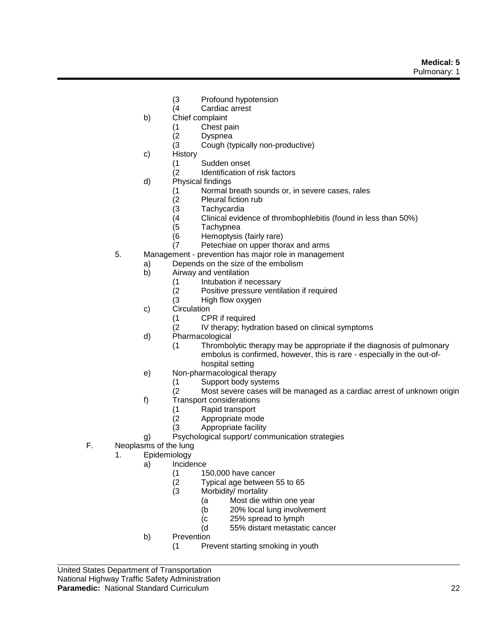- (3 Profound hypotension
- (4 Cardiac arrest
- b) Chief complaint
	- (1 Chest pain
	- (2 Dyspnea
	- (3 Cough (typically non-productive)
- c) History
	- (1 Sudden onset
	- Identification of risk factors
- d) Physical findings
	- (1 Normal breath sounds or, in severe cases, rales
	- (2 Pleural fiction rub<br>(3 Tachycardia
	- **Tachycardia**
	- (4 Clinical evidence of thrombophlebitis (found in less than 50%)
	- (5 Tachypnea
	- (6 Hemoptysis (fairly rare)
	- (7 Petechiae on upper thorax and arms
- 5. Management prevention has major role in management
	- a) Depends on the size of the embolism
	- b) Airway and ventilation
		- (1 Intubation if necessary
		- (2 Positive pressure ventilation if required
		- (3 High flow oxygen
	- c) Circulation
		- (1 CPR if required
		- (2 IV therapy; hydration based on clinical symptoms
	- d) Pharmacological
		- (1 Thrombolytic therapy may be appropriate if the diagnosis of pulmonary embolus is confirmed, however, this is rare - especially in the out-ofhospital setting
	- e) Non-pharmacological therapy
		- (1 Support body systems
		- Most severe cases will be managed as a cardiac arrest of unknown origin
	- f) Transport considerations
		- (1 Rapid transport
		- (2 Appropriate mode
		- (3 Appropriate facility
	- g) Psychological support/ communication strategies
- F. Neoplasms of the lung
	- 1. Epidemiology
		- a) Incidence
			- (1 150,000 have cancer
			- (2 Typical age between 55 to 65
			- (3 Morbidity/ mortality
				- (a Most die within one year
				- (b 20% local lung involvement
				-
				- (c 25% spread to lymph 55% distant metastatic cancer
		- b) Prevention
			- (1 Prevent starting smoking in youth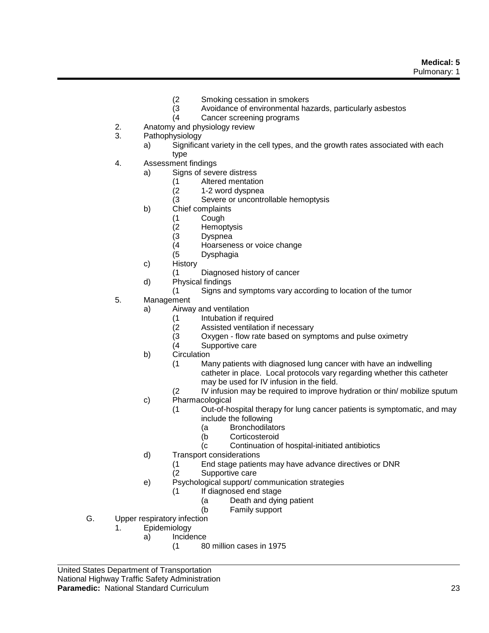- 
- (2 Smoking cessation in smokers (3 Avoidance of environmental hazards, particularly asbestos<br>(4 Cancer screening programs
- Cancer screening programs
- 2. Anatomy and physiology review
- 3. Pathophysiology
	- a) Significant variety in the cell types, and the growth rates associated with each type
- 4. Assessment findings
	- a) Signs of severe distress
		- (1 Altered mentation
		- (2 1-2 word dyspnea
		- (3 Severe or uncontrollable hemoptysis
	- b) Chief complaints
		- (1 Cough
			- **Hemoptysis**
			- (3 Dyspnea
			- (4 Hoarseness or voice change
			- (5 Dysphagia
	- c) History
		- (1 Diagnosed history of cancer
	- d) Physical findings
		- (1 Signs and symptoms vary according to location of the tumor
- 5. Management
	- a) Airway and ventilation
		- (1 Intubation if required
		- (2 Assisted ventilation if necessary
		- (3 Oxygen flow rate based on symptoms and pulse oximetry
		- (4 Supportive care
	- b) Circulation
		- (1 Many patients with diagnosed lung cancer with have an indwelling catheter in place. Local protocols vary regarding whether this catheter may be used for IV infusion in the field.
		- (2 IV infusion may be required to improve hydration or thin/ mobilize sputum
	- c) Pharmacological
		- (1 Out-of-hospital therapy for lung cancer patients is symptomatic, and may include the following
			- (a Bronchodilators
			- (b Corticosteroid
			- (c Continuation of hospital-initiated antibiotics
	- d) Transport considerations
		- (1 End stage patients may have advance directives or DNR
		- (2 Supportive care
	- e) Psychological support/ communication strategies
		- (1 If diagnosed end stage
			- (a Death and dying patient
			- (b Family support
- G. Upper respiratory infection
	- 1. Epidemiology
		- a) Incidence
			- (1 80 million cases in 1975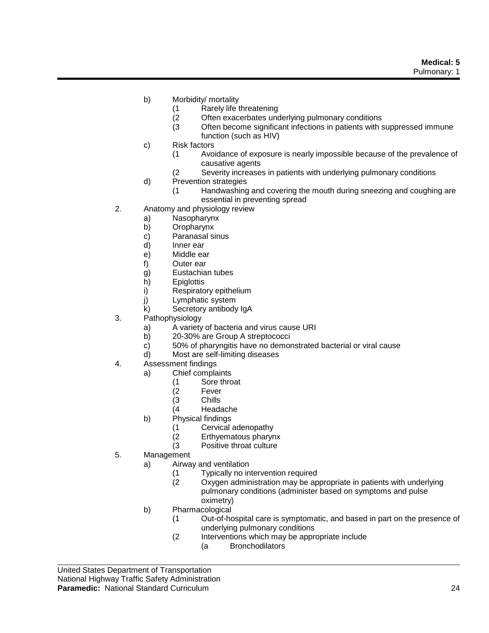- b) Morbidity/ mortality
	- (1 Rarely life threatening<br>(2 Often exacerbates und
	- Often exacerbates underlying pulmonary conditions
	- (3 Often become significant infections in patients with suppressed immune function (such as HIV)
- c) Risk factors
	- (1 Avoidance of exposure is nearly impossible because of the prevalence of causative agents
	- (2 Severity increases in patients with underlying pulmonary conditions
- d) Prevention strategies
	- (1 Handwashing and covering the mouth during sneezing and coughing are essential in preventing spread
- 2. Anatomy and physiology review
	- a) Nasopharynx
	- b) Oropharynx
	- c) Paranasal sinus
	- d) Inner ear
	- e) Middle ear
	- f) Outer ear
	- g) Eustachian tubes
	- h) Epiglottis
	- i) Respiratory epithelium
	- j) Lymphatic system
	- k) Secretory antibody IgA
- 3. Pathophysiology
	- a) A variety of bacteria and virus cause URI
	- b) 20-30% are Group A streptococci
	- c) 50% of pharyngitis have no demonstrated bacterial or viral cause
	- d) Most are self-limiting diseases
- 4. Assessment findings
	- a) Chief complaints
		- (1 Sore throat
		- (2 Fever
		- (3 Chills
		- (4 Headache
	- b) Physical findings
		- (1 Cervical adenopathy
		- (2 Erthyematous pharynx
		- (3 Positive throat culture
- 5. Management
	- a) Airway and ventilation
		- (1 Typically no intervention required
		- (2 Oxygen administration may be appropriate in patients with underlying pulmonary conditions (administer based on symptoms and pulse oximetry)
	- b) Pharmacological
		- (1 Out-of-hospital care is symptomatic, and based in part on the presence of underlying pulmonary conditions
		- (2 Interventions which may be appropriate include
			- (a Bronchodilators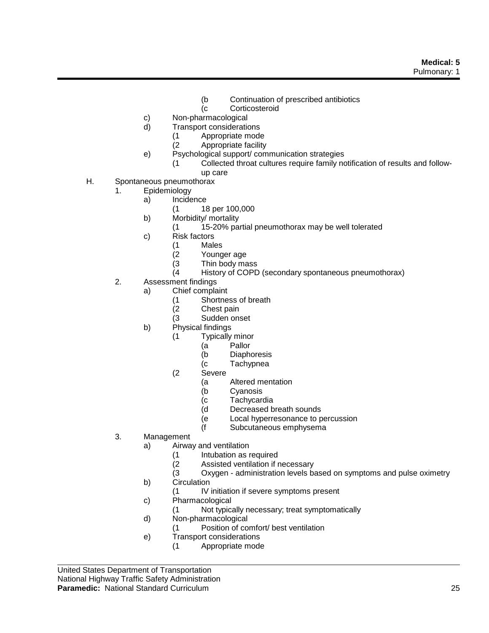- (b Continuation of prescribed antibiotics
- (c Corticosteroid
- c) Non-pharmacological
- d) Transport considerations
	- (1 Appropriate mode
	- (2 Appropriate facility
- e) Psychological support/ communication strategies
	- (1 Collected throat cultures require family notification of results and followup care
- H. Spontaneous pneumothorax
	- 1. Epidemiology
		- a) Incidence
			- (1 18 per 100,000
		- b) Morbidity/ mortality
			- (1 15-20% partial pneumothorax may be well tolerated
		- c) Risk factors
			- (1 Males
			- $(2 \t\t Volume(3 \t\t Think) 1)$  Thin body ma
			- (3 Thin body mass<br>(4 History of COPD
			- History of COPD (secondary spontaneous pneumothorax)
	- 2. Assessment findings
		- a) Chief complaint
			- (1 Shortness of breath
			- Chest pain
			- (3 Sudden onset
		- b) Physical findings
			- (1 Typically minor
				- (a Pallor
				- (b Diaphoresis
				- (c Tachypnea
			- (2 Severe
				- (a Altered mentation
				- (b Cyanosis
				- (c Tachycardia
				- (d Decreased breath sounds
				- (e Local hyperresonance to percussion
				- (f Subcutaneous emphysema
	- 3. Management
		- a) Airway and ventilation
			- (1 Intubation as required
			- (2 Assisted ventilation if necessary
			- (3 Oxygen administration levels based on symptoms and pulse oximetry
		- b) Circulation
			- (1 IV initiation if severe symptoms present
		- c) Pharmacological
			- (1 Not typically necessary; treat symptomatically
		- d) Non-pharmacological
			- (1 Position of comfort/ best ventilation
		- e) Transport considerations
			- (1 Appropriate mode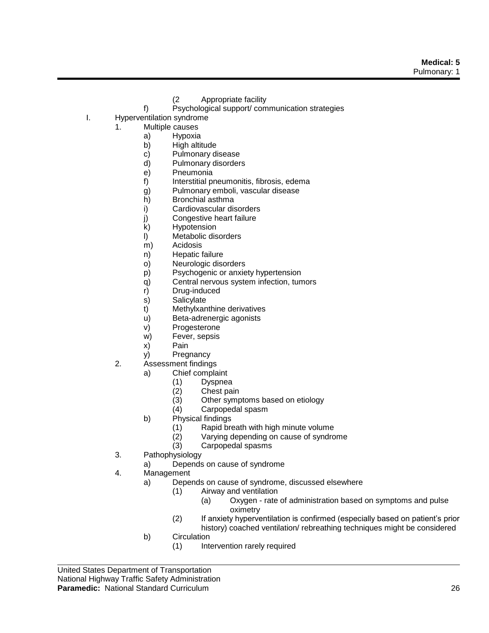- (2 Appropriate facility
- f) Psychological support/ communication strategies
- I. Hyperventilation syndrome
	- 1. Multiple causes
		- a) Hypoxia
		- b) High altitude
		- c) Pulmonary disease
		- d) Pulmonary disorders
		- e) Pneumonia
		- f) Interstitial pneumonitis, fibrosis, edema
		- g) Pulmonary emboli, vascular disease
		- h) Bronchial asthma
		- i) Cardiovascular disorders
		- j) Congestive heart failure
		- k) Hypotension
		- l) Metabolic disorders
		- m) Acidosis
		- n) Hepatic failure
		- o) Neurologic disorders
		- p) Psychogenic or anxiety hypertension
		- q) Central nervous system infection, tumors
		- r) Drug-induced
		- s) Salicylate
		- t) Methylxanthine derivatives
		- u) Beta-adrenergic agonists
		- v) Progesterone
		- w) Fever, sepsis
		- x) Pain
		- y) Pregnancy
	- 2. Assessment findings
		- a) Chief complaint
			- (1) Dyspnea<br>(2) Chest pai
				-
			- (2) Chest pain<br>(3) Other symp Other symptoms based on etiology
			- (4) Carpopedal spasm
		- b) Physical findings
			- (1) Rapid breath with high minute volume
			- (2) Varying depending on cause of syndrome
			- (3) Carpopedal spasms
	- 3. Pathophysiology
		- a) Depends on cause of syndrome
	- 4. Management
		- a) Depends on cause of syndrome, discussed elsewhere
			- (1) Airway and ventilation
				- (a) Oxygen rate of administration based on symptoms and pulse oximetry
			- (2) If anxiety hyperventilation is confirmed (especially based on patient's prior history) coached ventilation/ rebreathing techniques might be considered
		- b) Circulation
			- (1) Intervention rarely required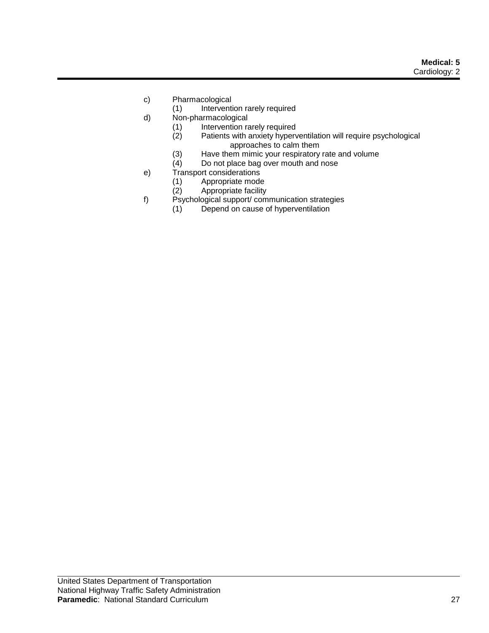- c) Pharmacological
	- (1) Intervention rarely required
- d) Non-pharmacological
	- (1) Intervention rarely required<br>(2) Patients with anxiety hyperv
		- Patients with anxiety hyperventilation will require psychological approaches to calm them
	- (3) Have them mimic your respiratory rate and volume<br>(4) Do not place bag over mouth and nose
	- Do not place bag over mouth and nose
- e) Transport considerations
	- (1) Appropriate mode
		- (2) Appropriate facility
- f) Psychological support/ communication strategies
	- (1) Depend on cause of hyperventilation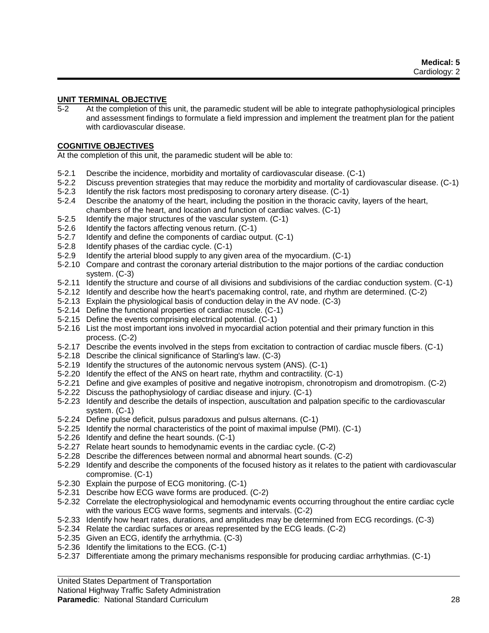#### **UNIT TERMINAL OBJECTIVE**

5-2 At the completion of this unit, the paramedic student will be able to integrate pathophysiological principles and assessment findings to formulate a field impression and implement the treatment plan for the patient with cardiovascular disease.

#### **COGNITIVE OBJECTIVES**

At the completion of this unit, the paramedic student will be able to:

- 5-2.1 Describe the incidence, morbidity and mortality of cardiovascular disease. (C-1)
- 5-2.2 Discuss prevention strategies that may reduce the morbidity and mortality of cardiovascular disease. (C-1)
- 5-2.3 Identify the risk factors most predisposing to coronary artery disease. (C-1)
- 5-2.4 Describe the anatomy of the heart, including the position in the thoracic cavity, layers of the heart, chambers of the heart, and location and function of cardiac valves. (C-1)
- 5-2.5 Identify the major structures of the vascular system. (C-1)
- 5-2.6 Identify the factors affecting venous return. (C-1)
- 5-2.7 Identify and define the components of cardiac output. (C-1)
- 5-2.8 Identify phases of the cardiac cycle. (C-1)
- 5-2.9 Identify the arterial blood supply to any given area of the myocardium. (C-1)
- 5-2.10 Compare and contrast the coronary arterial distribution to the major portions of the cardiac conduction system. (C-3)
- 5-2.11 Identify the structure and course of all divisions and subdivisions of the cardiac conduction system. (C-1)
- 5-2.12 Identify and describe how the heart's pacemaking control, rate, and rhythm are determined. (C-2)
- 5-2.13 Explain the physiological basis of conduction delay in the AV node. (C-3)
- 5-2.14 Define the functional properties of cardiac muscle. (C-1)
- 5-2.15 Define the events comprising electrical potential. (C-1)
- 5-2.16 List the most important ions involved in myocardial action potential and their primary function in this process. (C-2)
- 5-2.17 Describe the events involved in the steps from excitation to contraction of cardiac muscle fibers. (C-1)
- 5-2.18 Describe the clinical significance of Starling's law. (C-3)
- 5-2.19 Identify the structures of the autonomic nervous system (ANS). (C-1)
- 5-2.20 Identify the effect of the ANS on heart rate, rhythm and contractility. (C-1)
- 5-2.21 Define and give examples of positive and negative inotropism, chronotropism and dromotropism. (C-2)
- 5-2.22 Discuss the pathophysiology of cardiac disease and injury. (C-1)
- 5-2.23 Identify and describe the details of inspection, auscultation and palpation specific to the cardiovascular system. (C-1)
- 5-2.24 Define pulse deficit, pulsus paradoxus and pulsus alternans. (C-1)
- 5-2.25 Identify the normal characteristics of the point of maximal impulse (PMI). (C-1)
- 5-2.26 Identify and define the heart sounds. (C-1)
- 5-2.27 Relate heart sounds to hemodynamic events in the cardiac cycle. (C-2)
- 5-2.28 Describe the differences between normal and abnormal heart sounds. (C-2)
- 5-2.29 Identify and describe the components of the focused history as it relates to the patient with cardiovascular compromise. (C-1)
- 5-2.30 Explain the purpose of ECG monitoring. (C-1)
- 5-2.31 Describe how ECG wave forms are produced. (C-2)
- 5-2.32 Correlate the electrophysiological and hemodynamic events occurring throughout the entire cardiac cycle with the various ECG wave forms, segments and intervals. (C-2)
- 5-2.33 Identify how heart rates, durations, and amplitudes may be determined from ECG recordings. (C-3)
- 5-2.34 Relate the cardiac surfaces or areas represented by the ECG leads. (C-2)
- 5-2.35 Given an ECG, identify the arrhythmia. (C-3)
- 5-2.36 Identify the limitations to the ECG. (C-1)
- 5-2.37 Differentiate among the primary mechanisms responsible for producing cardiac arrhythmias. (C-1)

#### United States Department of Transportation

National Highway Traffic Safety Administration

#### **Paramedic**: National Standard Curriculum 28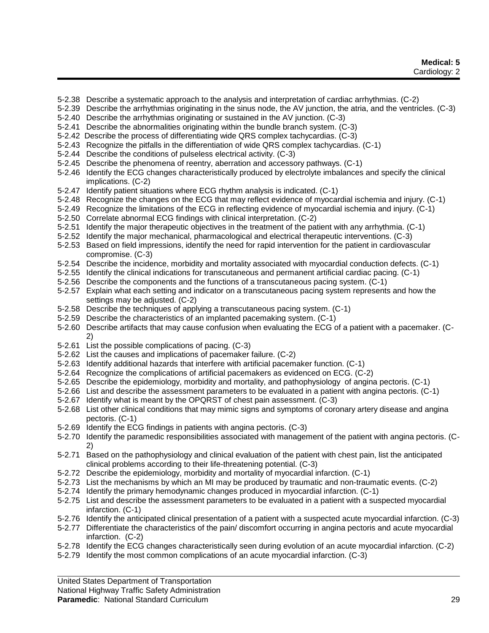5-2.38 Describe a systematic approach to the analysis and interpretation of cardiac arrhythmias. (C-2)

- 5-2.39 Describe the arrhythmias originating in the sinus node, the AV junction, the atria, and the ventricles. (C-3)
- 5-2.40 Describe the arrhythmias originating or sustained in the AV junction. (C-3)
- 5-2.41 Describe the abnormalities originating within the bundle branch system. (C-3)
- 5-2.42 Describe the process of differentiating wide QRS complex tachycardias. (C-3)
- 5-2.43 Recognize the pitfalls in the differentiation of wide QRS complex tachycardias. (C-1)
- 5-2.44 Describe the conditions of pulseless electrical activity. (C-3)
- 5-2.45 Describe the phenomena of reentry, aberration and accessory pathways. (C-1)
- 5-2.46 Identify the ECG changes characteristically produced by electrolyte imbalances and specify the clinical implications. (C-2)
- 5-2.47 Identify patient situations where ECG rhythm analysis is indicated. (C-1)
- 5-2.48 Recognize the changes on the ECG that may reflect evidence of myocardial ischemia and injury. (C-1)
- 5-2.49 Recognize the limitations of the ECG in reflecting evidence of myocardial ischemia and injury. (C-1)
- 5-2.50 Correlate abnormal ECG findings with clinical interpretation. (C-2)
- 5-2.51 Identify the major therapeutic objectives in the treatment of the patient with any arrhythmia. (C-1)
- 5-2.52 Identify the major mechanical, pharmacological and electrical therapeutic interventions. (C-3)
- 5-2.53 Based on field impressions, identify the need for rapid intervention for the patient in cardiovascular compromise. (C-3)
- 5-2.54 Describe the incidence, morbidity and mortality associated with myocardial conduction defects. (C-1)
- 5-2.55 Identify the clinical indications for transcutaneous and permanent artificial cardiac pacing. (C-1)
- 5-2.56 Describe the components and the functions of a transcutaneous pacing system. (C-1)
- 5-2.57 Explain what each setting and indicator on a transcutaneous pacing system represents and how the settings may be adjusted. (C-2)
- 5-2.58 Describe the techniques of applying a transcutaneous pacing system. (C-1)
- 5-2.59 Describe the characteristics of an implanted pacemaking system. (C-1)
- 5-2.60 Describe artifacts that may cause confusion when evaluating the ECG of a patient with a pacemaker. (C-2)
- 5-2.61 List the possible complications of pacing. (C-3)
- 5-2.62 List the causes and implications of pacemaker failure. (C-2)
- 5-2.63 Identify additional hazards that interfere with artificial pacemaker function. (C-1)
- 5-2.64 Recognize the complications of artificial pacemakers as evidenced on ECG. (C-2)
- 5-2.65 Describe the epidemiology, morbidity and mortality, and pathophysiology of angina pectoris. (C-1)
- 5-2.66 List and describe the assessment parameters to be evaluated in a patient with angina pectoris. (C-1)
- 5-2.67 Identify what is meant by the OPQRST of chest pain assessment. (C-3)
- 5-2.68 List other clinical conditions that may mimic signs and symptoms of coronary artery disease and angina pectoris. (C-1)
- 5-2.69 Identify the ECG findings in patients with angina pectoris. (C-3)
- 5-2.70 Identify the paramedic responsibilities associated with management of the patient with angina pectoris. (C-2)
- 5-2.71 Based on the pathophysiology and clinical evaluation of the patient with chest pain, list the anticipated clinical problems according to their life-threatening potential. (C-3)
- 5-2.72 Describe the epidemiology, morbidity and mortality of myocardial infarction. (C-1)
- 5-2.73 List the mechanisms by which an MI may be produced by traumatic and non-traumatic events. (C-2)
- 5-2.74 Identify the primary hemodynamic changes produced in myocardial infarction. (C-1)
- 5-2.75 List and describe the assessment parameters to be evaluated in a patient with a suspected myocardial infarction. (C-1)
- 5-2.76 Identify the anticipated clinical presentation of a patient with a suspected acute myocardial infarction. (C-3)
- 5-2.77 Differentiate the characteristics of the pain/ discomfort occurring in angina pectoris and acute myocardial infarction. (C-2)
- 5-2.78 Identify the ECG changes characteristically seen during evolution of an acute myocardial infarction. (C-2)
- 5-2.79 Identify the most common complications of an acute myocardial infarction. (C-3)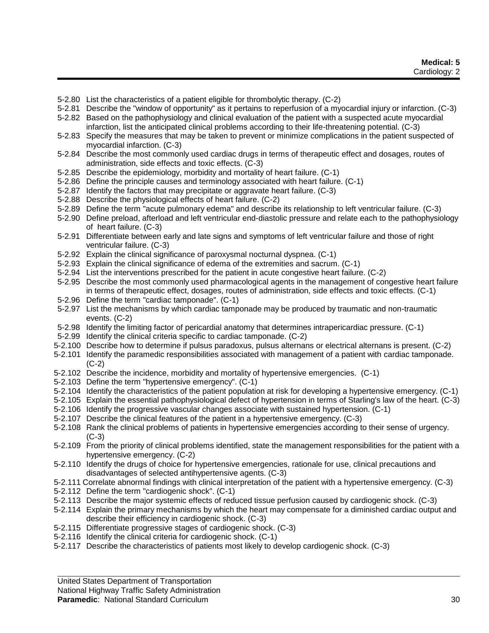5-2.80 List the characteristics of a patient eligible for thrombolytic therapy. (C-2)

- 5-2.81 Describe the "window of opportunity" as it pertains to reperfusion of a myocardial injury or infarction. (C-3)
- 5-2.82 Based on the pathophysiology and clinical evaluation of the patient with a suspected acute myocardial infarction, list the anticipated clinical problems according to their life-threatening potential. (C-3)
- 5-2.83 Specify the measures that may be taken to prevent or minimize complications in the patient suspected of myocardial infarction. (C-3)
- 5-2.84 Describe the most commonly used cardiac drugs in terms of therapeutic effect and dosages, routes of administration, side effects and toxic effects. (C-3)
- 5-2.85 Describe the epidemiology, morbidity and mortality of heart failure. (C-1)
- 5-2.86 Define the principle causes and terminology associated with heart failure. (C-1)
- 5-2.87 Identify the factors that may precipitate or aggravate heart failure. (C-3)
- 5-2.88 Describe the physiological effects of heart failure. (C-2)
- 5-2.89 Define the term "acute pulmonary edema" and describe its relationship to left ventricular failure. (C-3)
- 5-2.90 Define preload, afterload and left ventricular end-diastolic pressure and relate each to the pathophysiology of heart failure. (C-3)
- 5-2.91 Differentiate between early and late signs and symptoms of left ventricular failure and those of right ventricular failure. (C-3)
- 5-2.92 Explain the clinical significance of paroxysmal nocturnal dyspnea. (C-1)
- 5-2.93 Explain the clinical significance of edema of the extremities and sacrum. (C-1)
- 5-2.94 List the interventions prescribed for the patient in acute congestive heart failure. (C-2)
- 5-2.95 Describe the most commonly used pharmacological agents in the management of congestive heart failure in terms of therapeutic effect, dosages, routes of administration, side effects and toxic effects. (C-1)
- 5-2.96 Define the term "cardiac tamponade". (C-1)
- 5-2.97 List the mechanisms by which cardiac tamponade may be produced by traumatic and non-traumatic events. (C-2)
- 5-2.98 Identify the limiting factor of pericardial anatomy that determines intrapericardiac pressure. (C-1)
- 5-2.99 Identify the clinical criteria specific to cardiac tamponade. (C-2)
- 5-2.100 Describe how to determine if pulsus paradoxus, pulsus alternans or electrical alternans is present. (C-2)
- 5-2.101 Identify the paramedic responsibilities associated with management of a patient with cardiac tamponade. (C-2)
- 5-2.102 Describe the incidence, morbidity and mortality of hypertensive emergencies. (C-1)
- 5-2.103 Define the term "hypertensive emergency". (C-1)
- 5-2.104 Identify the characteristics of the patient population at risk for developing a hypertensive emergency. (C-1)
- 5-2.105 Explain the essential pathophysiological defect of hypertension in terms of Starling's law of the heart. (C-3)
- 5-2.106 Identify the progressive vascular changes associate with sustained hypertension. (C-1)
- 5-2.107 Describe the clinical features of the patient in a hypertensive emergency. (C-3)
- 5-2.108 Rank the clinical problems of patients in hypertensive emergencies according to their sense of urgency. (C-3)
- 5-2.109 From the priority of clinical problems identified, state the management responsibilities for the patient with a hypertensive emergency. (C-2)
- 5-2.110 Identify the drugs of choice for hypertensive emergencies, rationale for use, clinical precautions and disadvantages of selected antihypertensive agents. (C-3)
- 5-2.111 Correlate abnormal findings with clinical interpretation of the patient with a hypertensive emergency. (C-3)
- 5-2.112 Define the term "cardiogenic shock". (C-1)
- 5-2.113 Describe the major systemic effects of reduced tissue perfusion caused by cardiogenic shock. (C-3)
- 5-2.114 Explain the primary mechanisms by which the heart may compensate for a diminished cardiac output and describe their efficiency in cardiogenic shock. (C-3)
- 5-2.115 Differentiate progressive stages of cardiogenic shock. (C-3)
- 5-2.116 Identify the clinical criteria for cardiogenic shock. (C-1)
- 5-2.117 Describe the characteristics of patients most likely to develop cardiogenic shock. (C-3)

#### United States Department of Transportation

National Highway Traffic Safety Administration

#### **Paramedic**: National Standard Curriculum 30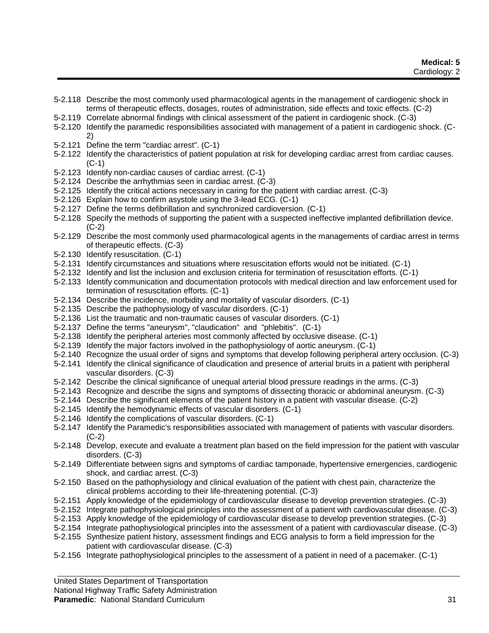5-2.118 Describe the most commonly used pharmacological agents in the management of cardiogenic shock in terms of therapeutic effects, dosages, routes of administration, side effects and toxic effects. (C-2)

- 5-2.119 Correlate abnormal findings with clinical assessment of the patient in cardiogenic shock. (C-3)
- 5-2.120 Identify the paramedic responsibilities associated with management of a patient in cardiogenic shock. (C-
- 2) 5-2.121 Define the term "cardiac arrest". (C-1)
- 5-2.122 Identify the characteristics of patient population at risk for developing cardiac arrest from cardiac causes. (C-1)
- 5-2.123 Identify non-cardiac causes of cardiac arrest. (C-1)
- 5-2.124 Describe the arrhythmias seen in cardiac arrest. (C-3)
- 5-2.125 Identify the critical actions necessary in caring for the patient with cardiac arrest. (C-3)
- 5-2.126 Explain how to confirm asystole using the 3-lead ECG. (C-1)
- 5-2.127 Define the terms defibrillation and synchronized cardioversion. (C-1)
- 5-2.128 Specify the methods of supporting the patient with a suspected ineffective implanted defibrillation device. (C-2)
- 5-2.129 Describe the most commonly used pharmacological agents in the managements of cardiac arrest in terms of therapeutic effects. (C-3)
- 5-2.130 Identify resuscitation. (C-1)
- 5-2.131 Identify circumstances and situations where resuscitation efforts would not be initiated. (C-1)
- 5-2.132 Identify and list the inclusion and exclusion criteria for termination of resuscitation efforts. (C-1)
- 5-2.133 Identify communication and documentation protocols with medical direction and law enforcement used for termination of resuscitation efforts. (C-1)
- 5-2.134 Describe the incidence, morbidity and mortality of vascular disorders. (C-1)
- 5-2.135 Describe the pathophysiology of vascular disorders. (C-1)
- 5-2.136 List the traumatic and non-traumatic causes of vascular disorders. (C-1)
- 5-2.137 Define the terms "aneurysm", "claudication" and "phlebitis". (C-1)
- 5-2.138 Identify the peripheral arteries most commonly affected by occlusive disease. (C-1)
- 5-2.139 Identify the major factors involved in the pathophysiology of aortic aneurysm. (C-1)
- 5-2.140 Recognize the usual order of signs and symptoms that develop following peripheral artery occlusion. (C-3)
- 5-2.141 Identify the clinical significance of claudication and presence of arterial bruits in a patient with peripheral vascular disorders. (C-3)
- 5-2.142 Describe the clinical significance of unequal arterial blood pressure readings in the arms. (C-3)
- 5-2.143 Recognize and describe the signs and symptoms of dissecting thoracic or abdominal aneurysm. (C-3)
- 5-2.144 Describe the significant elements of the patient history in a patient with vascular disease. (C-2)
- 5-2.145 Identify the hemodynamic effects of vascular disorders. (C-1)
- 5-2.146 Identify the complications of vascular disorders. (C-1)
- 5-2.147 Identify the Paramedic's responsibilities associated with management of patients with vascular disorders. (C-2)
- 5-2.148 Develop, execute and evaluate a treatment plan based on the field impression for the patient with vascular disorders. (C-3)
- 5-2.149 Differentiate between signs and symptoms of cardiac tamponade, hypertensive emergencies, cardiogenic shock, and cardiac arrest. (C-3)
- 5-2.150 Based on the pathophysiology and clinical evaluation of the patient with chest pain, characterize the clinical problems according to their life-threatening potential. (C-3)
- 5-2.151 Apply knowledge of the epidemiology of cardiovascular disease to develop prevention strategies. (C-3)
- 5-2.152 Integrate pathophysiological principles into the assessment of a patient with cardiovascular disease. (C-3)
- 5-2.153 Apply knowledge of the epidemiology of cardiovascular disease to develop prevention strategies. (C-3)
- 5-2.154 Integrate pathophysiological principles into the assessment of a patient with cardiovascular disease. (C-3)
- 5-2.155 Synthesize patient history, assessment findings and ECG analysis to form a field impression for the patient with cardiovascular disease. (C-3)
- 5-2.156 Integrate pathophysiological principles to the assessment of a patient in need of a pacemaker. (C-1)

#### United States Department of Transportation

National Highway Traffic Safety Administration

#### **Paramedic**: National Standard Curriculum 31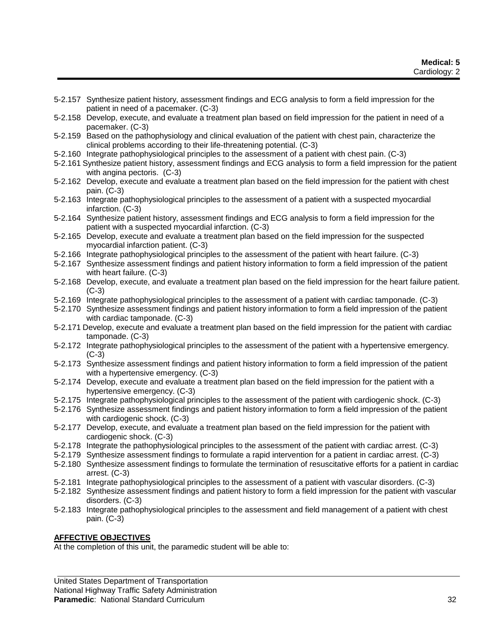- 5-2.157 Synthesize patient history, assessment findings and ECG analysis to form a field impression for the patient in need of a pacemaker. (C-3)
- 5-2.158 Develop, execute, and evaluate a treatment plan based on field impression for the patient in need of a pacemaker. (C-3)
- 5-2.159 Based on the pathophysiology and clinical evaluation of the patient with chest pain, characterize the clinical problems according to their life-threatening potential. (C-3)
- 5-2.160 Integrate pathophysiological principles to the assessment of a patient with chest pain. (C-3)
- 5-2.161 Synthesize patient history, assessment findings and ECG analysis to form a field impression for the patient with angina pectoris. (C-3)
- 5-2.162 Develop, execute and evaluate a treatment plan based on the field impression for the patient with chest pain. (C-3)
- 5-2.163 Integrate pathophysiological principles to the assessment of a patient with a suspected myocardial infarction. (C-3)
- 5-2.164 Synthesize patient history, assessment findings and ECG analysis to form a field impression for the patient with a suspected myocardial infarction. (C-3)
- 5-2.165 Develop, execute and evaluate a treatment plan based on the field impression for the suspected myocardial infarction patient. (C-3)
- 5-2.166 Integrate pathophysiological principles to the assessment of the patient with heart failure. (C-3)
- 5-2.167 Synthesize assessment findings and patient history information to form a field impression of the patient with heart failure. (C-3)
- 5-2.168 Develop, execute, and evaluate a treatment plan based on the field impression for the heart failure patient. (C-3)
- 5-2.169 Integrate pathophysiological principles to the assessment of a patient with cardiac tamponade. (C-3)
- 5-2.170 Synthesize assessment findings and patient history information to form a field impression of the patient with cardiac tamponade. (C-3)
- 5-2.171 Develop, execute and evaluate a treatment plan based on the field impression for the patient with cardiac tamponade. (C-3)
- 5-2.172 Integrate pathophysiological principles to the assessment of the patient with a hypertensive emergency. (C-3)
- 5-2.173 Synthesize assessment findings and patient history information to form a field impression of the patient with a hypertensive emergency. (C-3)
- 5-2.174 Develop, execute and evaluate a treatment plan based on the field impression for the patient with a hypertensive emergency. (C-3)
- 5-2.175 Integrate pathophysiological principles to the assessment of the patient with cardiogenic shock. (C-3)
- 5-2.176 Synthesize assessment findings and patient history information to form a field impression of the patient with cardiogenic shock. (C-3)
- 5-2.177 Develop, execute, and evaluate a treatment plan based on the field impression for the patient with cardiogenic shock. (C-3)
- 5-2.178 Integrate the pathophysiological principles to the assessment of the patient with cardiac arrest. (C-3)
- 5-2.179 Synthesize assessment findings to formulate a rapid intervention for a patient in cardiac arrest. (C-3)
- 5-2.180 Synthesize assessment findings to formulate the termination of resuscitative efforts for a patient in cardiac arrest. (C-3)
- 5-2.181 Integrate pathophysiological principles to the assessment of a patient with vascular disorders. (C-3)
- 5-2.182 Synthesize assessment findings and patient history to form a field impression for the patient with vascular disorders. (C-3)
- 5-2.183 Integrate pathophysiological principles to the assessment and field management of a patient with chest pain. (C-3)

### **AFFECTIVE OBJECTIVES**

At the completion of this unit, the paramedic student will be able to: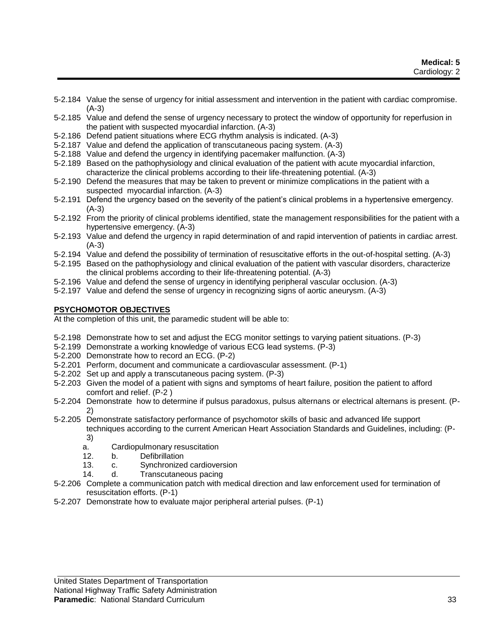- 5-2.184 Value the sense of urgency for initial assessment and intervention in the patient with cardiac compromise. (A-3)
- 5-2.185 Value and defend the sense of urgency necessary to protect the window of opportunity for reperfusion in the patient with suspected myocardial infarction. (A-3)
- 5-2.186 Defend patient situations where ECG rhythm analysis is indicated. (A-3)
- 5-2.187 Value and defend the application of transcutaneous pacing system. (A-3)
- 5-2.188 Value and defend the urgency in identifying pacemaker malfunction. (A-3)
- 5-2.189 Based on the pathophysiology and clinical evaluation of the patient with acute myocardial infarction, characterize the clinical problems according to their life-threatening potential. (A-3)
- 5-2.190 Defend the measures that may be taken to prevent or minimize complications in the patient with a suspected myocardial infarction. (A-3)
- 5-2.191 Defend the urgency based on the severity of the patient's clinical problems in a hypertensive emergency. (A-3)
- 5-2.192 From the priority of clinical problems identified, state the management responsibilities for the patient with a hypertensive emergency. (A-3)
- 5-2.193 Value and defend the urgency in rapid determination of and rapid intervention of patients in cardiac arrest. (A-3)
- 5-2.194 Value and defend the possibility of termination of resuscitative efforts in the out-of-hospital setting. (A-3)
- 5-2.195 Based on the pathophysiology and clinical evaluation of the patient with vascular disorders, characterize the clinical problems according to their life-threatening potential. (A-3)
- 5-2.196 Value and defend the sense of urgency in identifying peripheral vascular occlusion. (A-3)
- 5-2.197 Value and defend the sense of urgency in recognizing signs of aortic aneurysm. (A-3)

# **PSYCHOMOTOR OBJECTIVES**

At the completion of this unit, the paramedic student will be able to:

- 5-2.198 Demonstrate how to set and adjust the ECG monitor settings to varying patient situations. (P-3)
- 5-2.199 Demonstrate a working knowledge of various ECG lead systems. (P-3)
- 5-2.200 Demonstrate how to record an ECG. (P-2)
- 5-2.201 Perform, document and communicate a cardiovascular assessment. (P-1)
- 5-2.202 Set up and apply a transcutaneous pacing system. (P-3)
- 5-2.203 Given the model of a patient with signs and symptoms of heart failure, position the patient to afford comfort and relief. (P-2 )
- 5-2.204 Demonstrate how to determine if pulsus paradoxus, pulsus alternans or electrical alternans is present. (P-2)
- 5-2.205 Demonstrate satisfactory performance of psychomotor skills of basic and advanced life support techniques according to the current American Heart Association Standards and Guidelines, including: (P-3)
	- a. Cardiopulmonary resuscitation
	- 12. b. Defibrillation
	- 13. c. Synchronized cardioversion
	- 14. d. Transcutaneous pacing
- 5-2.206 Complete a communication patch with medical direction and law enforcement used for termination of resuscitation efforts. (P-1)
- 5-2.207 Demonstrate how to evaluate major peripheral arterial pulses. (P-1)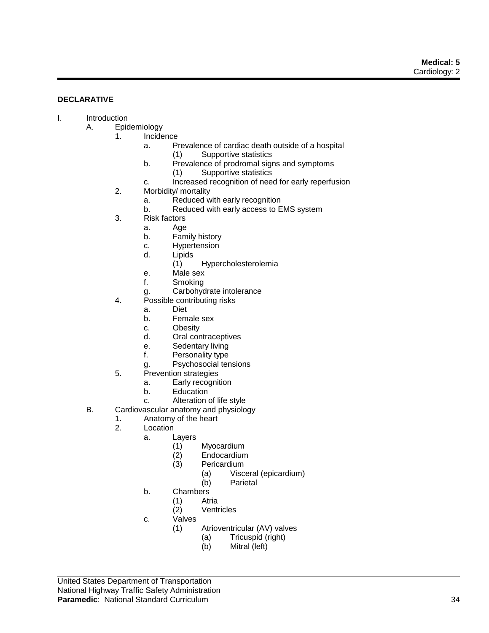#### **DECLARATIVE**

- I. Introduction
	- A. Epidemiology
		- 1. Incidence
			- a. Prevalence of cardiac death outside of a hospital (1) Supportive statistics
			- b. Prevalence of prodromal signs and symptoms (1) Supportive statistics
			- c. Increased recognition of need for early reperfusion
		- 2. Morbidity/ mortality
			- a. Reduced with early recognition
			- b. Reduced with early access to EMS system
		- 3. Risk factors
			- a. Age
			- b. Family history
			- c. Hypertension
			- d. Lipids
				- (1) Hypercholesterolemia
			- e. Male sex
			- f. Smoking
			- g. Carbohydrate intolerance
		- 4. Possible contributing risks
			- a. Diet
			- b. Female sex
			- c. Obesity
			- d. Oral contraceptives
			- e. Sedentary living
			- f. Personality type
			- g. Psychosocial tensions
		- 5. Prevention strategies
			- a. Early recognition
			- b. Education
			- c. Alteration of life style
		- B. Cardiovascular anatomy and physiology
			- 1. Anatomy of the heart<br>2. Location
				- Location
					- a. Layers
						-
						- (1) Myocardium Endocardium
						- (3) Pericardium
							- (a) Visceral (epicardium)
							- (b) Parietal
					- b. Chambers
						- - (1) Atria **Ventricles**
					- c. Valves
						- (1) Atrioventricular (AV) valves
							- (a) Tricuspid (right)
								- (b) Mitral (left)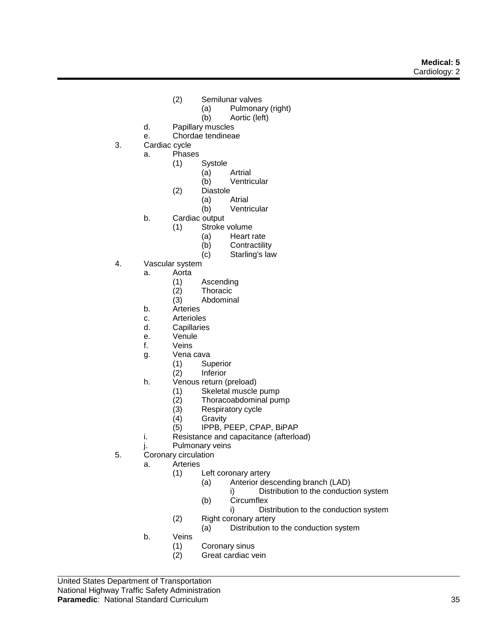- (2) Semilunar valves
	- (a) Pulmonary (right)
	- (b) Aortic (left)
- d. Papillary muscles
- e. Chordae tendineae
- 3. Cardiac cycle
	- a. Phases
		- (1) Systole
			- (a) Artrial
			- (b) Ventricular
		- (2) Diastole
			- (a) Atrial
			- (b) Ventricular
	- b. Cardiac output
		- (1) Stroke volume
			- (a) Heart rate
			- (b) Contractility
			- (c) Starling's law
- 4. Vascular system
	- a. Aorta
		- (1) Ascending<br>(2) Thoracic
		- **Thoracic**
		- (3) Abdominal
	- b. Arteries
	- c. Arterioles
	- d. Capillaries
	- e. Venule
	- f. Veins
	- g. Vena cava
		- (1) Superior
		- (2) Inferior
	- h. Venous return (preload)
		- (1) Skeletal muscle pump<br>(2) Thoracoabdominal pur
		- (2) Thoracoabdominal pump<br>(3) Respiratory cycle
		- Respiratory cycle
		- (4) Gravity
		- (5) IPPB, PEEP, CPAP, BiPAP
	- i. Resistance and capacitance (afterload)
	- j. Pulmonary veins
- 5. Coronary circulation
	- a. Arteries
		- (1) Left coronary artery
			- (a) Anterior descending branch (LAD)
				- i) Distribution to the conduction system
			- (b) Circumflex
				- i) Distribution to the conduction system
		- (2) Right coronary artery
			- (a) Distribution to the conduction system
	- b. Veins
		- (1) Coronary sinus
		- (2) Great cardiac vein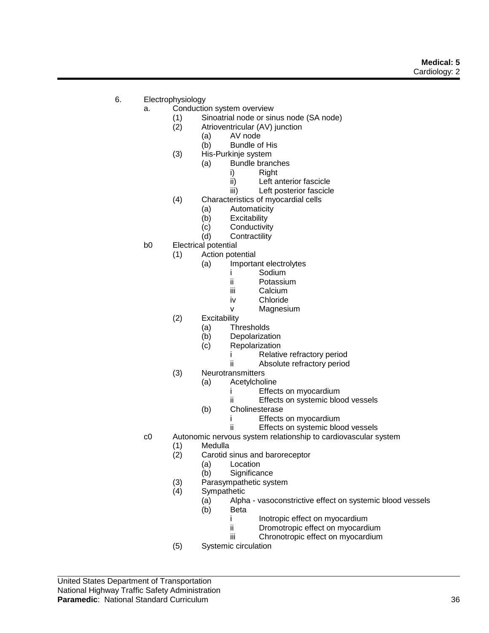# **Medical: 5**

Cardiology: 2

- 6. Electrophysiology
	- a. Conduction system overview
		- (1) Sinoatrial node or sinus node (SA node)
		- (2) Atrioventricular (AV) junction
			- (a) AV node
			- (b) Bundle of His
		- (3) His-Purkinje system
			- (a) Bundle branches
				- i) Right
				- ii) Left anterior fascicle
				- iii) Left posterior fascicle
		- (4) Characteristics of myocardial cells
			- (a) Automaticity
			- (b) Excitability
			- (c) Conductivity
			- (d) Contractility
		- b0 Electrical potential
			- (1) Action potential
				- (a) Important electrolytes
					- i Sodium
					- ii Potassium
					- iii Calcium
					- iv Chloride
					- v Magnesium
			- (2) Excitability
				- (a) Thresholds
				- (b) Depolarization
				- (c) Repolarization
					- i Relative refractory period
					- ii Absolute refractory period
			- (3) Neurotransmitters
				- (a) Acetylcholine
					- i Effects on myocardium
					- ii Effects on systemic blood vessels
					- (b) Cholinesterase
						- i Effects on myocardium
						- ii Effects on systemic blood vessels
		- c0 Autonomic nervous system relationship to cardiovascular system
			- (1) Medulla
			- Carotid sinus and baroreceptor
				- (a) Location
				- (b) Significance
			- (3) Parasympathetic system
			- (4) Sympathetic
				- (a) Alpha vasoconstrictive effect on systemic blood vessels
				- (b) Beta
					- i Inotropic effect on myocardium
					- ii Dromotropic effect on myocardium
					- iii Chronotropic effect on myocardium
			- (5) Systemic circulation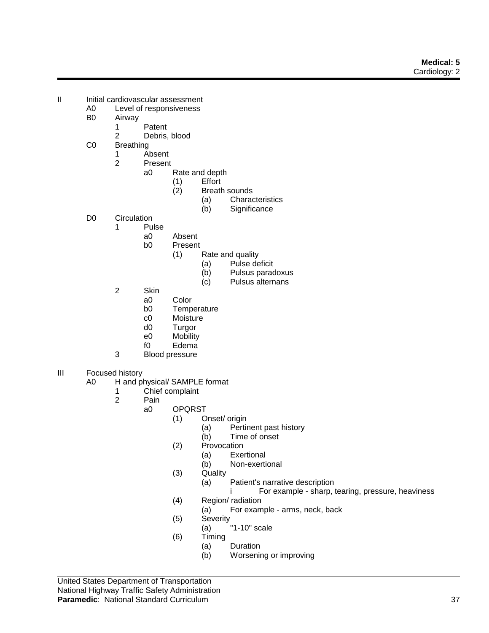- II Initial cardiovascular assessment
	- A0 Level of responsiveness
	- B0 Airway
		- 1 Patent
		- 2 Debris, blood
	- C0 Breathing
		- 1 Absent<br>2 Present
			- Present<br>a0
				- Rate and depth
					- (1) Effort
					- (2) Breath sounds
						- (a) Characteristics
						- (b) Significance
	- D<sub>0</sub> Circulation
		- 1 Pulse
			- a0 Absent
			- b0 Present
				- (1) Rate and quality
					- (a) Pulse deficit
					- (b) Pulsus paradoxus
					- (c) Pulsus alternans
		- 2 Skin
			- a0 Color<br>b0 Temp
			- **Temperature**
			- c0 Moisture
			- d0 Turgor
			- e0 Mobility
			- f0 Edema
		- 3 Blood pressure
- III Focused history
	- A0 H and physical/ SAMPLE format
		- 1 Chief complaint<br>2 Pain
			- Pain
				- a0 OPQRST
					- (1) Onset/ origin
						- (a) Pertinent past history
						- (b) Time of onset
					- (2) Provocation
						- (a) Exertional
						- (b) Non-exertional
					- (3) Quality
						- (a) Patient's narrative description
							- i For example sharp, tearing, pressure, heaviness
					- (4) Region/ radiation
						- (a) For example arms, neck, back
					- (5) Severity
						- (a) "1-10" scale
					- (6) Timing
						- (a) Duration
						- (b) Worsening or improving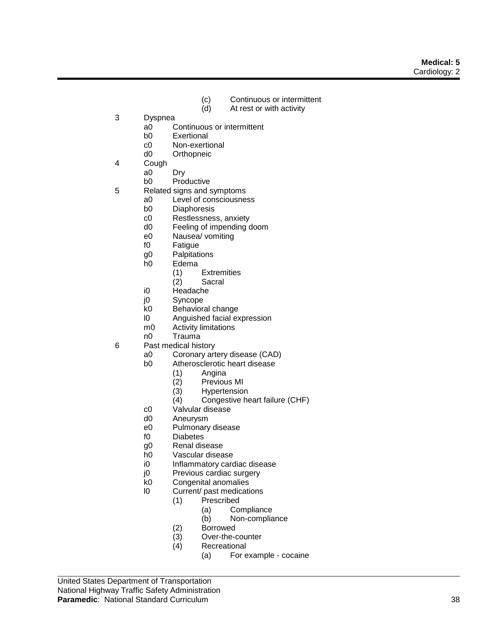- (c) Continuous or intermittent
- (d) At rest or with activity
- 3 Dyspnea
	- a0 Continuous or intermittent
	- b0 Exertional
	- c0 Non-exertional
	- d0 Orthopneic
- 4 Cough
	- a0 Dry
	- b0 Productive
- 5 Related signs and symptoms
	- a0 Level of consciousness
		- b0 Diaphoresis
		- c0 Restlessness, anxiety
		- d0 Feeling of impending doom
		- e0 Nausea/ vomiting
		- f0 Fatigue
		- g0 Palpitations
		- h0 Edema
			- (1) Extremities
			- (2) Sacral
		- i0 Headache
		- j0 Syncope<br>k0 Behaviora
		- Behavioral change
		- l0 Anguished facial expression
		- m0 Activity limitations
		- n0 Trauma
- 6 Past medical history
	- a0 Coronary artery disease (CAD)
	- b0 Atherosclerotic heart disease
		- (1) Angina
		- (2) Previous MI
		- (3) Hypertension<br>(4) Congestive he
		- Congestive heart failure (CHF)
	- c0 Valvular disease
	- d0 Aneurysm
	- e0 Pulmonary disease
	- f0 Diabetes
	- g0 Renal disease
	- h0 Vascular disease
	- i0 Inflammatory cardiac disease
	- j0 Previous cardiac surgery<br>k0 Congenital anomalies
	- Congenital anomalies
	- l0 Current/ past medications
		- (1) Prescribed
			- (a) Compliance
			- (b) Non-compliance
		- (2) Borrowed<br>(3) Over-the-
		- (3) Over-the-counter<br>(4) Recreational
		- **Recreational** 
			- (a) For example cocaine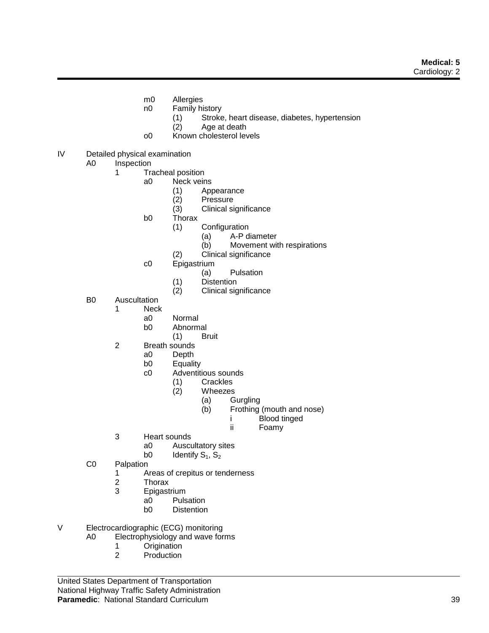- m0 Allergies
- n0 Family history
	- (1) Stroke, heart disease, diabetes, hypertension
	- (2) Age at death
- o0 Known cholesterol levels
- IV Detailed physical examination
	- A0 Inspection
		- 1 Tracheal position
			- a0 Neck veins
				- (1) Appearance
				-
				- (2) Pressure<br>(3) Clinical si Clinical significance
				- b0 Thorax
					- (1) Configuration
						- (a) A-P diameter
						- (b) Movement with respirations
					- (2) Clinical significance
				- c0 Epigastrium
					- (a) Pulsation
					- (1) Distention<br>(2) Clinical sig
					- Clinical significance
		- B0 Auscultation
			- 1 Neck
				- a0 Normal
				- b0 Abnormal
					- (1) Bruit
			- 2 Breath sounds
				- a0 Depth
				- b0 Equality
				- c0 Adventitious sounds
					- (1) Crackles
					- **Wheezes** 
						- (a) Gurgling
							- (b) Frothing (mouth and nose)
								- i Blood tinged<br>ii Foamv
									- Foamy
			- 3 Heart sounds
				- a0 Auscultatory sites
				- b0 Identify  $S_1$ ,  $S_2$
		- C0 Palpation
			- 1 Areas of crepitus or tenderness
			- 2 Thorax
			- 3 Epigastrium
				- a0 Pulsation
				- b0 Distention
- V Electrocardiographic (ECG) monitoring<br>A0 Electrophysiology and wave for
	- Electrophysiology and wave forms
		- 1 Origination
		- 2 Production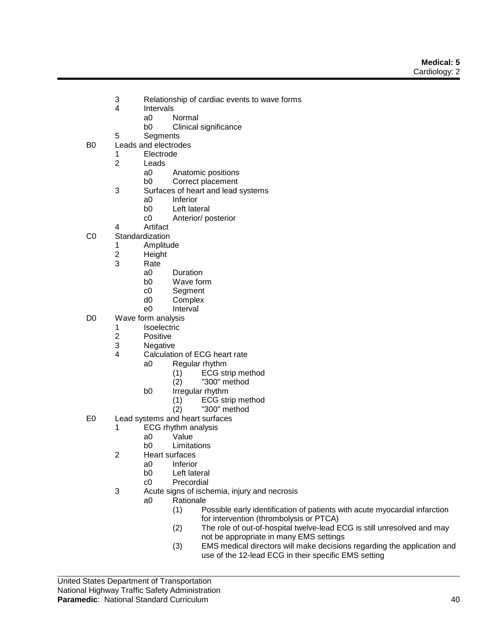- 3 Relationship of cardiac events to wave forms
- 4 Intervals
	- a0 Normal
		- b0 Clinical significance
- 5 Segments
- B0 Leads and electrodes
	- 1 Electrode
	- 2 Leads
		- a0 Anatomic positions
		- b0 Correct placement
	- 3 Surfaces of heart and lead systems
		- a0 Inferior
		- b0 Left lateral
		- c0 Anterior/ posterior
	- 4 Artifact
- C0 Standardization
	- 1 Amplitude
	- 2 Height<br>3 Rate
	- **Rate** 
		- a0 Duration
		- b0 Wave form
		- c0 Segment
		- d0 Complex
		- e0 Interval
- D0 Wave form analysis
	- 1 Isoelectric
	- 2 Positive<br>3 Negative
	- **Negative**
	- 4 Calculation of ECG heart rate
		- a0 Regular rhythm
			- (1) ECG strip method
			- (2) "300" method
		- b0 Irregular rhythm
			- (1)  $ECG$  strip method<br>(2)  $"300"$  method
			- "300" method
- E0 Lead systems and heart surfaces
	- 1 ECG rhythm analysis
		- a0 Value
		- b0 Limitations
		- 2 Heart surfaces
			- a0 Inferior
				-
				- b0 Left lateral<br>c0 Precordial Precordial
		- 3 Acute signs of ischemia, injury and necrosis
			- a0 Rationale
				- (1) Possible early identification of patients with acute myocardial infarction for intervention (thrombolysis or PTCA)
				- (2) The role of out-of-hospital twelve-lead ECG is still unresolved and may not be appropriate in many EMS settings
				- (3) EMS medical directors will make decisions regarding the application and use of the 12-lead ECG in their specific EMS setting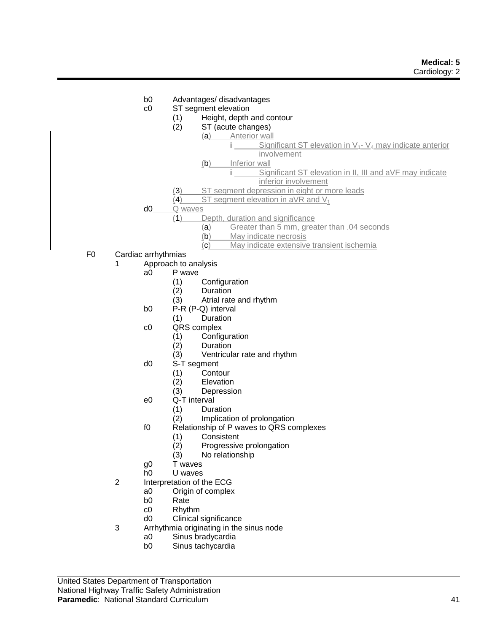- b0 Advantages/ disadvantages
- c0 ST segment elevation
	- (1) Height, depth and contour
	- (2) ST (acute changes)
		- (a) Anterior wall
			- i Significant ST elevation in  $V_1$   $V_4$  may indicate anterior involvement
			- (b) Inferior wall
				- i Significant ST elevation in II, III and aVF may indicate inferior involvement
	- (3) ST segment depression in eight or more leads
	- (4) ST segment elevation in aVR and  $V_1$
- d0 Q waves
	- (1) Depth, duration and significance
		- (a) Greater than 5 mm, greater than .04 seconds
		- (b) May indicate necrosis
		- (c) May indicate extensive transient ischemia
- F0 Cardiac arrhythmias
	- 1 Approach to analysis
		- a0 P wave
			- (1) Configuration
			- **Duration**
			- (3) Atrial rate and rhythm
		- b0 P-R (P-Q) interval
			- (1) Duration
		- c0 QRS complex
			- (1) Configuration
			- **Duration**
			- (3) Ventricular rate and rhythm
		- d0 S-T segment
			- (1) Contour
			- (2) Elevation<br>(3) Depressio
			- **Depression**
		- e0 Q-T interval
			- (1) Duration
			- (2) Implication of prolongation
		- f0 Relationship of P waves to QRS complexes
			- (1) Consistent
			- (2) Progressive prolongation
			- (3) No relationship
		- g0 T waves
		- h0 U waves
	- 2 Interpretation of the ECG
		- a0 Origin of complex
		- b0 Rate
		- c0 Rhythm
		- d0 Clinical significance
	- 3 Arrhythmia originating in the sinus node
		- a0 Sinus bradycardia<br>b0 Sinus tachycardia
			- Sinus tachycardia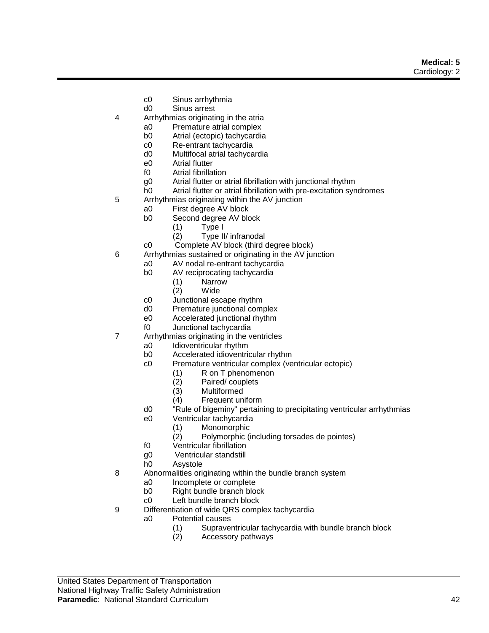- c0 Sinus arrhythmia
- d0 Sinus arrest
- 4 Arrhythmias originating in the atria
	- a0 Premature atrial complex
	- b0 Atrial (ectopic) tachycardia
	- c0 Re-entrant tachycardia
	- d0 Multifocal atrial tachycardia
	- e0 Atrial flutter
	- f0 Atrial fibrillation
	- g0 Atrial flutter or atrial fibrillation with junctional rhythm
	- h0 Atrial flutter or atrial fibrillation with pre-excitation syndromes
- 5 Arrhythmias originating within the AV junction
	- a0 First degree AV block
	- b0 Second degree AV block
		- (1) Type I
		- (2) Type II/ infranodal
	- c0 Complete AV block (third degree block)
- 6 Arrhythmias sustained or originating in the AV junction
	- a0 AV nodal re-entrant tachycardia
	- b0 AV reciprocating tachycardia
		- (1) Narrow
		- (2) Wide
	- c0 Junctional escape rhythm
	- d0 Premature junctional complex
	- e0 Accelerated junctional rhythm
	- f0 Junctional tachycardia
- 7 Arrhythmias originating in the ventricles
	- a0 Idioventricular rhythm
	- b0 Accelerated idioventricular rhythm
	- c0 Premature ventricular complex (ventricular ectopic)
		- (1) R on T phenomenon
		- (2) Paired/ couplets
		- Multiformed
		- (4) Frequent uniform
	- d0 "Rule of bigeminy" pertaining to precipitating ventricular arrhythmias
	- e0 Ventricular tachycardia
		- (1) Monomorphic
		- (2) Polymorphic (including torsades de pointes)
	- f0 Ventricular fibrillation
	- g0 Ventricular standstill
	- h0 Asystole
- 8 Abnormalities originating within the bundle branch system
	- a0 Incomplete or complete
	- b0 Right bundle branch block
	- c0 Left bundle branch block
- 9 Differentiation of wide QRS complex tachycardia
	- a0 Potential causes
		- (1) Supraventricular tachycardia with bundle branch block
		- Accessory pathways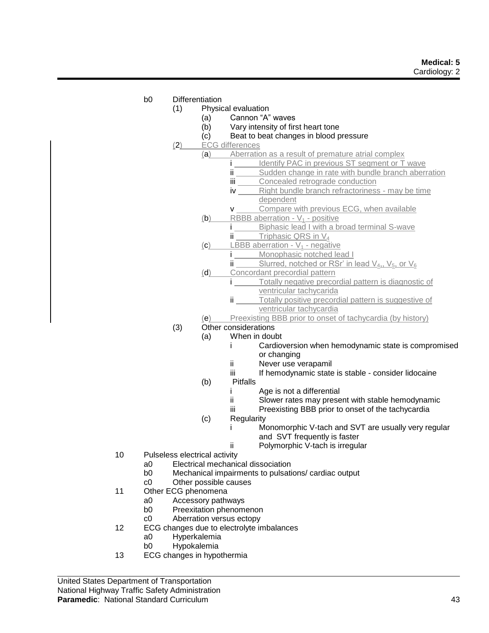# b0 Differentiation

- (1) Physical evaluation
	- (a) Cannon "A" waves
	- (b) Vary intensity of first heart tone
	- (c) Beat to beat changes in blood pressure
- (2) ECG differences
	- (a) Aberration as a result of premature atrial complex
		- i Identify PAC in previous ST segment or T wave
		- ii Sudden change in rate with bundle branch aberration
		- **iii** Concealed retrograde conduction
		- iv Right bundle branch refractoriness may be time dependent
		- v Compare with previous ECG, when available
	- (b) RBBB aberration  $V_1$  positive
		- Biphasic lead I with a broad terminal S-wave ii Triphasic QRS in  $V_4$
	- $(c)$  LBBB aberration  $V_1$  negative
		- i Monophasic notched lead I
			- ii Slurred, notched or RSr' in lead  $V_{4}$ ,  $V_{5}$ , or  $V_{6}$
	- (d) Concordant precordial pattern
		- i Totally negative precordial pattern is diagnostic of ventricular tachycarida
			- ii Totally positive precordial pattern is suggestive of ventricular tachycardia
	- (e) Preexisting BBB prior to onset of tachycardia (by history)

# (3) Other considerations

- (a) When in doubt
	- i Cardioversion when hemodynamic state is compromised or changing
	- ii Never use verapamil
	- iii If hemodynamic state is stable consider lidocaine
	- (b) Pitfalls
		- i Age is not a differential
		- ii Slower rates may present with stable hemodynamic
		- iii Preexisting BBB prior to onset of the tachycardia
	- (c) Regularity
		- i Monomorphic V-tach and SVT are usually very regular and SVT frequently is faster
		- ii Polymorphic V-tach is irregular
- 10 Pulseless electrical activity
	- a0 Electrical mechanical dissociation
	- b0 Mechanical impairments to pulsations/ cardiac output
	- c0 Other possible causes
- 11 Other ECG phenomena
	- a0 Accessory pathways
	- b0 Preexitation phenomenon
	- c0 Aberration versus ectopy
- 12 ECG changes due to electrolyte imbalances
	- a0 Hyperkalemia
		- b0 Hypokalemia
- 13 ECG changes in hypothermia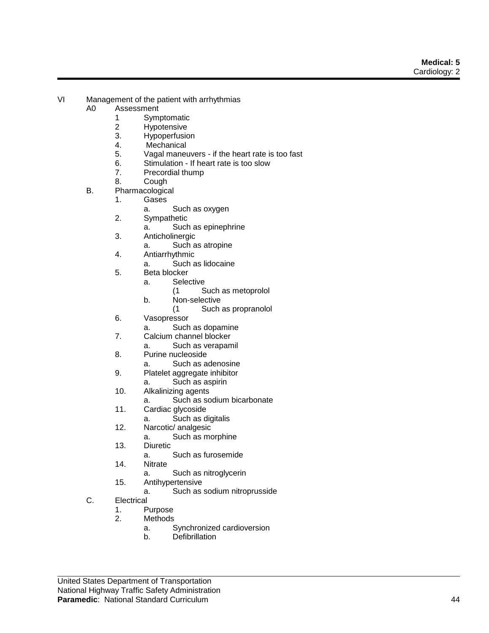- VI Management of the patient with arrhythmias
	- A0 Assessment
		- 1 Symptomatic
		- 2 Hypotensive
		- 3. Hypoperfusion
		- 4. Mechanical
		- 5. Vagal maneuvers if the heart rate is too fast
		- 6. Stimulation If heart rate is too slow<br>7. Precordial thump
		- Precordial thump
		- 8. Cough
	- B. Pharmacological
		- 1. Gases
			- a. Such as oxygen
		- 2. Sympathetic
			- a. Such as epinephrine
		- 3. Anticholinergic
			- a. Such as atropine
		- 4. Antiarrhythmic
			- a. Such as lidocaine
		- 5. Beta blocker
			- a. Selective
				- (1 Such as metoprolol
			- b. Non-selective
				- (1 Such as propranolol
		- 6. Vasopressor
		- a. Such as dopamine
		- 7. Calcium channel blocker
			- a. Such as verapamil
		- 8. Purine nucleoside
			- a. Such as adenosine
		- 9. Platelet aggregate inhibitor
			- a. Such as aspirin
		- 10. Alkalinizing agents
			- a. Such as sodium bicarbonate
		- 11. Cardiac glycoside
			- a. Such as digitalis
		- 12. Narcotic/ analgesic
			- a. Such as morphine
		- 13. Diuretic
			- a. Such as furosemide
		- 14. Nitrate
			- a. Such as nitroglycerin
		- 15. Antihypertensive
			- a. Such as sodium nitroprusside
	- C. Electrical
		- 1. Purpose
		- 2. Methods
			- a. Synchronized cardioversion
			- b. Defibrillation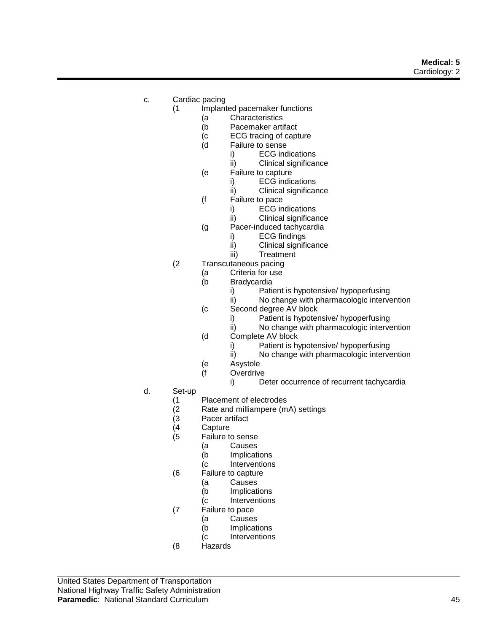- c. Cardiac pacing
	- (1 Implanted pacemaker functions
		- (a Characteristics
		- (b Pacemaker artifact
		- (c ECG tracing of capture
		- (d Failure to sense
			- i) ECG indications
				- ii) Clinical significance
		- (e Failure to capture
			- i) ECG indications
			- ii) Clinical significance
		- (f Failure to pace
			- i) ECG indications
			- ii) Clinical significance
		- (g Pacer-induced tachycardia
			- i) ECG findings
			- ii) Clinical significance
			- iii) Treatment
	- (2 Transcutaneous pacing
		- (a Criteria for use
		- (b Bradycardia
			- i) Patient is hypotensive/ hypoperfusing
			- ii) No change with pharmacologic intervention
		- (c Second degree AV block
			- i) Patient is hypotensive/ hypoperfusing
			- ii) No change with pharmacologic intervention
		- (d Complete AV block
			- i) Patient is hypotensive/ hypoperfusing
			- ii) No change with pharmacologic intervention
		- (e Asystole
		- (f Overdrive
			- i) Deter occurrence of recurrent tachycardia
- d. Set-up
	- (1 Placement of electrodes<br>(2 Rate and milliampere (m.
	- Rate and milliampere (mA) settings
	- (3 Pacer artifact<br>(4 Capture
	- (4 Capture<br>(5 Failure to
	- Failure to sense
		- (a Causes
		- (b Implications
		- (c Interventions
	- (6 Failure to capture
		- (a Causes
			- (b Implications
			- (c Interventions
	- (7 Failure to pace
		- (a Causes
		- (b Implications
		- (c Interventions
	- (8 Hazards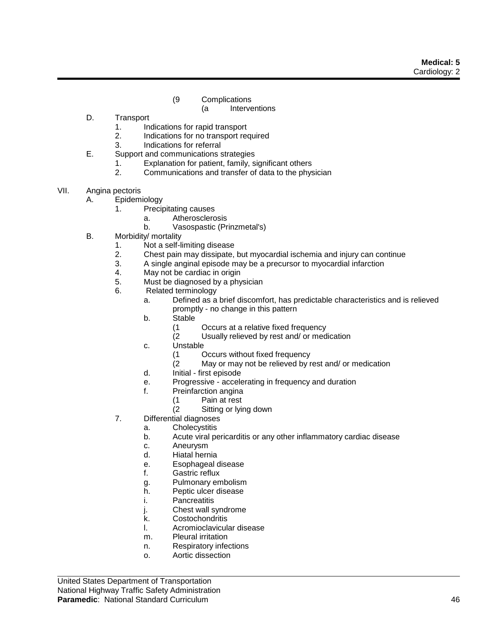- (9 Complications
	- (a Interventions
- D. Transport
	- 1. Indications for rapid transport
	- 2. Indications for no transport required
	- 3. Indications for referral
- E. Support and communications strategies
	- 1. Explanation for patient, family, significant others<br>2. Communications and transfer of data to the phys
	- 2. Communications and transfer of data to the physician
- VII. Angina pectoris

A. Epidemiology

- 1. Precipitating causes
	- a. Atherosclerosis
	- b. Vasospastic (Prinzmetal's)
- B. Morbidity/ mortality
	- 1. Not a self-limiting disease
	- 2. Chest pain may dissipate, but myocardial ischemia and injury can continue
	- 3. A single anginal episode may be a precursor to myocardial infarction
	- 4. May not be cardiac in origin
	- 5. Must be diagnosed by a physician
	- 6. Related terminology
		- a. Defined as a brief discomfort, has predictable characteristics and is relieved promptly - no change in this pattern
			- b. Stable
				- (1 Occurs at a relative fixed frequency
				- (2 Usually relieved by rest and/ or medication
			- c. Unstable
				- (1 Occurs without fixed frequency
				- (2 May or may not be relieved by rest and/ or medication
			- d. Initial first episode
			- e. Progressive accelerating in frequency and duration
			- f. Preinfarction angina
				- (1 Pain at rest
					- Sitting or lying down
	- 7. Differential diagnoses
		- a. Cholecystitis
		- b. Acute viral pericarditis or any other inflammatory cardiac disease
		- c. Aneurysm
		- d. Hiatal hernia
		- e. Esophageal disease
		- f. Gastric reflux
		- g. Pulmonary embolism
		- h. Peptic ulcer disease
		- i. Pancreatitis
		- j. Chest wall syndrome
		- k. Costochondritis
		- l. Acromioclavicular disease
		- m. Pleural irritation
		- n. Respiratory infections
		- o. Aortic dissection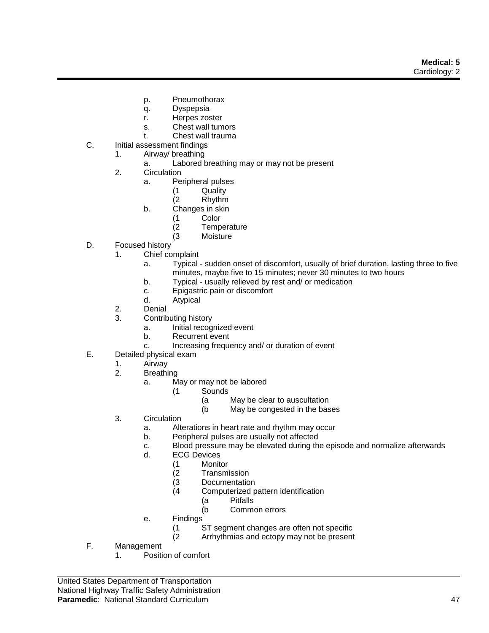- p. Pneumothorax
- q. Dyspepsia
- r. Herpes zoster
- s. Chest wall tumors
- t. Chest wall trauma
- C. Initial assessment findings
	- 1. Airway/ breathing
		- a. Labored breathing may or may not be present
		- 2. Circulation
			- a. Peripheral pulses
				- (1 Quality
				- Rhythm
				- b. Changes in skin
					- (1 Color
					- (2 Temperature
					- (3 Moisture
- D. Focused history
	- 1. Chief complaint
		- a. Typical sudden onset of discomfort, usually of brief duration, lasting three to five minutes, maybe five to 15 minutes; never 30 minutes to two hours
		- b. Typical usually relieved by rest and/ or medication
		- c. Epigastric pain or discomfort
		- d. Atypical
	- 2. Denial
	- 3. Contributing history
		- a. Initial recognized event
		- b. Recurrent event
		- c. Increasing frequency and/ or duration of event
- E. Detailed physical exam
	- 1. Airway
		- 2. Breathing
			- a. May or may not be labored
				- (1 Sounds
					- (a May be clear to auscultation
					- (b May be congested in the bases
		- 3. Circulation
			- a. Alterations in heart rate and rhythm may occur
			- b. Peripheral pulses are usually not affected
			- c. Blood pressure may be elevated during the episode and normalize afterwards
			- d. ECG Devices
				- (1 Monitor
					- (2 Transmission
					- (3 Documentation<br>(4 Computerized p
						- Computerized pattern identification
							- (a Pitfalls
							- (b Common errors
			- e. Findings
				- (1 ST segment changes are often not specific<br>(2 Arrhythmias and ectopy may not be present
				- Arrhythmias and ectopy may not be present
- F. Management
	- 1. Position of comfort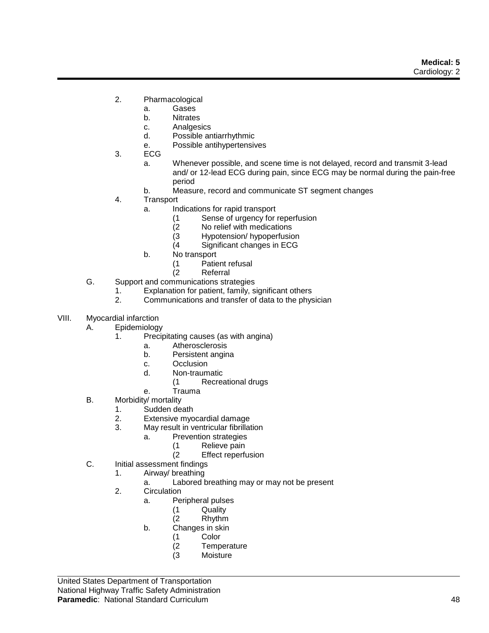- 2. Pharmacological
	- a. Gases
	- b. Nitrates
	- c. Analgesics
	- d. Possible antiarrhythmic
	- e. Possible antihypertensives
- 3. ECG
	- a. Whenever possible, and scene time is not delayed, record and transmit 3-lead and/ or 12-lead ECG during pain, since ECG may be normal during the pain-free period
	- b. Measure, record and communicate ST segment changes
- 4. Transport
	- a. Indications for rapid transport
		- (1 Sense of urgency for reperfusion<br>(2 No relief with medications
		- No relief with medications
		- (3 Hypotension/ hypoperfusion
		- (4 Significant changes in ECG
	- b. No transport
		- (1 Patient refusal
			- Referral
- G. Support and communications strategies
	- 1. Explanation for patient, family, significant others
	- 2. Communications and transfer of data to the physician
- VIII. Myocardial infarction
	- A. Epidemiology
		- 1. Precipitating causes (as with angina)
			- a. Atherosclerosis
			- b. Persistent angina
			- c. Occlusion
			- d. Non-traumatic
				- (1 Recreational drugs
			- e. Trauma
		- B. Morbidity/ mortality
			- 1. Sudden death
			- 2. Extensive myocardial damage
			- 3. May result in ventricular fibrillation
				- a. Prevention strategies
					- (1 Relieve pain<br>(2 Effect reperfu
					- **Effect reperfusion**
	- C. Initial assessment findings
		- 1. Airway/ breathing
			- a. Labored breathing may or may not be present
		- 2. Circulation
			- a. Peripheral pulses
				- (1 Quality
				- Rhythm
				- b. Changes in skin
					- (1 Color<br>(2 Temp
						- **Temperature**
						- (3 Moisture

United States Department of Transportation National Highway Traffic Safety Administration **Paramedic**: National Standard Curriculum **1896 1996 1997 1998 1999 1999 1999 1999 1999 1999 1999 1999 1999 1999 1999 1999 1999 1999 1999 1999 1999 1999 1999 1999 1999 1999**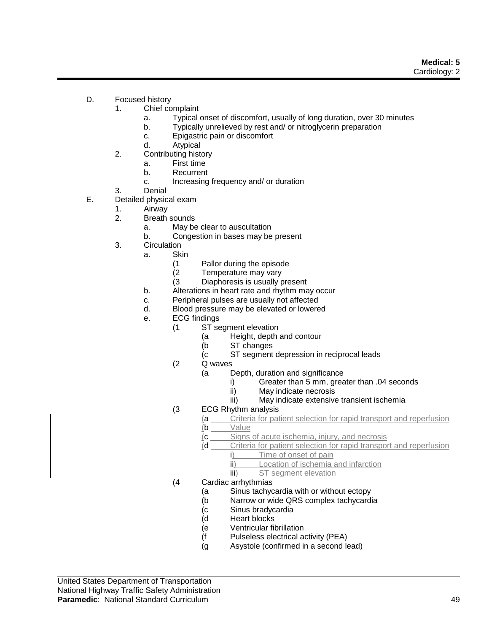- D. Focused history
	- 1. Chief complaint
		- a. Typical onset of discomfort, usually of long duration, over 30 minutes
		- b. Typically unrelieved by rest and/ or nitroglycerin preparation
		- c. Epigastric pain or discomfort
		- d. Atypical
	- 2. Contributing history
		- a. First time
		- b. Recurrent
		- c. Increasing frequency and/ or duration
	- 3. Denial
- E. Detailed physical exam
	- 1. Airway
	- 2. Breath sounds
		- a. May be clear to auscultation
		- b. Congestion in bases may be present
	- 3. Circulation
		- a. Skin
			- (1 Pallor during the episode<br>(2 Temperature may vary
				- Temperature may vary
			- (3 Diaphoresis is usually present
		- b. Alterations in heart rate and rhythm may occur
		- c. Peripheral pulses are usually not affected
		- d. Blood pressure may be elevated or lowered
		- e. ECG findings
			- (1 ST segment elevation
				- (a Height, depth and contour
				- (b ST changes
				- (c ST segment depression in reciprocal leads
			- (2 Q waves
				- (a Depth, duration and significance
					- i) Greater than 5 mm, greater than .04 seconds
					- ii) May indicate necrosis
					- iii) May indicate extensive transient ischemia
			- (3 ECG Rhythm analysis
				- (a Criteria for patient selection for rapid transport and reperfusion
				- (b Value
				- (c Signs of acute ischemia, injury, and necrosis
				- (d Criteria for patient selection for rapid transport and reperfusion
					- i) Time of onset of pain
						- ii) Location of ischemia and infarction
				- iii) ST segment elevation
			- (4 Cardiac arrhythmias
				- (a Sinus tachycardia with or without ectopy
				- (b Narrow or wide QRS complex tachycardia
				- (c Sinus bradycardia
				- (d Heart blocks
				- (e Ventricular fibrillation
				- (f Pulseless electrical activity (PEA)
				- (g Asystole (confirmed in a second lead)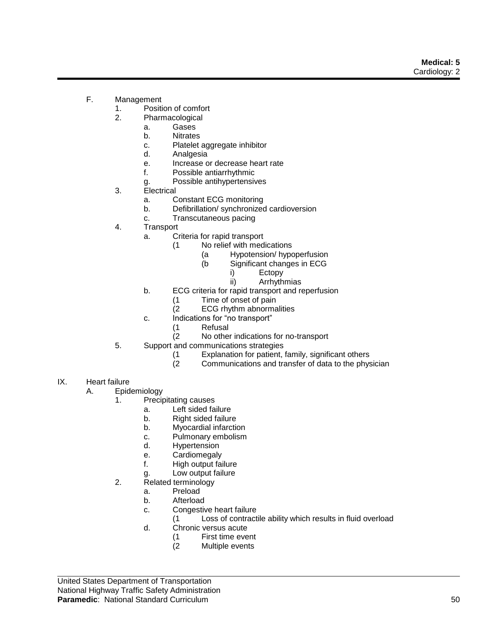- F. Management
	- 1. Position of comfort
	- 2. Pharmacological
		- a. Gases
		- b. Nitrates
		- c. Platelet aggregate inhibitor
		- d. Analgesia
		- e. Increase or decrease heart rate
		- f. Possible antiarrhythmic
		- g. Possible antihypertensives
	- 3. Electrical
		- a. Constant ECG monitoring
		- b. Defibrillation/ synchronized cardioversion
		- c. Transcutaneous pacing
	- 4. Transport
		- a. Criteria for rapid transport
			- (1 No relief with medications
				- (a Hypotension/ hypoperfusion
				- (b Significant changes in ECG
					- i) Ectopy
					- ii) Arrhythmias
		- b. ECG criteria for rapid transport and reperfusion
			- (1 Time of onset of pain<br>(2 ECG rhythm abnorma
			- ECG rhythm abnormalities
		- c. Indications for "no transport"
			- (1 Refusal
			- (2 No other indications for no-transport
	- 5. Support and communications strategies
		- (1 Explanation for patient, family, significant others
		- (2 Communications and transfer of data to the physician
- IX. Heart failure
	- A. Epidemiology
		- 1. Precipitating causes
			- a. Left sided failure
			- b. Right sided failure
			- b. Myocardial infarction
			- c. Pulmonary embolism
			- d. Hypertension
			- e. Cardiomegaly
			- f. High output failure
			- g. Low output failure
		- 2. Related terminology
			- a. Preload
			- b. Afterload
			- c. Congestive heart failure
				- (1 Loss of contractile ability which results in fluid overload
			- d. Chronic versus acute
				- - (1 First time event Multiple events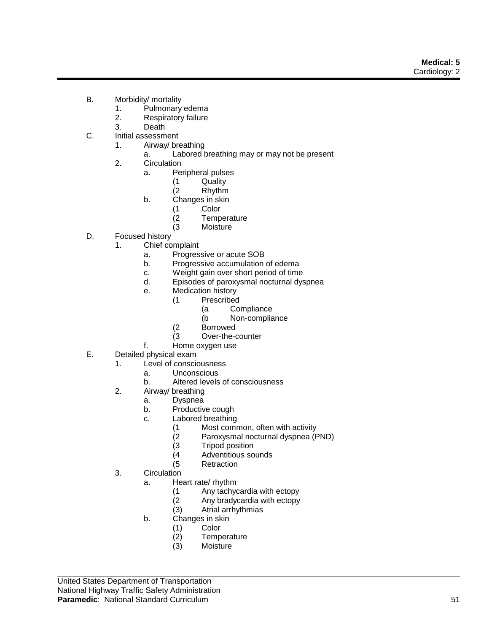- B. Morbidity/ mortality
	- 1. Pulmonary edema
	- 2. Respiratory failure
	- 3. Death
- C. Initial assessment
	- 1. Airway/ breathing
		- a. Labored breathing may or may not be present
	- 2. Circulation
		- a. Peripheral pulses
			- (1 Quality
			- (2 Rhythm
		- b. Changes in skin
			- (1 Color
			- (2 Temperature
			- (3 Moisture
- D. Focused history
	- 1. Chief complaint
		- a. Progressive or acute SOB
		- b. Progressive accumulation of edema
		- c. Weight gain over short period of time
		- d. Episodes of paroxysmal nocturnal dyspnea
		- e. Medication history
			- (1 Prescribed
				- (a Compliance
				- (b Non-compliance
				- (2 Borrowed
				- (3 Over-the-counter
		- f. Home oxygen use
- E. Detailed physical exam
	- 1. Level of consciousness
		- a. Unconscious
		- b. Altered levels of consciousness
	- 2. Airway/ breathing
		- a. Dyspnea
		- b. Productive cough
		- c. Labored breathing
			- (1 Most common, often with activity<br>(2 Paroxysmal nocturnal dyspnea (F
			- Paroxysmal nocturnal dyspnea (PND)
			- (3 Tripod position<br>(4 Adventitious so
			- Adventitious sounds
			- (5 Retraction
	- 3. Circulation
		- a. Heart rate/ rhythm
			- (1 Any tachycardia with ectopy
			- (2 Any bradycardia with ectopy
			- (3) Atrial arrhythmias
		- b. Changes in skin
			-
			- (1) Color (2) Temperature<br>(3) Moisture
			- Moisture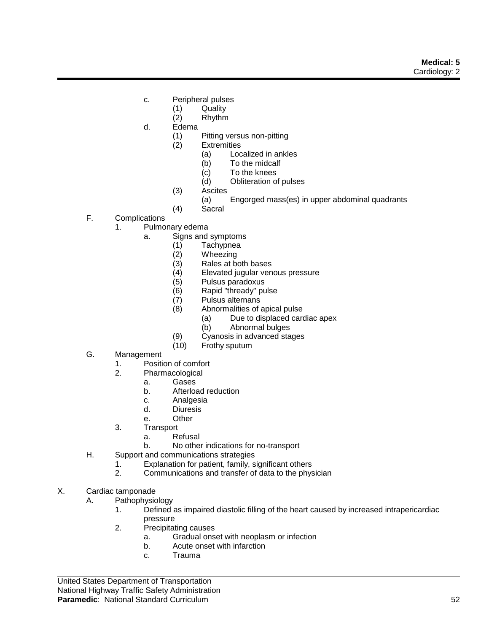- c. Peripheral pulses
	- (1) Quality
	- (2) Rhythm
- d. Edema
	- (1) Pitting versus non-pitting
	- (2) Extremities
		- (a) Localized in ankles<br>(b) To the midcalf
			- To the midcalf
			- (c) To the knees
		- (d) Obliteration of pulses
	- (3) Ascites
		- (a) Engorged mass(es) in upper abdominal quadrants
	- (4) Sacral
- F. Complications
	- 1. Pulmonary edema
		- a. Signs and symptoms
			- (1) Tachypnea
			-
			- (2) Wheezing<br>(3) Rales at bo
			- (3) Rales at both bases<br>(4) Elevated jugular ven Elevated jugular venous pressure
			- (5) Pulsus paradoxus
			- (6) Rapid "thready" pulse
			- (7) Pulsus alternans<br>(8) Abnormalities of
			- Abnormalities of apical pulse
				- (a) Due to displaced cardiac apex
				- (b) Abnormal bulges
			- (9) Cyanosis in advanced stages
			- (10) Frothy sputum
- G. Management
	- 1. Position of comfort
	- 2. Pharmacological
		- a. Gases
		- b. Afterload reduction
		- c. Analgesia
		- d. Diuresis
		- e. Other
	- 3. Transport
		- a. Refusal
		- b. No other indications for no-transport
- H. Support and communications strategies
	- 1. Explanation for patient, family, significant others
	- 2. Communications and transfer of data to the physician
- X. Cardiac tamponade
	- A. Pathophysiology
		- 1. Defined as impaired diastolic filling of the heart caused by increased intrapericardiac pressure
		- 2. Precipitating causes
			- a. Gradual onset with neoplasm or infection
			- b. Acute onset with infarction
			- c. Trauma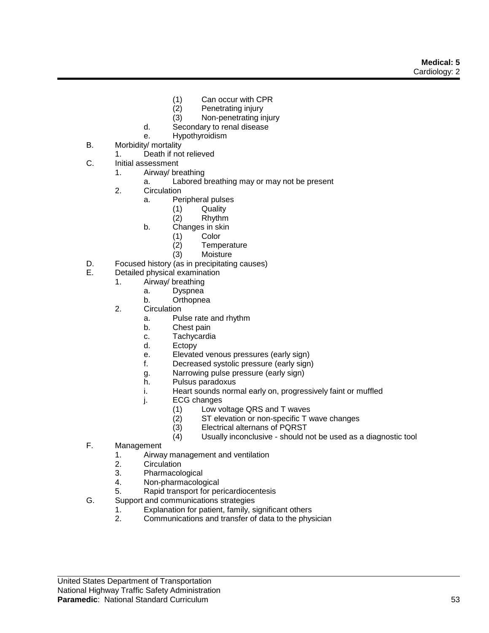- (1) Can occur with CPR
- (2) Penetrating injury
- (3) Non-penetrating injury
- d. Secondary to renal disease
- e. Hypothyroidism
- B. Morbidity/ mortality
	- 1. Death if not relieved
- C. Initial assessment
	- 1. Airway/ breathing
		- a. Labored breathing may or may not be present
	- 2. Circulation
		- a. Peripheral pulses
			- (1) Quality
			- (2) Rhythm
		- b. Changes in skin
			- (1) Color
			- (2) Temperature
			- (3) Moisture
- D. Focused history (as in precipitating causes)<br>E. Detailed physical examination
- Detailed physical examination
	- 1. Airway/ breathing
		- a. Dyspnea
		- b. Orthopnea
	- 2. Circulation
		- a. Pulse rate and rhythm
		- b. Chest pain
		- c. Tachycardia
		- d. Ectopy
		- e. Elevated venous pressures (early sign)
		- f. Decreased systolic pressure (early sign)
		- g. Narrowing pulse pressure (early sign)
		- h. Pulsus paradoxus
		- i. Heart sounds normal early on, progressively faint or muffled
		- j. ECG changes
			- (1) Low voltage QRS and T waves
			- (2) ST elevation or non-specific T wave changes
			- (3) Electrical alternans of PQRST
			- (4) Usually inconclusive should not be used as a diagnostic tool
- F. Management
	- 1. Airway management and ventilation
	- 2. Circulation
	- 3. Pharmacological
	- 4. Non-pharmacological
	- 5. Rapid transport for pericardiocentesis
- G. Support and communications strategies
	- 1. Explanation for patient, family, significant others
	- 2. Communications and transfer of data to the physician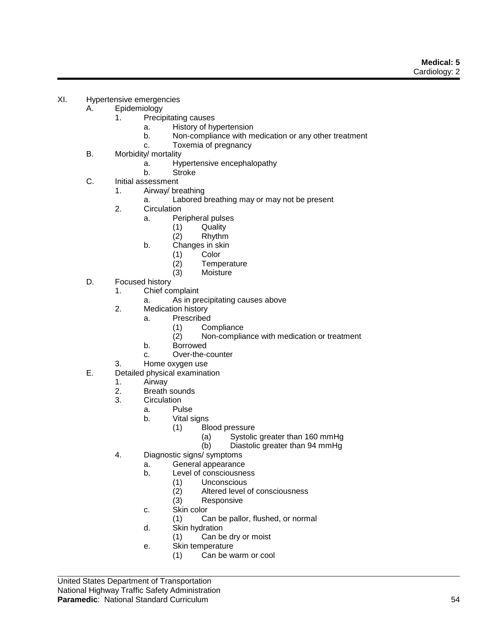- XI. Hypertensive emergencies
	- A. Epidemiology
		- 1. Precipitating causes
			- a. History of hypertension
			- b. Non-compliance with medication or any other treatment
			- c. Toxemia of pregnancy
	- B. Morbidity/ mortality
		- a. Hypertensive encephalopathy
		- b. Stroke
	- C. Initial assessment
		- 1. Airway/ breathing
			- a. Labored breathing may or may not be present
		- 2. Circulation
			- a. Peripheral pulses
				- (1) Quality
				- (2) Rhythm
			- b. Changes in skin
				- (1) Color
				- (2) Temperature
				- (3) Moisture
	- D. Focused history
		- 1. Chief complaint
			- a. As in precipitating causes above
		- 2. Medication history
			- a. Prescribed
				- (1) Compliance
				- (2) Non-compliance with medication or treatment
			- b. Borrowed
			- c. Over-the-counter
		- 3. Home oxygen use
	- E. Detailed physical examination
		- 1. Airway<br>2. Breath
		- 2. Breath sounds<br>3 Circulation
		- Circulation
			- a. Pulse
				- b. Vital signs
					- (1) Blood pressure
						- (a) Systolic greater than 160 mmHg
						- (b) Diastolic greater than 94 mmHg
		- 4. Diagnostic signs/ symptoms
			- a. General appearance
			- b. Level of consciousness
				- (1) Unconscious
				- (2) Altered level of consciousness
				- (3) Responsive
			- c. Skin color
				- (1) Can be pallor, flushed, or normal
			- d. Skin hydration
				- (1) Can be dry or moist
			- e. Skin temperature
				- (1) Can be warm or cool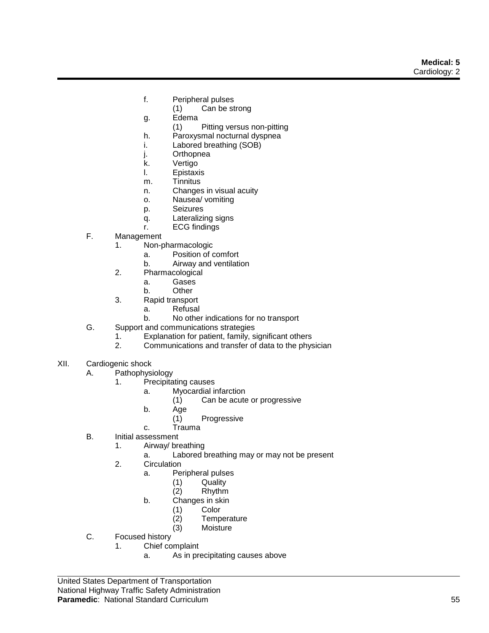- f. Peripheral pulses
	- (1) Can be strong
- g. Edema
	- (1) Pitting versus non-pitting
- h. Paroxysmal nocturnal dyspnea
- i. Labored breathing (SOB)
- j. Orthopnea
- k. Vertigo
- l. Epistaxis
- m. Tinnitus
- n. Changes in visual acuity
- o. Nausea/ vomiting
- p. Seizures
- q. Lateralizing signs
- r. ECG findings
- F. Management
	- 1. Non-pharmacologic
		- a. Position of comfort
		- b. Airway and ventilation
	- 2. Pharmacological
		- a. Gases
		- b. Other
	- 3. Rapid transport
		- a. Refusal
		- b. No other indications for no transport
- G. Support and communications strategies
	- 1. Explanation for patient, family, significant others<br>2. Communications and transfer of data to the phys
	- 2. Communications and transfer of data to the physician
- XII. Cardiogenic shock
	- A. Pathophysiology
		- 1. Precipitating causes
			- a. Myocardial infarction
				- (1) Can be acute or progressive
			- b. Age
				- (1) Progressive
			- c. Trauma
	- B. Initial assessment
		- 1. Airway/ breathing
			- a. Labored breathing may or may not be present
		- 2. Circulation
			- a. Peripheral pulses
				- (1) Quality
				- (2) Rhythm
			- b. Changes in skin
				- (1) Color
				- (2) Temperature
				- (3) Moisture
	- C. Focused history
		- 1. Chief complaint
			- a. As in precipitating causes above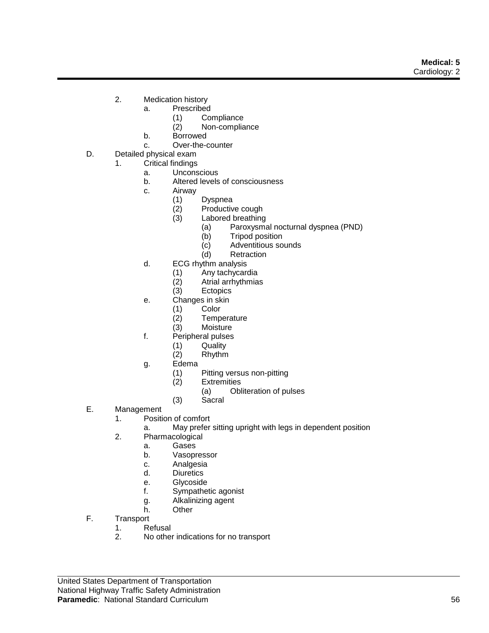- 2. Medication history
	- a. Prescribed
		- (1) Compliance
		- (2) Non-compliance
	- b. Borrowed
	- c. Over-the-counter
- D. Detailed physical exam
	- 1. Critical findings
		- a. Unconscious
		- b. Altered levels of consciousness
		- c. Airway
			- (1) Dyspnea
			- (2) Productive cough
			- (3) Labored breathing
				- (a) Paroxysmal nocturnal dyspnea (PND)
				- (b) Tripod position
				- (c) Adventitious sounds
				- (d) Retraction
		- d. ECG rhythm analysis
			- (1) Any tachycardia
			- (2) Atrial arrhythmias<br>(3) Ectopics
			- **Ectopics**
		- e. Changes in skin
			- (1) Color
			- **Temperature**
			- (3) Moisture
		- f. Peripheral pulses
			- (1) Quality
			- (2) Rhythm
		- g. Edema
			- (1) Pitting versus non-pitting
			- (2) Extremities
				- (a) Obliteration of pulses
			- (3) Sacral
- E. Management
	- 1. Position of comfort
		- a. May prefer sitting upright with legs in dependent position
		- 2. Pharmacological
			- a. Gases
			- b. Vasopressor
			- c. Analgesia
			- d. Diuretics
			- e. Glycoside
			- f. Sympathetic agonist
			- g. Alkalinizing agent
			- h. Other
- F. Transport
	- 1. Refusal
	- 2. No other indications for no transport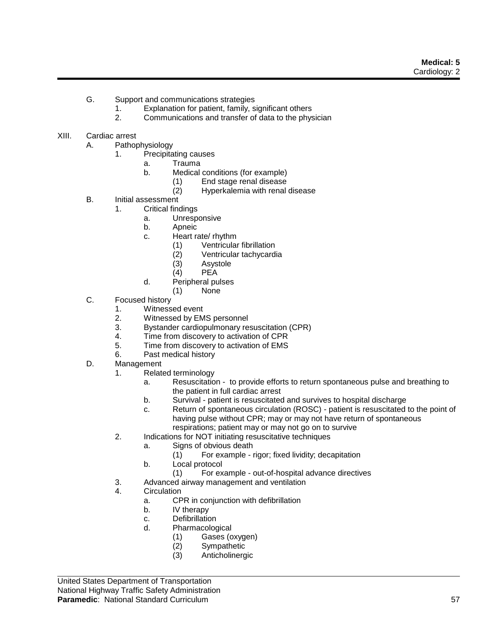- G. Support and communications strategies
	- 1. Explanation for patient, family, significant others
	- 2. Communications and transfer of data to the physician

### XIII. Cardiac arrest

- A. Pathophysiology
	- 1. Precipitating causes
		- a. Trauma
		- b. Medical conditions (for example)
			- (1) End stage renal disease
			- (2) Hyperkalemia with renal disease
- B. Initial assessment
	- 1. Critical findings
		- a. Unresponsive
		- b. Apneic
		- c. Heart rate/ rhythm
			- (1) Ventricular fibrillation
			- (2) Ventricular tachycardia
			- **Asystole**
			- (4) PEA
		- d. Peripheral pulses
			- (1) None
- C. Focused history
	- 1. Witnessed event
	- 2. Witnessed by EMS personnel
	- 3. Bystander cardiopulmonary resuscitation (CPR)
	- 4. Time from discovery to activation of CPR
	- 5. Time from discovery to activation of EMS
	- 6. Past medical history
- D. Management
	- 1. Related terminology
		- a. Resuscitation to provide efforts to return spontaneous pulse and breathing to the patient in full cardiac arrest
		- b. Survival patient is resuscitated and survives to hospital discharge
		- c. Return of spontaneous circulation (ROSC) patient is resuscitated to the point of having pulse without CPR; may or may not have return of spontaneous respirations; patient may or may not go on to survive
	- 2. Indications for NOT initiating resuscitative techniques
		- a. Signs of obvious death
			- (1) For example rigor; fixed lividity; decapitation
		- b. Local protocol
			- (1) For example out-of-hospital advance directives
	- 3. Advanced airway management and ventilation
	- 4. Circulation
		- a. CPR in conjunction with defibrillation
		- b. IV therapy
		- c. Defibrillation
		- d. Pharmacological
			- (1) Gases (oxygen)
			- **Sympathetic**
			- (3) Anticholinergic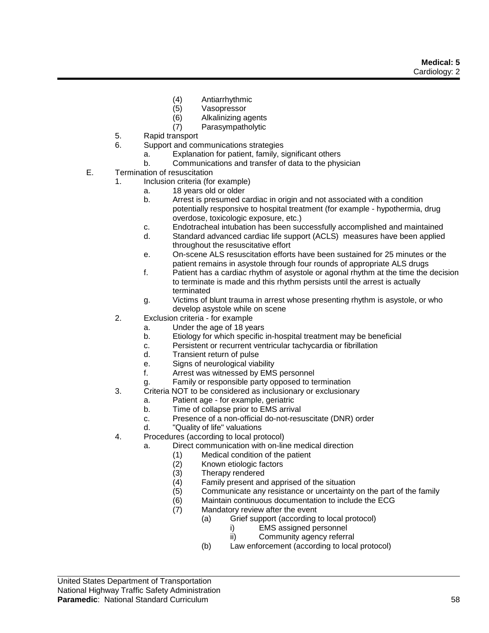- (4) Antiarrhythmic
- Vasopressor
- (6) Alkalinizing agents
- (7) Parasympatholytic
- 5. Rapid transport
- 6. Support and communications strategies
	- a. Explanation for patient, family, significant others
	- b. Communications and transfer of data to the physician
- E. Termination of resuscitation
	- 1. Inclusion criteria (for example)
		- a. 18 years old or older
		- b. Arrest is presumed cardiac in origin and not associated with a condition potentially responsive to hospital treatment (for example - hypothermia, drug overdose, toxicologic exposure, etc.)
		- c. Endotracheal intubation has been successfully accomplished and maintained
		- d. Standard advanced cardiac life support (ACLS) measures have been applied throughout the resuscitative effort
		- e. On-scene ALS resuscitation efforts have been sustained for 25 minutes or the patient remains in asystole through four rounds of appropriate ALS drugs
		- f. Patient has a cardiac rhythm of asystole or agonal rhythm at the time the decision to terminate is made and this rhythm persists until the arrest is actually terminated
		- g. Victims of blunt trauma in arrest whose presenting rhythm is asystole, or who develop asystole while on scene
	- 2. Exclusion criteria for example
		- a. Under the age of 18 years
		- b. Etiology for which specific in-hospital treatment may be beneficial
		- c. Persistent or recurrent ventricular tachycardia or fibrillation
		- d. Transient return of pulse
		- e. Signs of neurological viability
		- f. Arrest was witnessed by EMS personnel
		- g. Family or responsible party opposed to termination
	- 3. Criteria NOT to be considered as inclusionary or exclusionary
		- a. Patient age for example, geriatric
		- b. Time of collapse prior to EMS arrival
		- c. Presence of a non-official do-not-resuscitate (DNR) order
		- d. "Quality of life" valuations
	- 4. Procedures (according to local protocol)
		- a. Direct communication with on-line medical direction
			- (1) Medical condition of the patient
			- (2) Known etiologic factors
			- (3) Therapy rendered
			- (4) Family present and apprised of the situation
			- (5) Communicate any resistance or uncertainty on the part of the family
			- (6) Maintain continuous documentation to include the ECG
			- (7) Mandatory review after the event
				- (a) Grief support (according to local protocol)
					- i) EMS assigned personnel
					- ii) Community agency referral
				- (b) Law enforcement (according to local protocol)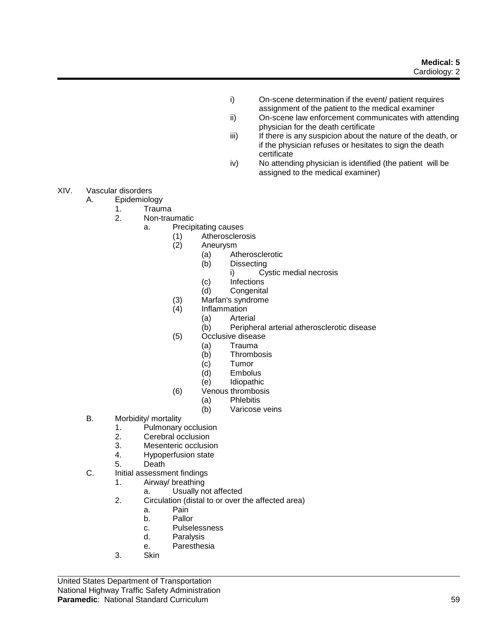- i) On-scene determination if the event/ patient requires assignment of the patient to the medical examiner
- ii) On-scene law enforcement communicates with attending physician for the death certificate
- iii) If there is any suspicion about the nature of the death, or if the physician refuses or hesitates to sign the death certificate
- iv) No attending physician is identified (the patient will be assigned to the medical examiner)

- XIV. Vascular disorders
	- A. Epidemiology
		- 1. Trauma
		- 2. Non-traumatic
			- a. Precipitating causes
				- (1) Atherosclerosis
				- (2) Aneurysm
					- (a) Atherosclerotic
					- (b) Dissecting
						- i) Cystic medial necrosis
					- (c) Infections
					- (d) Congenital
				- (3) Marfan's syndrome
				- (4) Inflammation
					- (a) Arterial
					- (b) Peripheral arterial atherosclerotic disease
				- (5) Occlusive disease
					- (a) Trauma
					- (b) Thrombosis
					- (c) Tumor
					- (d) Embolus
					- (e) Idiopathic
				- (6) Venous thrombosis
					- (a) Phlebitis
					- (b) Varicose veins
	- B. Morbidity/ mortality
		- 1. Pulmonary occlusion
		- 2. Cerebral occlusion
		- 3. Mesenteric occlusion
		- 4. Hypoperfusion state
		- 5. Death
	- C. Initial assessment findings
		- 1. Airway/ breathing
			- a. Usually not affected
		- 2. Circulation (distal to or over the affected area)
			- a. Pain
			- b. Pallor
			- c. Pulselessness
			- d. Paralysis
			- e. Paresthesia
		- 3. Skin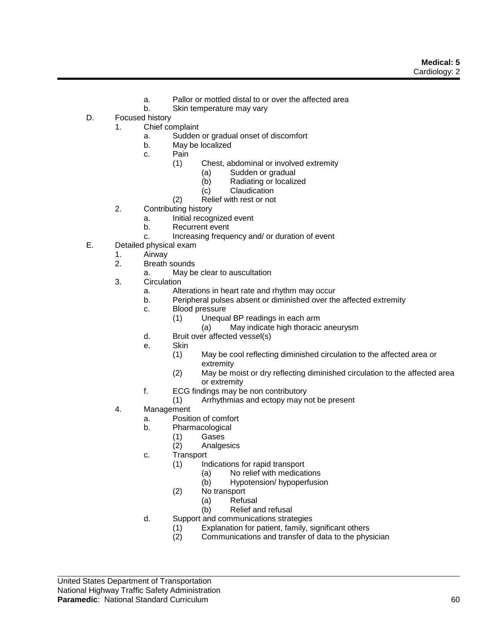- a. Pallor or mottled distal to or over the affected area
- b. Skin temperature may vary
- D. Focused history
	- 1. Chief complaint
		- a. Sudden or gradual onset of discomfort
		- b. May be localized
		- c. Pain
			- (1) Chest, abdominal or involved extremity
				- (a) Sudden or gradual
				- (b) Radiating or localized
				- (c) Claudication
			- (2) Relief with rest or not
		- 2. Contributing history
			- a. Initial recognized event
			- b. Recurrent event
			- c. Increasing frequency and/ or duration of event
- E. Detailed physical exam
	- 1. Airway<br>2. Breath
	- Breath sounds
		- a. May be clear to auscultation
	- 3. Circulation
		- a. Alterations in heart rate and rhythm may occur
		- b. Peripheral pulses absent or diminished over the affected extremity
		- c. Blood pressure
			- (1) Unequal BP readings in each arm
				- (a) May indicate high thoracic aneurysm
		- d. Bruit over affected vessel(s)
		- e. Skin
			- (1) May be cool reflecting diminished circulation to the affected area or extremity
			- (2) May be moist or dry reflecting diminished circulation to the affected area or extremity
		- f. ECG findings may be non contributory
			- (1) Arrhythmias and ectopy may not be present
	- 4. Management
		- a. Position of comfort
		- b. Pharmacological
			- (1) Gases
			- (2) Analgesics
		- c. Transport
			- (1) Indications for rapid transport
				- (a) No relief with medications
					- (b) Hypotension/ hypoperfusion
			- (2) No transport
				- (a) Refusal
				- (b) Relief and refusal
		- d. Support and communications strategies
			- (1) Explanation for patient, family, significant others
			- Communications and transfer of data to the physician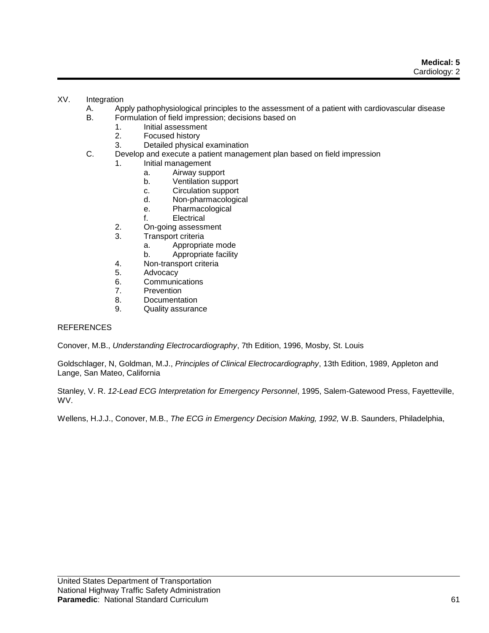# XV. Integration

- A. Apply pathophysiological principles to the assessment of a patient with cardiovascular disease
- B. Formulation of field impression; decisions based on
	- 1. Initial assessment
	- 2. Focused history
	- 3. Detailed physical examination
- C. Develop and execute a patient management plan based on field impression
	- 1. Initial management
		- a. Airway support
		- b. Ventilation support
		- c. Circulation support
		- d. Non-pharmacological
		- e. Pharmacological
		- f. Electrical
	- 2. On-going assessment
	- 3. Transport criteria
		- a. Appropriate mode
		- b. Appropriate facility
	- 4. Non-transport criteria
	- 5. Advocacy
	- 6. Communications
	- 7. Prevention
	- 8. Documentation
	- 9. Quality assurance

# **REFERENCES**

Conover, M.B., *Understanding Electrocardiography*, 7th Edition, 1996, Mosby, St. Louis

Goldschlager, N, Goldman, M.J., *Principles of Clinical Electrocardiography*, 13th Edition, 1989, Appleton and Lange, San Mateo, California

Stanley, V. R. *12-Lead ECG Interpretation for Emergency Personnel*, 1995, Salem-Gatewood Press, Fayetteville, WV.

Wellens, H.J.J., Conover, M.B., *The ECG in Emergency Decision Making, 1992,* W.B. Saunders, Philadelphia,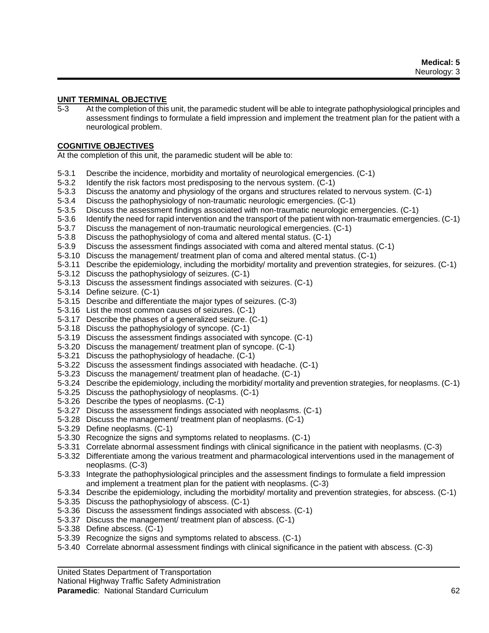### **UNIT TERMINAL OBJECTIVE**

5-3 At the completion of this unit, the paramedic student will be able to integrate pathophysiological principles and assessment findings to formulate a field impression and implement the treatment plan for the patient with a neurological problem.

# **COGNITIVE OBJECTIVES**

At the completion of this unit, the paramedic student will be able to:

- 5-3.1 Describe the incidence, morbidity and mortality of neurological emergencies. (C-1)
- 5-3.2 Identify the risk factors most predisposing to the nervous system. (C-1)
- 5-3.3 Discuss the anatomy and physiology of the organs and structures related to nervous system. (C-1)
- 5-3.4 Discuss the pathophysiology of non-traumatic neurologic emergencies. (C-1)
- 5-3.5 Discuss the assessment findings associated with non-traumatic neurologic emergencies. (C-1)
- 5-3.6 Identify the need for rapid intervention and the transport of the patient with non-traumatic emergencies. (C-1)
- 5-3.7 Discuss the management of non-traumatic neurological emergencies. (C-1)
- 5-3.8 Discuss the pathophysiology of coma and altered mental status. (C-1)
- 5-3.9 Discuss the assessment findings associated with coma and altered mental status. (C-1)
- 5-3.10 Discuss the management/ treatment plan of coma and altered mental status. (C-1)
- 5-3.11 Describe the epidemiology, including the morbidity/ mortality and prevention strategies, for seizures. (C-1)
- 5-3.12 Discuss the pathophysiology of seizures. (C-1)
- 5-3.13 Discuss the assessment findings associated with seizures. (C-1)
- 5-3.14 Define seizure. (C-1)
- 5-3.15 Describe and differentiate the major types of seizures. (C-3)
- 5-3.16 List the most common causes of seizures. (C-1)
- 5-3.17 Describe the phases of a generalized seizure. (C-1)
- 5-3.18 Discuss the pathophysiology of syncope. (C-1)
- 5-3.19 Discuss the assessment findings associated with syncope. (C-1)
- 5-3.20 Discuss the management/ treatment plan of syncope. (C-1)
- 5-3.21 Discuss the pathophysiology of headache. (C-1)
- 5-3.22 Discuss the assessment findings associated with headache. (C-1)
- 5-3.23 Discuss the management/ treatment plan of headache. (C-1)
- 5-3.24 Describe the epidemiology, including the morbidity/ mortality and prevention strategies, for neoplasms. (C-1)
- 5-3.25 Discuss the pathophysiology of neoplasms. (C-1)
- 5-3.26 Describe the types of neoplasms. (C-1)
- 5-3.27 Discuss the assessment findings associated with neoplasms. (C-1)
- 5-3.28 Discuss the management/ treatment plan of neoplasms. (C-1)
- 5-3.29 Define neoplasms. (C-1)
- 5-3.30 Recognize the signs and symptoms related to neoplasms. (C-1)
- 5-3.31 Correlate abnormal assessment findings with clinical significance in the patient with neoplasms. (C-3)
- 5-3.32 Differentiate among the various treatment and pharmacological interventions used in the management of neoplasms. (C-3)
- 5-3.33 Integrate the pathophysiological principles and the assessment findings to formulate a field impression and implement a treatment plan for the patient with neoplasms. (C-3)
- 5-3.34 Describe the epidemiology, including the morbidity/ mortality and prevention strategies, for abscess. (C-1)
- 5-3.35 Discuss the pathophysiology of abscess. (C-1)
- 5-3.36 Discuss the assessment findings associated with abscess. (C-1)
- 5-3.37 Discuss the management/ treatment plan of abscess. (C-1)
- 5-3.38 Define abscess. (C-1)
- 5-3.39 Recognize the signs and symptoms related to abscess. (C-1)
- 5-3.40 Correlate abnormal assessment findings with clinical significance in the patient with abscess. (C-3)

United States Department of Transportation

National Highway Traffic Safety Administration

**Paramedic**: National Standard Curriculum 62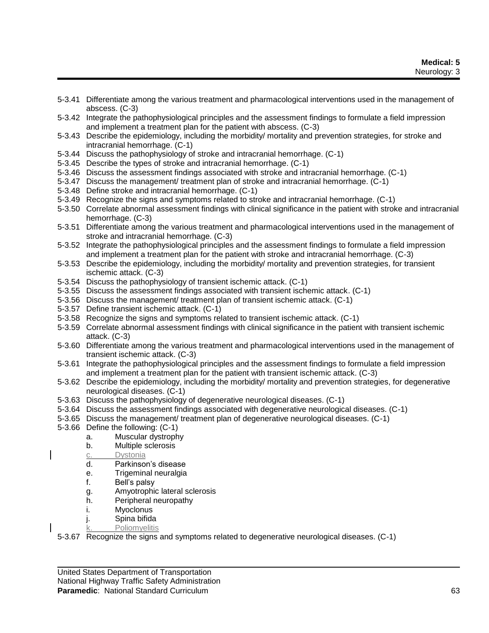- 5-3.41 Differentiate among the various treatment and pharmacological interventions used in the management of abscess. (C-3)
- 5-3.42 Integrate the pathophysiological principles and the assessment findings to formulate a field impression and implement a treatment plan for the patient with abscess. (C-3)
- 5-3.43 Describe the epidemiology, including the morbidity/ mortality and prevention strategies, for stroke and intracranial hemorrhage. (C-1)
- 5-3.44 Discuss the pathophysiology of stroke and intracranial hemorrhage. (C-1)
- 5-3.45 Describe the types of stroke and intracranial hemorrhage. (C-1)
- 5-3.46 Discuss the assessment findings associated with stroke and intracranial hemorrhage. (C-1)
- 5-3.47 Discuss the management/ treatment plan of stroke and intracranial hemorrhage. (C-1)
- 5-3.48 Define stroke and intracranial hemorrhage. (C-1)
- 5-3.49 Recognize the signs and symptoms related to stroke and intracranial hemorrhage. (C-1)
- 5-3.50 Correlate abnormal assessment findings with clinical significance in the patient with stroke and intracranial hemorrhage. (C-3)
- 5-3.51 Differentiate among the various treatment and pharmacological interventions used in the management of stroke and intracranial hemorrhage. (C-3)
- 5-3.52 Integrate the pathophysiological principles and the assessment findings to formulate a field impression and implement a treatment plan for the patient with stroke and intracranial hemorrhage. (C-3)
- 5-3.53 Describe the epidemiology, including the morbidity/ mortality and prevention strategies, for transient ischemic attack. (C-3)
- 5-3.54 Discuss the pathophysiology of transient ischemic attack. (C-1)
- 5-3.55 Discuss the assessment findings associated with transient ischemic attack. (C-1)
- 5-3.56 Discuss the management/ treatment plan of transient ischemic attack. (C-1)
- 5-3.57 Define transient ischemic attack. (C-1)
- 5-3.58 Recognize the signs and symptoms related to transient ischemic attack. (C-1)
- 5-3.59 Correlate abnormal assessment findings with clinical significance in the patient with transient ischemic attack. (C-3)
- 5-3.60 Differentiate among the various treatment and pharmacological interventions used in the management of transient ischemic attack. (C-3)
- 5-3.61 Integrate the pathophysiological principles and the assessment findings to formulate a field impression and implement a treatment plan for the patient with transient ischemic attack. (C-3)
- 5-3.62 Describe the epidemiology, including the morbidity/ mortality and prevention strategies, for degenerative neurological diseases. (C-1)
- 5-3.63 Discuss the pathophysiology of degenerative neurological diseases. (C-1)
- 5-3.64 Discuss the assessment findings associated with degenerative neurological diseases. (C-1)
- 5-3.65 Discuss the management/ treatment plan of degenerative neurological diseases. (C-1)
- 5-3.66 Define the following: (C-1)
	- a. Muscular dystrophy
	- b. Multiple sclerosis
	- c. Dystonia
	- d. Parkinson's disease
	- e. Trigeminal neuralgia
	- f. Bell's palsy
	- g. Amyotrophic lateral sclerosis
	- h. Peripheral neuropathy
	- i. Myoclonus
	- j. Spina bifida
	- k. Poliomyelitis

5-3.67 Recognize the signs and symptoms related to degenerative neurological diseases. (C-1)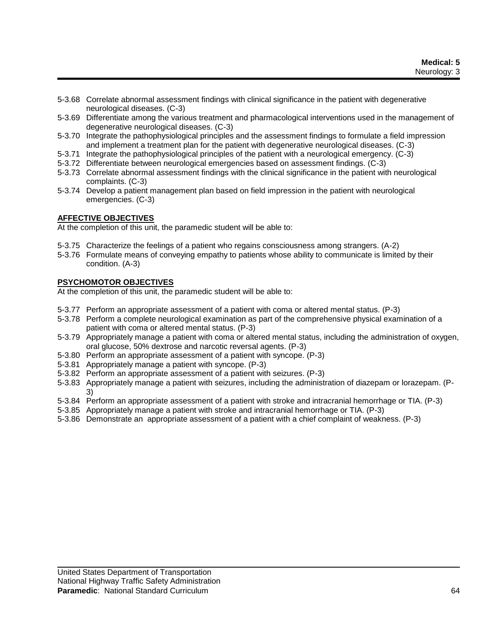- 5-3.68 Correlate abnormal assessment findings with clinical significance in the patient with degenerative neurological diseases. (C-3)
- 5-3.69 Differentiate among the various treatment and pharmacological interventions used in the management of degenerative neurological diseases. (C-3)
- 5-3.70 Integrate the pathophysiological principles and the assessment findings to formulate a field impression and implement a treatment plan for the patient with degenerative neurological diseases. (C-3)
- 5-3.71 Integrate the pathophysiological principles of the patient with a neurological emergency. (C-3)
- 5-3.72 Differentiate between neurological emergencies based on assessment findings. (C-3)
- 5-3.73 Correlate abnormal assessment findings with the clinical significance in the patient with neurological complaints. (C-3)
- 5-3.74 Develop a patient management plan based on field impression in the patient with neurological emergencies. (C-3)

# **AFFECTIVE OBJECTIVES**

At the completion of this unit, the paramedic student will be able to:

- 5-3.75 Characterize the feelings of a patient who regains consciousness among strangers. (A-2)
- 5-3.76 Formulate means of conveying empathy to patients whose ability to communicate is limited by their condition. (A-3)

### **PSYCHOMOTOR OBJECTIVES**

At the completion of this unit, the paramedic student will be able to:

- 5-3.77 Perform an appropriate assessment of a patient with coma or altered mental status. (P-3)
- 5-3.78 Perform a complete neurological examination as part of the comprehensive physical examination of a patient with coma or altered mental status. (P-3)
- 5-3.79 Appropriately manage a patient with coma or altered mental status, including the administration of oxygen, oral glucose, 50% dextrose and narcotic reversal agents. (P-3)
- 5-3.80 Perform an appropriate assessment of a patient with syncope. (P-3)
- 5-3.81 Appropriately manage a patient with syncope. (P-3)
- 5-3.82 Perform an appropriate assessment of a patient with seizures. (P-3)
- 5-3.83 Appropriately manage a patient with seizures, including the administration of diazepam or lorazepam. (P-3)
- 5-3.84 Perform an appropriate assessment of a patient with stroke and intracranial hemorrhage or TIA. (P-3)
- 5-3.85 Appropriately manage a patient with stroke and intracranial hemorrhage or TIA. (P-3)
- 5-3.86 Demonstrate an appropriate assessment of a patient with a chief complaint of weakness. (P-3)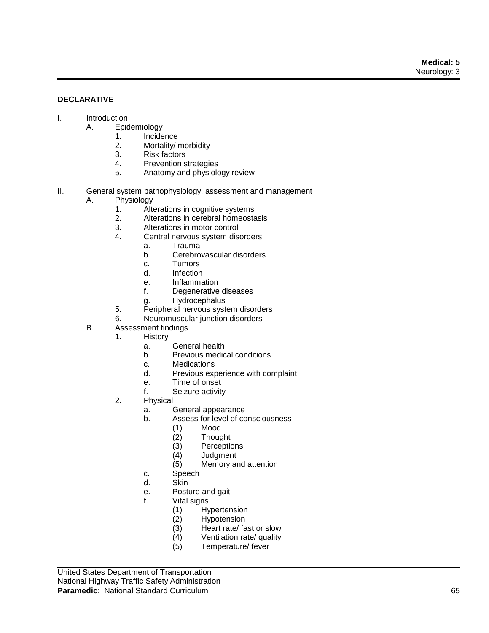### **DECLARATIVE**

- I. Introduction
	- A. Epidemiology
		- 1. Incidence
		- 2. Mortality/ morbidity
		- 3. Risk factors
		- 4. Prevention strategies
		- 5. Anatomy and physiology review
- II. General system pathophysiology, assessment and management
	- A. Physiology
		- 1. Alterations in cognitive systems
		- 2. Alterations in cerebral homeostasis
		- 3. Alterations in motor control
		- 4. Central nervous system disorders
			- a. Trauma
				- b. Cerebrovascular disorders
				- c. Tumors
				- d. Infection
				- e. Inflammation
				- f. Degenerative diseases
				- g. Hydrocephalus
		- 5. Peripheral nervous system disorders
		- 6. Neuromuscular junction disorders
	- B. Assessment findings
		- 1. History
			- a. General health
			- b. Previous medical conditions
			- c. Medications
			- d. Previous experience with complaint
			- e. Time of onset
			- f. Seizure activity
			- 2. Physical
				- a. General appearance
				- b. Assess for level of consciousness
					- (1) Mood
						-
					- (2) Thought (3) Perceptions<br>(4) Judgment
					- **Judgment**
					- (5) Memory and attention
				- c. Speech
				- d. Skin
				- e. Posture and gait
				- f. Vital signs
					- (1) Hypertension
					- (2) Hypotension<br>(3) Heart rate/fa
					- (3) Heart rate/ fast or slow<br>(4) Ventilation rate/ quality
					- Ventilation rate/ quality
					- (5) Temperature/ fever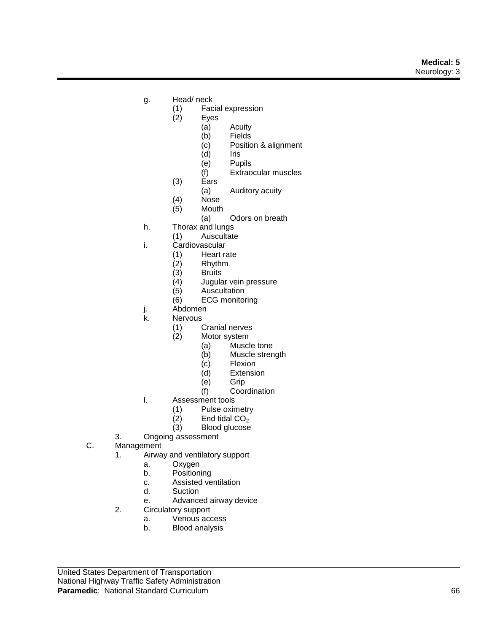- -
	- -
		-
		-
		-
		-
		-
	- -
	-
	- -
- -
	- -
		-
		-
		-
		-
		-
- 
- -
	- - -
		-
		-
		-
		-
- -
	-
	-
- 
- - -
		-
		-
		-
		-
	- -
		-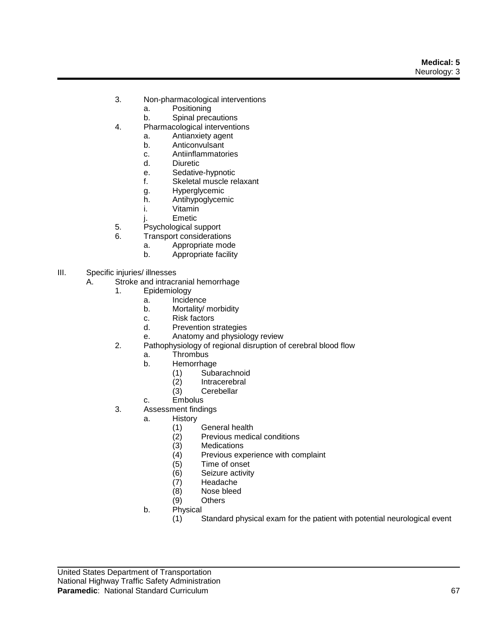- 3. Non-pharmacological interventions
	- a. Positioning
	- b. Spinal precautions
- 4. Pharmacological interventions
	- a. Antianxiety agent
	- b. Anticonvulsant
	- c. Antiinflammatories
	- d. Diuretic
	- e. Sedative-hypnotic
	- f. Skeletal muscle relaxant
	- g. Hyperglycemic
	- h. Antihypoglycemic
	- i. Vitamin
	- j. Emetic
- 5. Psychological support
- 6. Transport considerations
	- a. Appropriate mode
	- b. Appropriate facility
- III. Specific injuries/ illnesses
	- A. Stroke and intracranial hemorrhage
		- 1. Epidemiology
			- a. Incidence
			- b. Mortality/ morbidity
			- c. Risk factors
			- d. Prevention strategies
			- e. Anatomy and physiology review
		- 2. Pathophysiology of regional disruption of cerebral blood flow
			- a. Thrombus
			- b. Hemorrhage
				- (1) Subarachnoid
				- (2) Intracerebral<br>(3) Cerebellar
				- Cerebellar
			- c. Embolus
		- 3. Assessment findings
			- a. History
				- (1) General health
				- (2) Previous medical conditions
				- (3) Medications<br>(4) Previous exp
				- Previous experience with complaint
				- (5) Time of onset
				- (6) Seizure activity
				- (7) Headache
				- (8) Nose bleed
				- (9) Others
			- b. Physical
				- (1) Standard physical exam for the patient with potential neurological event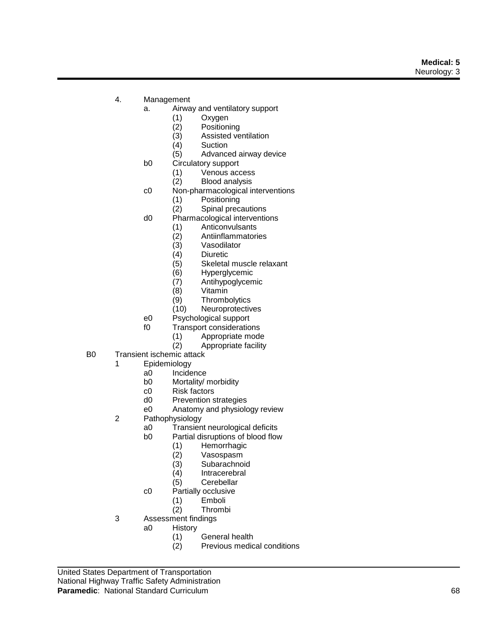- - -
		-
		-
		-
		-
	- -
		-
	- -
		-
	- -
		-
		-
		-
		-
		-
		-
		-
		-
		-
	-
	- - -
- - -
		-
		-
		-
		-
		- -
			- -
				-
				-
				-
				-
			- -
				-
		- - -
				-

United States Department of Transportation National Highway Traffic Safety Administration 4. Maximum and Maximum and Maximum and Maximum and Maximum and Maximum and Maximum and Maximum and Maximum and Maximum and Maximum and Maximum and Maximum and Maximum and Maximum and Maximum and Maximum and Maximum and Ma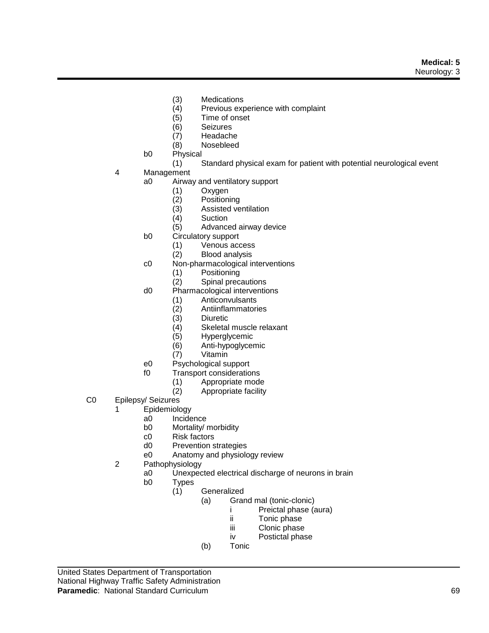- 
- (3) Medications<br>(4) Previous exp Previous experience with complaint
- (5) Time of onset
- (6) Seizures
- (7) Headache
- (8) Nosebleed
- b0 Physical
	- (1) Standard physical exam for patient with potential neurological event
- 4 Management
	- a0 Airway and ventilatory support
		- (1) Oxygen
		- Positioning
		- (3) Assisted ventilation
		- (4) Suction
		- (5) Advanced airway device
	- b0 Circulatory support
		- (1) Venous access
		- (2) Blood analysis
	- c0 Non-pharmacological interventions
		- (1) Positioning
		- (2) Spinal precautions
	- d0 Pharmacological interventions
		- (1) Anticonvulsants
		- (2) Antiinflammatories<br>(3) Diuretic
		- Diuretic
		- (4) Skeletal muscle relaxant
		- (5) Hyperglycemic
		- (6) Anti-hypoglycemic
		- (7) Vitamin
	- e0 Psychological support
	- f0 Transport considerations
		-
		- (1) Appropriate mode<br>(2) Appropriate facility Appropriate facility
- C0 Epilepsy/ Seizures
	- 1 Epidemiology
		- a0 Incidence<br>b0 Mortality/
		- Mortality/ morbidity
		- c0 Risk factors
		- d0 Prevention strategies
		- e0 Anatomy and physiology review
	- 2 Pathophysiology
		- a0 Unexpected electrical discharge of neurons in brain
		- b0 Types
			- (1) Generalized
				- (a) Grand mal (tonic-clonic)
					- i Preictal phase (aura)<br>ii Tonic phase
						- ii Tonic phase<br>iii Clonic phase
					- Clonic phase
					- iv Postictal phase
					- (b) Tonic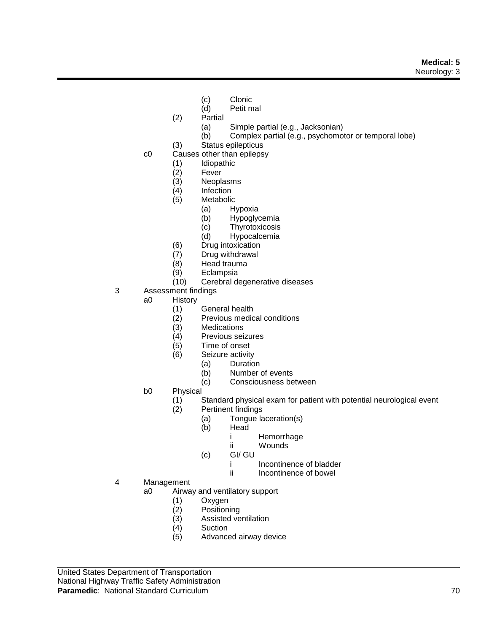- 
- (c) Clonic<br>(d) Petit m Petit mal
- (2) Partial
	- (a) Simple partial (e.g., Jacksonian)
	- (b) Complex partial (e.g., psychomotor or temporal lobe)
- (3) Status epilepticus
- c0 Causes other than epilepsy
	- (1) Idiopathic<br>(2) Fever
	- (2) Fever
	- Neoplasms
	- (4) Infection
	- (5) Metabolic
		- (a) Hypoxia
		- (b) Hypoglycemia
		- (c) Thyrotoxicosis
		- (d) Hypocalcemia
	- (6) Drug intoxication
	- (7) Drug withdrawal
	- (8) Head trauma
	- (9) Eclampsia
	- (10) Cerebral degenerative diseases
- 3 Assessment findings
	- a0 History
		- (1) General health<br>(2) Previous medic
		- Previous medical conditions
		- (3) Medications<br>(4) Previous sei.
		- Previous seizures
		- (5) Time of onset
		- (6) Seizure activity
			- (a) Duration
				- (b) Number of events
				- (c) Consciousness between
	- b0 Physical
		- (1) Standard physical exam for patient with potential neurological event (2) Pertinent findings
			- Pertinent findings
				- (a) Tongue laceration(s)<br>(b) Head
				- Head
					- i Hemorrhage
					- ii Wounds
				- (c) GI/ GU
					- i lncontinence of bladder
					- ii Incontinence of bowel
- 4 Management
	- a0 Airway and ventilatory support
		- (1) Oxygen
		- (2) Positioning
		- Assisted ventilation
		- (4) Suction
		- (5) Advanced airway device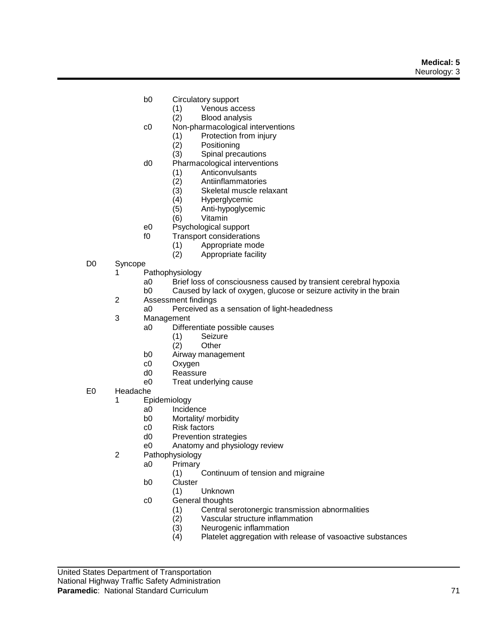- b0 Circulatory support
	- (1) Venous access
	- (2) Blood analysis
- c0 Non-pharmacological interventions
	- (1) Protection from injury
	- (2) Positioning
	- (3) Spinal precautions
- d0 Pharmacological interventions
	- (1) Anticonvulsants
	- (2) Antiinflammatories
	- (3) Skeletal muscle relaxant<br>(4) Hyperglycemic
	- Hyperglycemic
	- (5) Anti-hypoglycemic
	- (6) Vitamin
- e0 Psychological support
- f0 Transport considerations
	- (1) Appropriate mode
		- (2) Appropriate facility
- D0 Syncope
	- 1 Pathophysiology
		- a0 Brief loss of consciousness caused by transient cerebral hypoxia
		- b0 Caused by lack of oxygen, glucose or seizure activity in the brain
	- 2 Assessment findings<br>a0 Perceived as
		- Perceived as a sensation of light-headedness
	- 3 Management
		- a0 Differentiate possible causes
			- (1) Seizure
			- (2) Other
		- b0 Airway management
		- c0 Oxygen
		- d0 Reassure
		- e0 Treat underlying cause
- E0 Headache
	- 1 Epidemiology
		- a0 Incidence
		- b0 Mortality/ morbidity
		- c0 Risk factors
		- d0 Prevention strategies
		- e0 Anatomy and physiology review
	- 2 Pathophysiology
		- a0 Primary
			- (1) Continuum of tension and migraine
		- b0 Cluster
			- (1) Unknown
		- c0 General thoughts
			- (1) Central serotonergic transmission abnormalities
			- (2) Vascular structure inflammation
			- (3) Neurogenic inflammation<br>(4) Platelet aggregation with
			- Platelet aggregation with release of vasoactive substances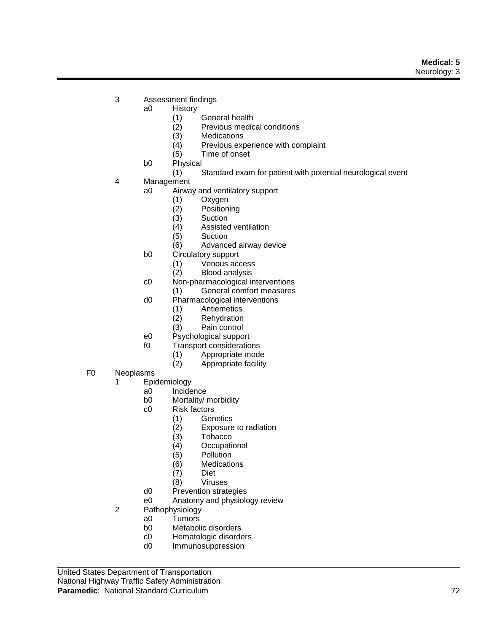- 3 Assessment findings
	- a0 History
		- (1) General health
		- (2) Previous medical conditions
		- (3) Medications
		- (4) Previous experience with complaint
		- (5) Time of onset
		- b0 Physical
			- (1) Standard exam for patient with potential neurological event
- 4 Management
	- a0 Airway and ventilatory support
		- (1) Oxygen
		- (2) Positioning
		- (3) Suction<br>(4) Assisted
		- Assisted ventilation
		- (5) Suction
		- (6) Advanced airway device
	- b0 Circulatory support
		- (1) Venous access
		- (2) Blood analysis
	- c0 Non-pharmacological interventions
		- (1) General comfort measures
	- d0 Pharmacological interventions
		- (1) Antiemetics<br>(2) Rehydration
		- **Rehydration**
		- (3) Pain control
	- e0 Psychological support
	- f0 Transport considerations
		- (1) Appropriate mode
		- (2) Appropriate facility
- F0 Neoplasms
	- 1 Epidemiology
		-
		- a0 Incidence<br>b0 Mortality/ Mortality/ morbidity
		- c0 Risk factors
			- - (1) Genetics<br>(2) Exposure Exposure to radiation
				- (3) Tobacco
				- (4) Occupational
				- (5) Pollution
				- (6) Medications
				- (7) Diet
				- (8) Viruses
		- d0 Prevention strategies
		- e0 Anatomy and physiology review
	- 2 Pathophysiology
		- a0 Tumors
		- b0 Metabolic disorders<br>c0 Hematologic disorde
		- c0 Hematologic disorders<br>d0 Immunosuppression
		- **Immunosuppression**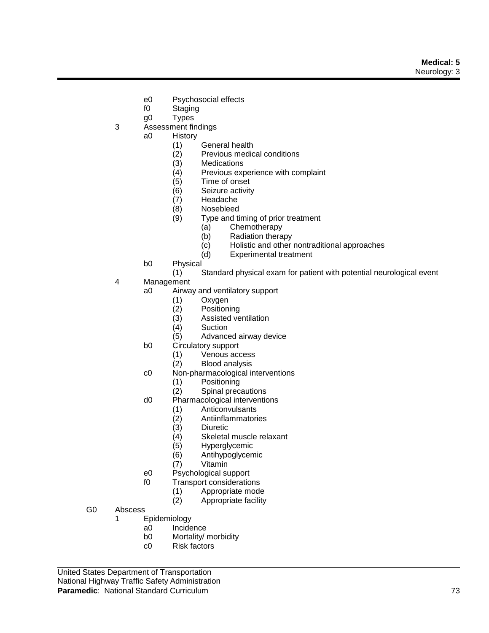#### **Medical: 5** Neurology: 3

- e0 Psychosocial effects
- f0 Staging
- g0 Types
- 3 Assessment findings
	- a0 History
		- (1) General health
		- (2) Previous medical conditions
		- (3) Medications<br>(4) Previous exp
		- Previous experience with complaint
		- (5) Time of onset
		- (6) Seizure activity
		- (7) Headache
		- (8) Nosebleed
		- (9) Type and timing of prior treatment
			- (a) Chemotherapy
			- (b) Radiation therapy
			- (c) Holistic and other nontraditional approaches
			- (d) Experimental treatment
		- b0 Physical
			- (1) Standard physical exam for patient with potential neurological event
- 4 Management
	- a0 Airway and ventilatory support
		- (1) Oxygen<br>(2) Position
		- (2) Positioning
		- Assisted ventilation
		- (4) Suction
		- (5) Advanced airway device
	- b0 Circulatory support
		- (1) Venous access
		- (2) Blood analysis
	- c0 Non-pharmacological interventions
		- (1) Positioning
		- Spinal precautions
	- d0 Pharmacological interventions
		- (1) Anticonvulsants
		- (2) Antiinflammatories
		- (3) Diuretic
		- Skeletal muscle relaxant
		- (5) Hyperglycemic
		- (6) Antihypoglycemic
		- (7) Vitamin
	- e0 Psychological support
	- f0 Transport considerations
		- (1) Appropriate mode
		- (2) Appropriate facility
- G0 Abscess
	- 1 Epidemiology
		- a0 Incidence<br>b0 Mortality/
		- Mortality/ morbidity
		- c0 Risk factors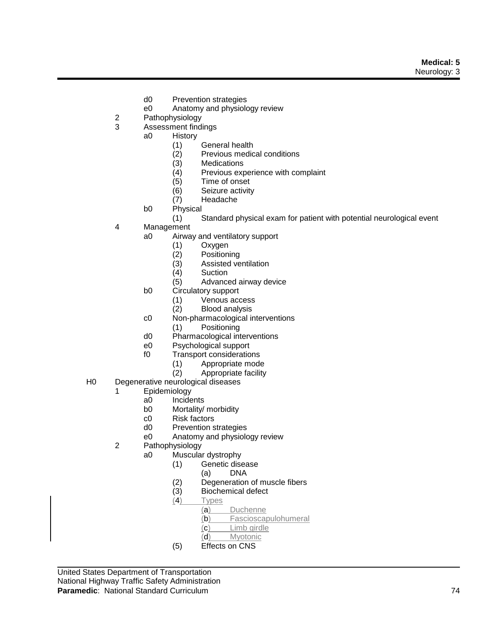- d0 Prevention strategies<br>e0 Anatomy and physiology
- Anatomy and physiology review
- 2 Pathophysiology
- 3 Assessment findings
	- a0 History
		- (1) General health
		- (2) Previous medical conditions
		- (3) Medications<br>(4) Previous exp
		- Previous experience with complaint
		- (5) Time of onset
		- (6) Seizure activity
		- (7) Headache
		- b0 Physical
			- (1) Standard physical exam for patient with potential neurological event
- 4 Management
	- a0 Airway and ventilatory support
		- (1) Oxygen
		- (2) Positioning
		- (3) Assisted ventilation<br>(4) Suction
		- **Suction**
		- (5) Advanced airway device
	- b0 Circulatory support
		- (1) Venous access
		- Blood analysis
	- c0 Non-pharmacological interventions
		- (1) Positioning
	- d0 Pharmacological interventions
	- e0 Psychological support
	- f0 Transport considerations
		- (1) Appropriate mode
		- (2) Appropriate facility
- H0 Degenerative neurological diseases
	- 1 Epidemiology
		- a0 Incidents
		- b0 Mortality/ morbidity<br>c0 Risk factors
		-
		- c0 Risk factors<br>d0 Prevention s Prevention strategies
		- e0 Anatomy and physiology review
		- 2 Pathophysiology
			- a0 Muscular dystrophy
				- (1) Genetic disease
					- (a) DNA
				- (2) Degeneration of muscle fibers
				- (3) Biochemical defect
				- (4) Types
					- (a) Duchenne
					- (b) Fascioscapulohumeral
					- (c) Limb girdle<br>(d) Myotonic
					- **Myotonic**
				- (5) Effects on CNS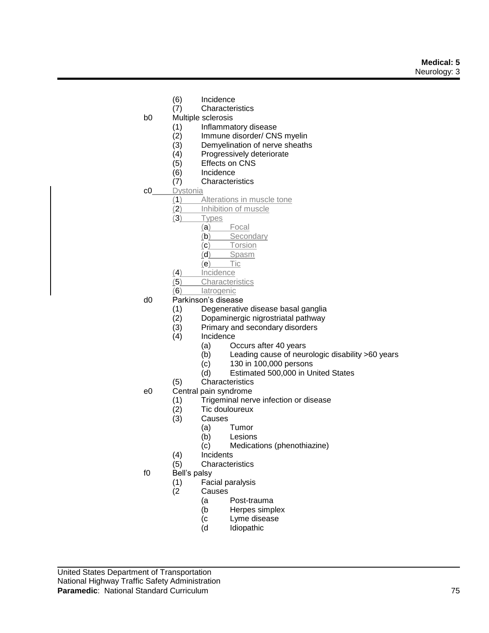#### **Medical: 5** Neurology: 3

- (6) Incidence
- (7) Characteristics
- b0 Multiple sclerosis
	- (1) Inflammatory disease
	- (2) Immune disorder/ CNS myelin
	- (3) Demyelination of nerve sheaths<br>(4) Progressively deteriorate
	- (4) Progressively deteriorate<br>(5) Effects on CNS
	- (5) Effects on CNS
	- **Incidence**
	- (7) Characteristics
- c0 Dystonia
	- (1) Alterations in muscle tone
	- (2) Inhibition of muscle
	- (3) Types
		- (a) Focal
		- (b) Secondary
		- (c) Torsion
		- (d) Spasm
		- (e) Tic
	- (4) Incidence
	- (5) Characteristics
	- (6) Iatrogenic
- d0 Parkinson's disease
	- (1) Degenerative disease basal ganglia<br>(2) Dopaminergic nigrostriatal pathway
	- Dopaminergic nigrostriatal pathway
	- (3) Primary and secondary disorders<br>(4) Incidence
	- **Incidence** 
		- (a) Occurs after 40 years
		- (b) Leading cause of neurologic disability >60 years
		- (c) 130 in 100,000 persons
		- (d) Estimated 500,000 in United States
	- (5) Characteristics
- e0 Central pain syndrome
	- (1) Trigeminal nerve infection or disease<br>(2) Tic douloureux
	- Tic douloureux
	- (3) Causes
		- (a) Tumor
		- (b) Lesions<br>(c) Medicat
		- Medications (phenothiazine)
	- (4) Incidents
	- (5) Characteristics
- f0 Bell's palsy
	- (1) Facial paralysis
	- (2 Causes
		- (a Post-trauma
		- (b Herpes simplex
		- (c Lyme disease
		- (d Idiopathic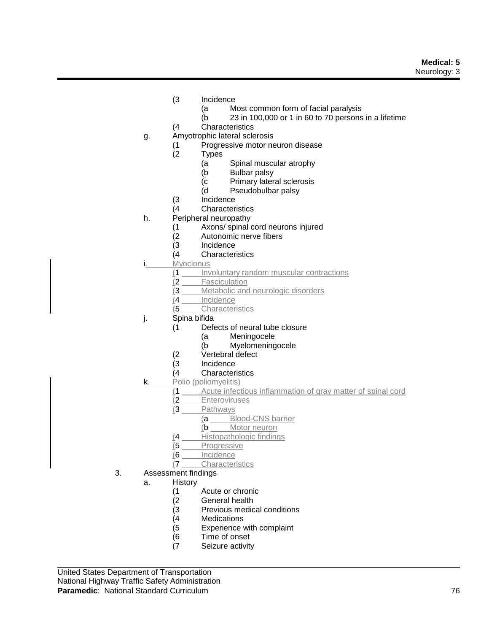**Medical: 5** Neurology: 3

- (3 Incidence
	- (a Most common form of facial paralysis
	- (b 23 in 100,000 or 1 in 60 to 70 persons in a lifetime
- (4 Characteristics
- g. Amyotrophic lateral sclerosis
	- (1 Progressive motor neuron disease
	- **Types** 
		- (a Spinal muscular atrophy<br>(b Bulbar palsy
		- Bulbar palsy
		- (c Primary lateral sclerosis
		- (d Pseudobulbar palsy
	- (3 Incidence
	- (4 Characteristics
- h. Peripheral neuropathy
	- (1 Axons/ spinal cord neurons injured
	- (2 Autonomic nerve fibers
	- (3 Incidence
	- (4 Characteristics
- Myoclonus
	- (1 Involuntary random muscular contractions
	- (2 Fasciculation
	- (3 Metabolic and neurologic disorders
	- (4 Incidence
	- (5 Characteristics
- j. Spina bifida
	- (1 Defects of neural tube closure
		- (a Meningocele
		- (b Myelomeningocele
	- (2 Vertebral defect
	- (3 Incidence

# (4 Characteristics

- k. Polio (poliomyelitis)
	- (1 Acute infectious inflammation of gray matter of spinal cord
		- **Enteroviruses**
		- (3 Pathways
			- (a Blood-CNS barrier
			- (b Motor neuron
		- (4 Histopathologic findings
		- (5 Progressive
		- (6 Incidence
		- (7 Characteristics
- 3. Assessment findings
	- a. History
		- (1 Acute or chronic
		- General health
		- (3 Previous medical conditions
		- (4 Medications
		- (5 Experience with complaint
		-
		- (6 Time of onset<br>(7 Seizure activity Seizure activity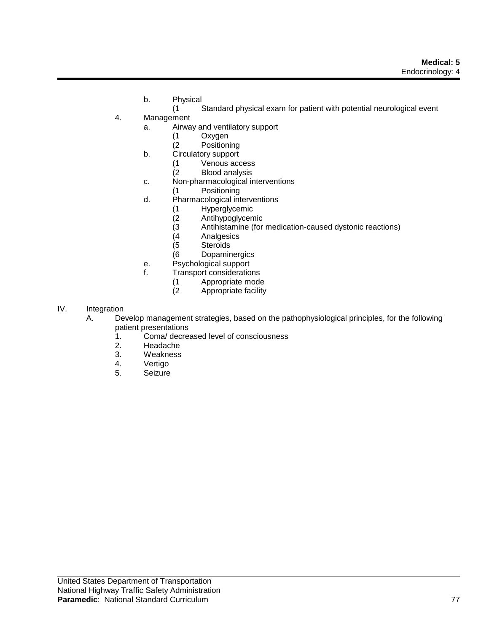- b. Physical
	- (1 Standard physical exam for patient with potential neurological event
- 4. Management
	- a. Airway and ventilatory support
		- (1 Oxygen
		- (2 Positioning
	- b. Circulatory support
		- (1 Venous access
		- **Blood analysis**
	- c. Non-pharmacological interventions
		- (1 Positioning
	- d. Pharmacological interventions
		- (1 Hyperglycemic<br>(2 Antihypoglycem
		- (2 Antihypoglycemic
		- Antihistamine (for medication-caused dystonic reactions)
		- (4 Analgesics
		- (5 Steroids
		- (6 Dopaminergics
	- e. Psychological support
	- f. Transport considerations
		- (1 Appropriate mode
		- (2 Appropriate facility

## IV. Integration

- A. Develop management strategies, based on the pathophysiological principles, for the following patient presentations
	- 1. Coma/ decreased level of consciousness
	- **Headache**
	- 3. Weakness
	- 4. Vertigo
	- 5. Seizure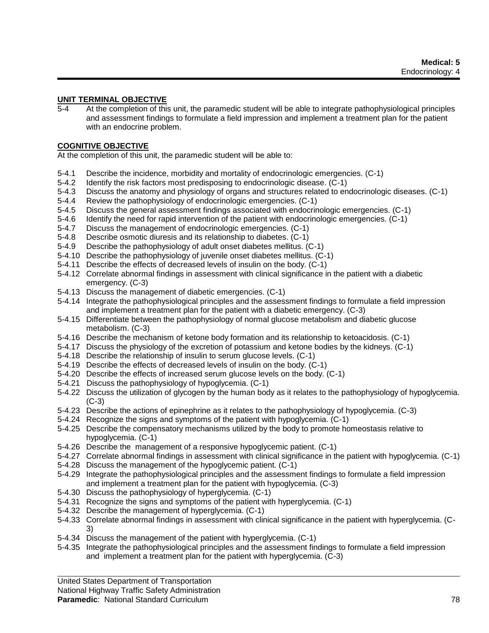## **UNIT TERMINAL OBJECTIVE**

5-4 At the completion of this unit, the paramedic student will be able to integrate pathophysiological principles and assessment findings to formulate a field impression and implement a treatment plan for the patient with an endocrine problem.

## **COGNITIVE OBJECTIVE**

At the completion of this unit, the paramedic student will be able to:

- 5-4.1 Describe the incidence, morbidity and mortality of endocrinologic emergencies. (C-1)
- 5-4.2 Identify the risk factors most predisposing to endocrinologic disease. (C-1)
- 5-4.3 Discuss the anatomy and physiology of organs and structures related to endocrinologic diseases. (C-1)
- 5-4.4 Review the pathophysiology of endocrinologic emergencies. (C-1)
- 5-4.5 Discuss the general assessment findings associated with endocrinologic emergencies. (C-1)
- 5-4.6 Identify the need for rapid intervention of the patient with endocrinologic emergencies. (C-1)
- 5-4.7 Discuss the management of endocrinologic emergencies. (C-1)
- 5-4.8 Describe osmotic diuresis and its relationship to diabetes. (C-1)
- 5-4.9 Describe the pathophysiology of adult onset diabetes mellitus. (C-1)
- 5-4.10 Describe the pathophysiology of juvenile onset diabetes mellitus. (C-1)
- 5-4.11 Describe the effects of decreased levels of insulin on the body. (C-1)
- 5-4.12 Correlate abnormal findings in assessment with clinical significance in the patient with a diabetic emergency. (C-3)
- 5-4.13 Discuss the management of diabetic emergencies. (C-1)
- 5-4.14 Integrate the pathophysiological principles and the assessment findings to formulate a field impression and implement a treatment plan for the patient with a diabetic emergency. (C-3)
- 5-4.15 Differentiate between the pathophysiology of normal glucose metabolism and diabetic glucose metabolism. (C-3)
- 5-4.16 Describe the mechanism of ketone body formation and its relationship to ketoacidosis. (C-1)
- 5-4.17 Discuss the physiology of the excretion of potassium and ketone bodies by the kidneys. (C-1)
- 5-4.18 Describe the relationship of insulin to serum glucose levels. (C-1)
- 5-4.19 Describe the effects of decreased levels of insulin on the body. (C-1)
- 5-4.20 Describe the effects of increased serum glucose levels on the body. (C-1)
- 5-4.21 Discuss the pathophysiology of hypoglycemia. (C-1)
- 5-4.22 Discuss the utilization of glycogen by the human body as it relates to the pathophysiology of hypoglycemia.  $(C-3)$
- 5-4.23 Describe the actions of epinephrine as it relates to the pathophysiology of hypoglycemia. (C-3)
- 5-4.24 Recognize the signs and symptoms of the patient with hypoglycemia. (C-1)
- 5-4.25 Describe the compensatory mechanisms utilized by the body to promote homeostasis relative to hypoglycemia. (C-1)
- 5-4.26 Describe the management of a responsive hypoglycemic patient. (C-1)
- 5-4.27 Correlate abnormal findings in assessment with clinical significance in the patient with hypoglycemia. (C-1)
- 5-4.28 Discuss the management of the hypoglycemic patient. (C-1)
- 5-4.29 Integrate the pathophysiological principles and the assessment findings to formulate a field impression and implement a treatment plan for the patient with hypoglycemia. (C-3)
- 5-4.30 Discuss the pathophysiology of hyperglycemia. (C-1)
- 5-4.31 Recognize the signs and symptoms of the patient with hyperglycemia. (C-1)
- 5-4.32 Describe the management of hyperglycemia. (C-1)
- 5-4.33 Correlate abnormal findings in assessment with clinical significance in the patient with hyperglycemia. (C-3)
- 5-4.34 Discuss the management of the patient with hyperglycemia. (C-1)
- 5-4.35 Integrate the pathophysiological principles and the assessment findings to formulate a field impression and implement a treatment plan for the patient with hyperglycemia. (C-3)

United States Department of Transportation

National Highway Traffic Safety Administration

#### **Paramedic**: National Standard Curriculum 78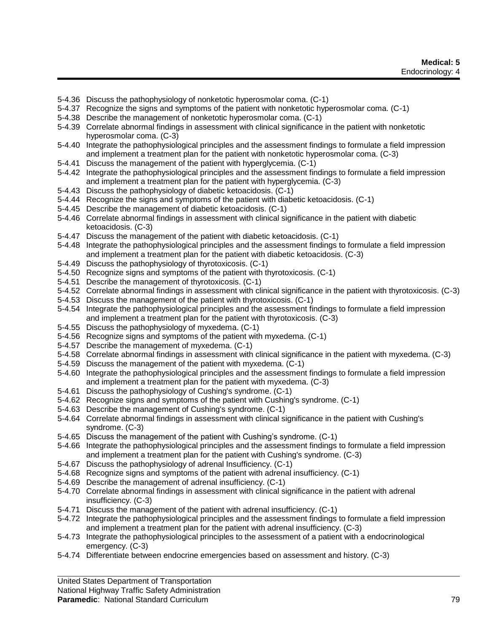5-4.36 Discuss the pathophysiology of nonketotic hyperosmolar coma. (C-1)

- 5-4.37 Recognize the signs and symptoms of the patient with nonketotic hyperosmolar coma. (C-1)
- 5-4.38 Describe the management of nonketotic hyperosmolar coma. (C-1)
- 5-4.39 Correlate abnormal findings in assessment with clinical significance in the patient with nonketotic hyperosmolar coma. (C-3)
- 5-4.40 Integrate the pathophysiological principles and the assessment findings to formulate a field impression and implement a treatment plan for the patient with nonketotic hyperosmolar coma. (C-3)
- 5-4.41 Discuss the management of the patient with hyperglycemia. (C-1)
- 5-4.42 Integrate the pathophysiological principles and the assessment findings to formulate a field impression and implement a treatment plan for the patient with hyperglycemia. (C-3)
- 5-4.43 Discuss the pathophysiology of diabetic ketoacidosis. (C-1)
- 5-4.44 Recognize the signs and symptoms of the patient with diabetic ketoacidosis. (C-1)
- 5-4.45 Describe the management of diabetic ketoacidosis. (C-1)
- 5-4.46 Correlate abnormal findings in assessment with clinical significance in the patient with diabetic ketoacidosis. (C-3)
- 5-4.47 Discuss the management of the patient with diabetic ketoacidosis. (C-1)
- 5-4.48 Integrate the pathophysiological principles and the assessment findings to formulate a field impression and implement a treatment plan for the patient with diabetic ketoacidosis. (C-3)
- 5-4.49 Discuss the pathophysiology of thyrotoxicosis. (C-1)
- 5-4.50 Recognize signs and symptoms of the patient with thyrotoxicosis. (C-1)
- 5-4.51 Describe the management of thyrotoxicosis. (C-1)
- 5-4.52 Correlate abnormal findings in assessment with clinical significance in the patient with thyrotoxicosis. (C-3)
- 5-4.53 Discuss the management of the patient with thyrotoxicosis. (C-1)
- 5-4.54 Integrate the pathophysiological principles and the assessment findings to formulate a field impression and implement a treatment plan for the patient with thyrotoxicosis. (C-3)
- 5-4.55 Discuss the pathophysiology of myxedema. (C-1)
- 5-4.56 Recognize signs and symptoms of the patient with myxedema. (C-1)
- 5-4.57 Describe the management of myxedema. (C-1)
- 5-4.58 Correlate abnormal findings in assessment with clinical significance in the patient with myxedema. (C-3)
- 5-4.59 Discuss the management of the patient with myxedema. (C-1)
- 5-4.60 Integrate the pathophysiological principles and the assessment findings to formulate a field impression and implement a treatment plan for the patient with myxedema. (C-3)
- 5-4.61 Discuss the pathophysiology of Cushing's syndrome. (C-1)
- 5-4.62 Recognize signs and symptoms of the patient with Cushing's syndrome. (C-1)
- 5-4.63 Describe the management of Cushing's syndrome. (C-1)
- 5-4.64 Correlate abnormal findings in assessment with clinical significance in the patient with Cushing's syndrome. (C-3)
- 5-4.65 Discuss the management of the patient with Cushing's syndrome. (C-1)
- 5-4.66 Integrate the pathophysiological principles and the assessment findings to formulate a field impression and implement a treatment plan for the patient with Cushing's syndrome. (C-3)
- 5-4.67 Discuss the pathophysiology of adrenal Insufficiency. (C-1)
- 5-4.68 Recognize signs and symptoms of the patient with adrenal insufficiency. (C-1)
- 5-4.69 Describe the management of adrenal insufficiency. (C-1)
- 5-4.70 Correlate abnormal findings in assessment with clinical significance in the patient with adrenal insufficiency. (C-3)
- 5-4.71 Discuss the management of the patient with adrenal insufficiency. (C-1)
- 5-4.72 Integrate the pathophysiological principles and the assessment findings to formulate a field impression and implement a treatment plan for the patient with adrenal insufficiency. (C-3)
- 5-4.73 Integrate the pathophysiological principles to the assessment of a patient with a endocrinological emergency. (C-3)
- 5-4.74 Differentiate between endocrine emergencies based on assessment and history. (C-3)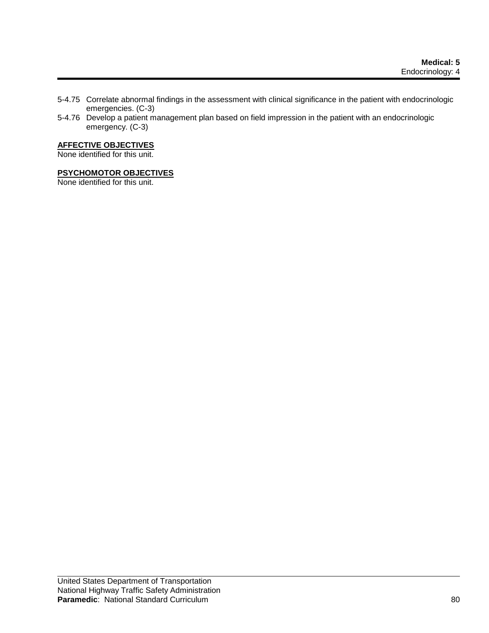- 5-4.75 Correlate abnormal findings in the assessment with clinical significance in the patient with endocrinologic emergencies. (C-3)
- 5-4.76 Develop a patient management plan based on field impression in the patient with an endocrinologic emergency. (C-3)

# **AFFECTIVE OBJECTIVES**

None identified for this unit.

## **PSYCHOMOTOR OBJECTIVES**

None identified for this unit.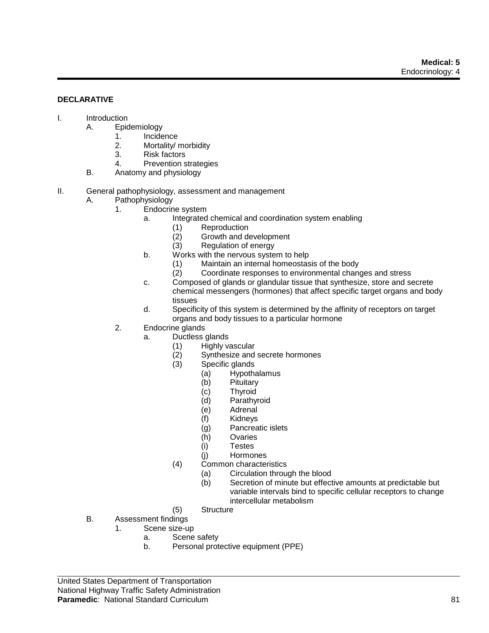## **DECLARATIVE**

- I. Introduction
	- A. Epidemiology
		- 1. Incidence
		- 2. Mortality/ morbidity
		- 3. Risk factors
		- 4. Prevention strategies
	- B. Anatomy and physiology
- II. General pathophysiology, assessment and management
	- A. Pathophysiology
		- 1. Endocrine system
			- a. Integrated chemical and coordination system enabling
				- (1) Reproduction
				- (2) Growth and development
				- (3) Regulation of energy
			- b. Works with the nervous system to help
				- (1) Maintain an internal homeostasis of the body
				- (2) Coordinate responses to environmental changes and stress
			- c. Composed of glands or glandular tissue that synthesize, store and secrete chemical messengers (hormones) that affect specific target organs and body tissues
			- d. Specificity of this system is determined by the affinity of receptors on target organs and body tissues to a particular hormone
		- 2. Endocrine glands
			- a. Ductless glands
				- (1) Highly vascular
				- (2) Synthesize and secrete hormones
				- (3) Specific glands
					- (a) Hypothalamus
						- (b) Pituitary
						- (c) Thyroid
						- (d) Parathyroid
						- (e) Adrenal
						- (f) Kidneys
						- (g) Pancreatic islets
						- (h) Ovaries
						- (i) Testes
						- (j) Hormones
				- (4) Common characteristics
					- (a) Circulation through the blood
					- (b) Secretion of minute but effective amounts at predictable but variable intervals bind to specific cellular receptors to change intercellular metabolism
				- (5) Structure
	- B. Assessment findings
		- 1. Scene size-up
			- a. Scene safety
			- b. Personal protective equipment (PPE)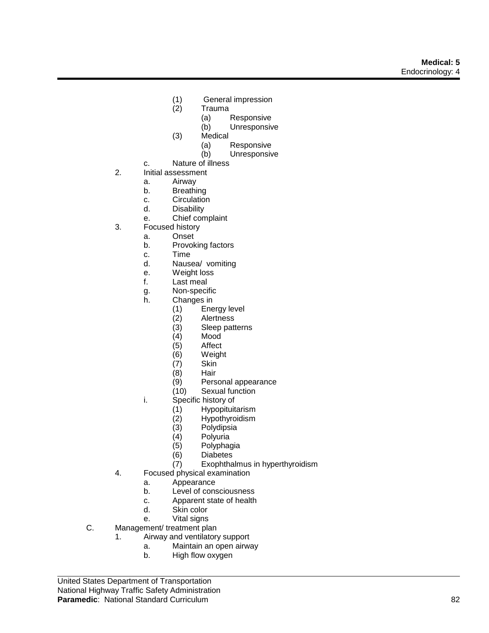- (1) General impression
- **Trauma** 
	- (a) Responsive
	- (b) Unresponsive
- (3) Medical
	- (a) Responsive
	- (b) Unresponsive
- c. Nature of illness
- 2. Initial assessment
	- a. Airway
	- b. Breathing
	- c. Circulation
	- d. Disability
	- e. Chief complaint
- 3. Focused history
	- a. Onset
	- b. Provoking factors
	- c. Time
	- d. Nausea/ vomiting
	- e. Weight loss
	- f. Last meal
	- g. Non-specific
	- h. Changes in
		- (1) Energy level<br>(2) Alertness
		- Alertness
		- (3) Sleep patterns
		- (4) Mood
		- **Affect**
		- (6) Weight
		- (7) Skin
		- (8) Hair
		- (9) Personal appearance
		- (10) Sexual function
	- i. Specific history of
		- (1) Hypopituitarism
		- (2) Hypothyroidism<br>(3) Polydipsia
		- (3) Polydipsia
		- **Polvuria**
		- (5) Polyphagia
		- (6) Diabetes
		- (7) Exophthalmus in hyperthyroidism
- 4. Focused physical examination
	- a. Appearance
		- b. Level of consciousness
		- c. Apparent state of health
		- d. Skin color
		- e. Vital signs
- C. Management/ treatment plan
	- 1. Airway and ventilatory support
		- a. Maintain an open airway
		- b. High flow oxygen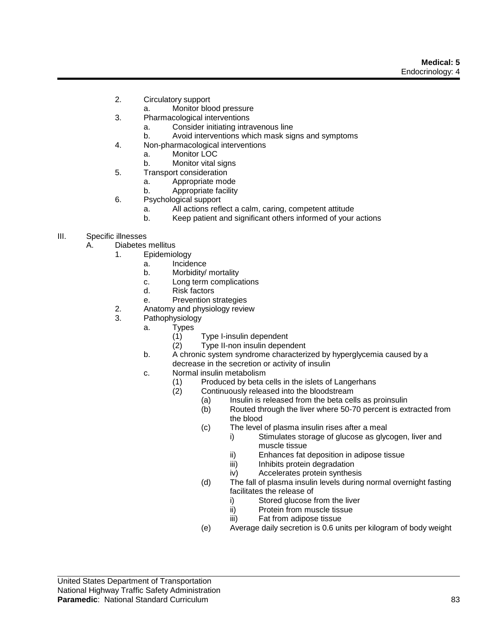- 2. Circulatory support
	- a. Monitor blood pressure
- 3. Pharmacological interventions
	- a. Consider initiating intravenous line
	- b. Avoid interventions which mask signs and symptoms
- 4. Non-pharmacological interventions
	- a. Monitor LOC
	- b. Monitor vital signs
- 5. Transport consideration
	- a. Appropriate mode
	- b. Appropriate facility
- 6. Psychological support
	- a. All actions reflect a calm, caring, competent attitude
	- b. Keep patient and significant others informed of your actions
- III. Specific illnesses
	- A. Diabetes mellitus
		- 1. Epidemiology
			- a. Incidence
			- b. Morbidity/ mortality
			- c. Long term complications
			- d. Risk factors
			- e. Prevention strategies
		- 2. Anatomy and physiology review
		- 3. Pathophysiology
			- a. Types
				- (1) Type I-insulin dependent
				- (2) Type II-non insulin dependent
			- b. A chronic system syndrome characterized by hyperglycemia caused by a decrease in the secretion or activity of insulin
			- c. Normal insulin metabolism
				- (1) Produced by beta cells in the islets of Langerhans<br>(2) Continuously released into the bloodstream
					- Continuously released into the bloodstream
						- (a) Insulin is released from the beta cells as proinsulin<br>(b) Routed through the liver where 50-70 percent is ext
						- Routed through the liver where 50-70 percent is extracted from the blood
						- (c) The level of plasma insulin rises after a meal
							- i) Stimulates storage of glucose as glycogen, liver and muscle tissue
							- ii) Enhances fat deposition in adipose tissue
							- iii) Inhibits protein degradation
							- iv) Accelerates protein synthesis
						- (d) The fall of plasma insulin levels during normal overnight fasting facilitates the release of
							- i) Stored glucose from the liver
							- ii) Protein from muscle tissue
							- iii) Fat from adipose tissue
						- (e) Average daily secretion is 0.6 units per kilogram of body weight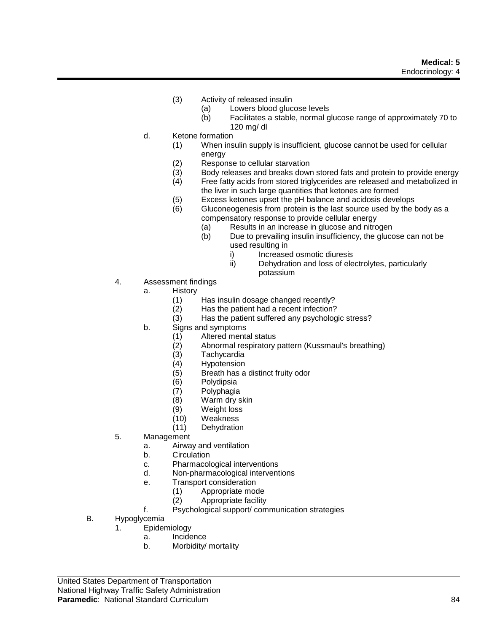- (3) Activity of released insulin
	- (a) Lowers blood glucose levels
	- (b) Facilitates a stable, normal glucose range of approximately 70 to 120 mg/ dl
- d. Ketone formation
	- (1) When insulin supply is insufficient, glucose cannot be used for cellular energy
	- (2) Response to cellular starvation<br>(3) Body releases and breaks down
	- Body releases and breaks down stored fats and protein to provide energy
	- (4) Free fatty acids from stored triglycerides are released and metabolized in the liver in such large quantities that ketones are formed
	- (5) Excess ketones upset the pH balance and acidosis develops
	- (6) Gluconeogenesis from protein is the last source used by the body as a compensatory response to provide cellular energy
		- (a) Results in an increase in glucose and nitrogen
		- (b) Due to prevailing insulin insufficiency, the glucose can not be used resulting in
			- i) Increased osmotic diuresis
			- ii) Dehydration and loss of electrolytes, particularly potassium
- 4. Assessment findings
	- a. History
		- (1) Has insulin dosage changed recently?<br>(2) Has the patient had a recent infection?
		- Has the patient had a recent infection?
		- (3) Has the patient suffered any psychologic stress?
	- b. Signs and symptoms
		- (1) Altered mental status
			- (2) Abnormal respiratory pattern (Kussmaul's breathing)
			- (3) Tachycardia
			- (4) Hypotension
			- (5) Breath has a distinct fruity odor
			- (6) Polydipsia
			- (7) Polyphagia
			- Warm dry skin
			- (9) Weight loss
			- (10) Weakness
			- (11) Dehydration
- 5. Management
	- a. Airway and ventilation
	- b. Circulation
	- c. Pharmacological interventions
	- d. Non-pharmacological interventions
	- e. Transport consideration
		- (1) Appropriate mode
		- (2) Appropriate facility
	- f. Psychological support/ communication strategies
- B. Hypoglycemia
	- 1. Epidemiology
		- a. Incidence
			- b. Morbidity/ mortality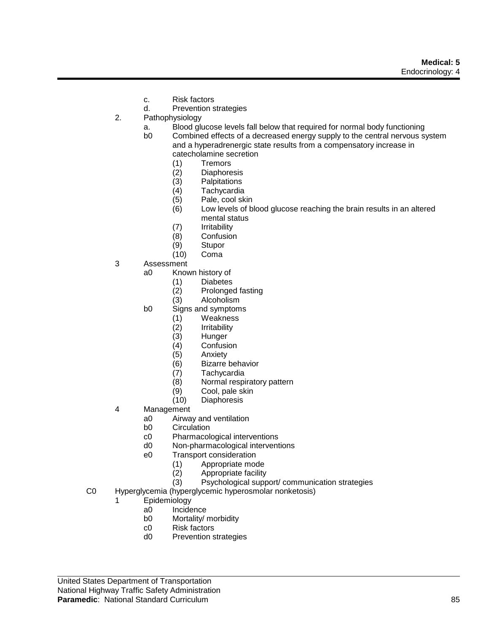- c. Risk factors
- d. Prevention strategies
- 2. Pathophysiology
	- a. Blood glucose levels fall below that required for normal body functioning
	- b0 Combined effects of a decreased energy supply to the central nervous system and a hyperadrenergic state results from a compensatory increase in catecholamine secretion
		-
		- (1) Tremors
		- (2) Diaphoresis<br>(3) Palpitations **Palpitations**
		- (4) Tachycardia
		- (5) Pale, cool skin
		- (6) Low levels of blood glucose reaching the brain results in an altered mental status
		- (7) Irritability
		- (8) Confusion
		- (9) Stupor
		- (10) Coma
- 3 Assessment
	- a0 Known history of
		- (1) Diabetes
			- Prolonged fasting
		- (3) Alcoholism
	- b0 Signs and symptoms
		- (1) Weakness
		- (2) Irritability
		-
		- (3) Hunger<br>(4) Confusi **Confusion**
		- (5) Anxiety
		- (6) Bizarre behavior
		- (7) Tachycardia
		- (8) Normal respiratory pattern<br>(9) Cool, pale skin
		- (9) Cool, pale skin<br>(10) Diaphoresis
		- Diaphoresis
- 4 Management
	- a0 Airway and ventilation
	- b0 Circulation
	- c0 Pharmacological interventions
	- d0 Non-pharmacological interventions
	- e0 Transport consideration
		- (1) Appropriate mode
		- (2) Appropriate facility
		- (3) Psychological support/ communication strategies
- C0 Hyperglycemia (hyperglycemic hyperosmolar nonketosis)
	- 1 Epidemiology
		- a0 Incidence
		- b0 Mortality/ morbidity
		- c0 Risk factors
		- d0 Prevention strategies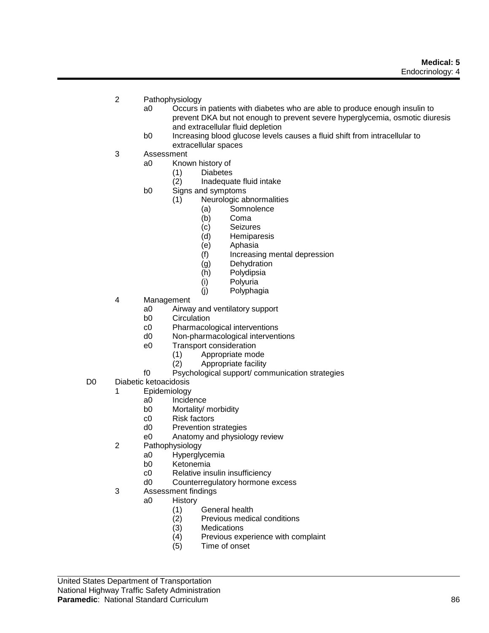- 2 Pathophysiology
	- a0 Occurs in patients with diabetes who are able to produce enough insulin to prevent DKA but not enough to prevent severe hyperglycemia, osmotic diuresis and extracellular fluid depletion
	- b0 Increasing blood glucose levels causes a fluid shift from intracellular to extracellular spaces
- 3 Assessment
	- a0 Known history of
		- (1) Diabetes
		- (2) Inadequate fluid intake
	- b0 Signs and symptoms
		- (1) Neurologic abnormalities
			- (a) Somnolence
			- (b) Coma
			- (c) Seizures
			- (d) Hemiparesis
			- (e) Aphasia
			- (f) Increasing mental depression
			- (g) Dehydration
			- (h) Polydipsia
			- (i) Polyuria
			- (j) Polyphagia
- 4 Management
	- a0 Airway and ventilatory support
	- b0 Circulation
	- c0 Pharmacological interventions
	- d0 Non-pharmacological interventions
	- e0 Transport consideration
		- (1) Appropriate mode
		- (2) Appropriate facility
	- f0 Psychological support/ communication strategies
- D0 Diabetic ketoacidosis
	- 1 Epidemiology
		- a0 Incidence
		- b0 Mortality/ morbidity
		- c0 Risk factors
		- d0 Prevention strategies
		- e0 Anatomy and physiology review
	- 2 Pathophysiology
		- a0 Hyperglycemia
		- b0 Ketonemia
		- c0 Relative insulin insufficiency<br>d0 Counterregulatory hormone
		- Counterregulatory hormone excess
	- 3 Assessment findings
		- a0 History
			- (1) General health
			- Previous medical conditions
			- (3) Medications
			- (4) Previous experience with complaint
			- (5) Time of onset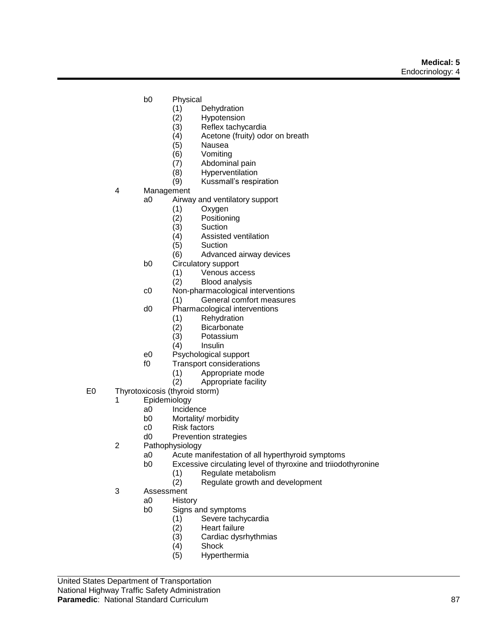- b0 Physical
	- (1) Dehydration
	- (2) Hypotension
	- (3) Reflex tachycardia
	- (4) Acetone (fruity) odor on breath
	- (5) Nausea
	- (6) Vomiting<br>(7) Abdomina
	- (7) Abdominal pain<br>(8) Hyperventilation
	- **Hyperventilation**
	- (9) Kussmall's respiration
- 4 Management
	- a0 Airway and ventilatory support
		- (1) Oxygen
		- (2) Positioning
		- **Suction**
		- (4) Assisted ventilation
		- (5) Suction
		- (6) Advanced airway devices
	- b0 Circulatory support
		- (1) Venous access
		- (2) Blood analysis
	- c0 Non-pharmacological interventions
		- (1) General comfort measures
	- d0 Pharmacological interventions
		- (1) Rehydration
		- (2) Bicarbonate
		- (3) Potassium
		- **Insulin**
	- e0 Psychological support
	- f0 Transport considerations
		- (1) Appropriate mode
		- (2) Appropriate facility
- E0 Thyrotoxicosis (thyroid storm)
	- 1 Epidemiology
		- a0 Incidence
		- b0 Mortality/ morbidity
		- c0 Risk factors
		- d0 Prevention strategies
	- 2 Pathophysiology
		- a0 Acute manifestation of all hyperthyroid symptoms
		- b0 Excessive circulating level of thyroxine and triiodothyronine
			- (1) Regulate metabolism<br>(2) Regulate growth and of
			- Regulate growth and development
	- 3 Assessment
		- a0 History
			- b0 Signs and symptoms
				- (1) Severe tachycardia
				-
				- (2) Heart failure (3) Cardiac dysrhythmias
				- **Shock**
				- (5) Hyperthermia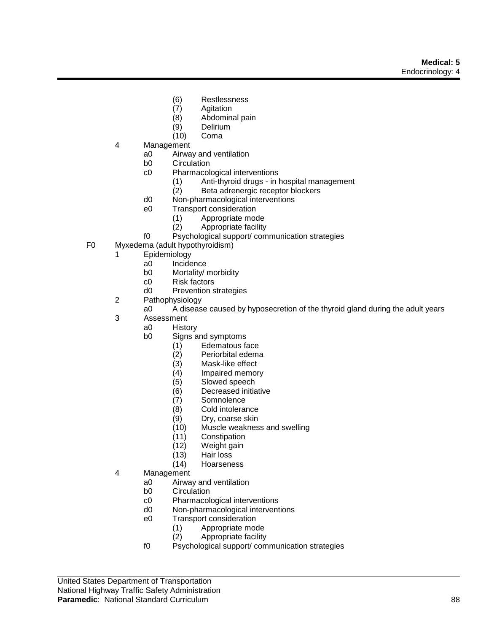- (6) Restlessness
- (7) Agitation
- (8) Abdominal pain
- (9) Delirium
- (10) Coma
- 4 Management
	- a0 Airway and ventilation
	- b0 Circulation
	- c0 Pharmacological interventions
		- (1) Anti-thyroid drugs in hospital management
		- (2) Beta adrenergic receptor blockers
	- d0 Non-pharmacological interventions
	- e0 Transport consideration
		- (1) Appropriate mode
		- (2) Appropriate facility
	- f0 Psychological support/ communication strategies
- F0 Myxedema (adult hypothyroidism)
	- 1 Epidemiology
		- a0 Incidence
		- b0 Mortality/ morbidity<br>c0 Risk factors
		- **Risk factors**
		- d0 Prevention strategies
	- 2 Pathophysiology
		- a0 A disease caused by hyposecretion of the thyroid gland during the adult years
	- 3 Assessment
		- a0 History
		- b0 Signs and symptoms
			- (1) Edematous face
			- (2) Periorbital edema
			- (3) Mask-like effect
			- (4) Impaired memory
			- (5) Slowed speech<br>(6) Decreased initial
			- Decreased initiative
			- (7) Somnolence
			- (8) Cold intolerance
			- (9) Dry, coarse skin
			- (10) Muscle weakness and swelling
			- (11) Constipation
			- (12) Weight gain
			- (13) Hair loss
			- (14) Hoarseness
	- 4 Management
		- a0 Airway and ventilation
		- b0 Circulation
		- c0 Pharmacological interventions
		- d0 Non-pharmacological interventions
		- e0 Transport consideration
			- (1) Appropriate mode
			- (2) Appropriate facility
		- f0 Psychological support/ communication strategies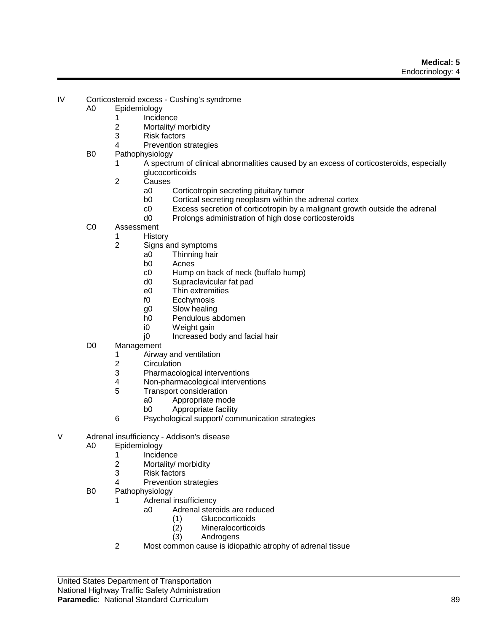- IV Corticosteroid excess Cushing's syndrome
	- A0 Epidemiology
		- 1 Incidence
		- 2 Mortality/ morbidity
		- 3 Risk factors
		- 4 Prevention strategies
	- B0 Pathophysiology
		- 1 A spectrum of clinical abnormalities caused by an excess of corticosteroids, especially glucocorticoids
		- 2 Causes
			- a0 Corticotropin secreting pituitary tumor
			- b0 Cortical secreting neoplasm within the adrenal cortex
			- c0 Excess secretion of corticotropin by a malignant growth outside the adrenal
			- d0 Prolongs administration of high dose corticosteroids
	- C0 Assessment
		- 1 History
		- 2 Signs and symptoms
			- a0 Thinning hair
				- b0 Acnes
				- c0 Hump on back of neck (buffalo hump)
				- d0 Supraclavicular fat pad
				- e0 Thin extremities
				- f0 Ecchymosis
				- g0 Slow healing
				- h0 Pendulous abdomen
				- i0 Weight gain
				- j0 Increased body and facial hair
	- D0 Management
		- 1 Airway and ventilation
		- 2 Circulation
		- 3 Pharmacological interventions
		- 4 Non-pharmacological interventions
		- 5 Transport consideration
			- a0 Appropriate mode
			- b0 Appropriate facility
		- 6 Psychological support/ communication strategies
- V Adrenal insufficiency Addison's disease
	- A0 Epidemiology
		- 1 Incidence
		- 2 Mortality/ morbidity
		- 3 Risk factors
		- 4 Prevention strategies
	- B0 Pathophysiology
		- 1 Adrenal insufficiency
			- a0 Adrenal steroids are reduced
				- (1) Glucocorticoids
				- (2) Mineralocorticoids
				- (3) Androgens
			- 2 Most common cause is idiopathic atrophy of adrenal tissue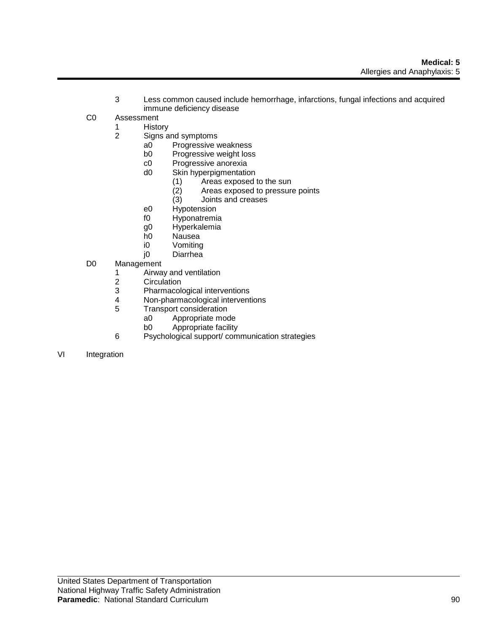- 3 Less common caused include hemorrhage, infarctions, fungal infections and acquired immune deficiency disease
- C0 Assessment
	- 1 History
		- 2 Signs and symptoms
			- a0 Progressive weakness<br>b0 Progressive weight loss
			- b0 Progressive weight loss<br>c0 Progressive anorexia
			- c0 Progressive anorexia<br>d0 Skin hyperpigmentation
			- Skin hyperpigmentation
				- (1) Areas exposed to the sun
				- (2) Areas exposed to pressure points<br>(3) Joints and creases
				- (3) Joints and creases
			- e0 Hypotension
			- f0 Hyponatremia
			- g0 Hyperkalemia
			- h0 Nausea
			- i0 Vomiting
			- j0 Diarrhea
- D0 Management
	- 1 Airway and ventilation
	- 2 Circulation<br>3 Pharmacol
	- Pharmacological interventions
	- 4 Non-pharmacological interventions<br>5 Transport consideration
	- Transport consideration<br>a0 Appropriate mod
		- Appropriate mode
		- b0 Appropriate facility
	- 6 Psychological support/ communication strategies
- VI Integration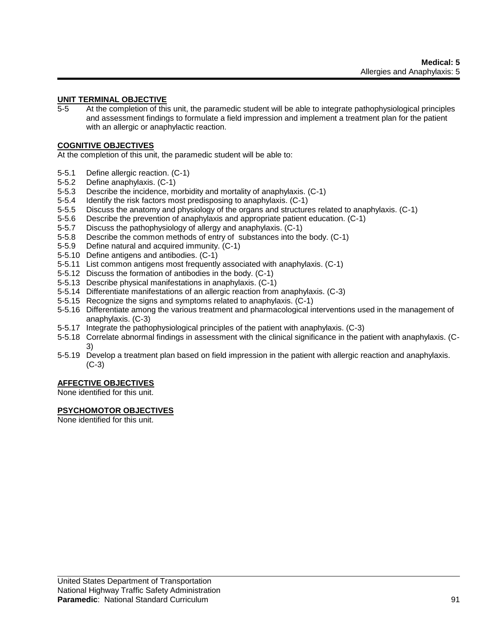## **UNIT TERMINAL OBJECTIVE**

5-5 At the completion of this unit, the paramedic student will be able to integrate pathophysiological principles and assessment findings to formulate a field impression and implement a treatment plan for the patient with an allergic or anaphylactic reaction.

## **COGNITIVE OBJECTIVES**

At the completion of this unit, the paramedic student will be able to:

- 5-5.1 Define allergic reaction. (C-1)
- 5-5.2 Define anaphylaxis. (C-1)
- 5-5.3 Describe the incidence, morbidity and mortality of anaphylaxis. (C-1)
- 5-5.4 Identify the risk factors most predisposing to anaphylaxis. (C-1)
- 5-5.5 Discuss the anatomy and physiology of the organs and structures related to anaphylaxis. (C-1)
- 5-5.6 Describe the prevention of anaphylaxis and appropriate patient education. (C-1)
- 5-5.7 Discuss the pathophysiology of allergy and anaphylaxis. (C-1)
- 5-5.8 Describe the common methods of entry of substances into the body. (C-1)
- 5-5.9 Define natural and acquired immunity. (C-1)
- 5-5.10 Define antigens and antibodies. (C-1)
- 5-5.11 List common antigens most frequently associated with anaphylaxis. (C-1)
- 5-5.12 Discuss the formation of antibodies in the body. (C-1)
- 5-5.13 Describe physical manifestations in anaphylaxis. (C-1)
- 5-5.14 Differentiate manifestations of an allergic reaction from anaphylaxis. (C-3)
- 5-5.15 Recognize the signs and symptoms related to anaphylaxis. (C-1)
- 5-5.16 Differentiate among the various treatment and pharmacological interventions used in the management of anaphylaxis. (C-3)
- 5-5.17 Integrate the pathophysiological principles of the patient with anaphylaxis. (C-3)
- 5-5.18 Correlate abnormal findings in assessment with the clinical significance in the patient with anaphylaxis. (C-3)
- 5-5.19 Develop a treatment plan based on field impression in the patient with allergic reaction and anaphylaxis.  $(C-3)$

## **AFFECTIVE OBJECTIVES**

None identified for this unit.

## **PSYCHOMOTOR OBJECTIVES**

None identified for this unit.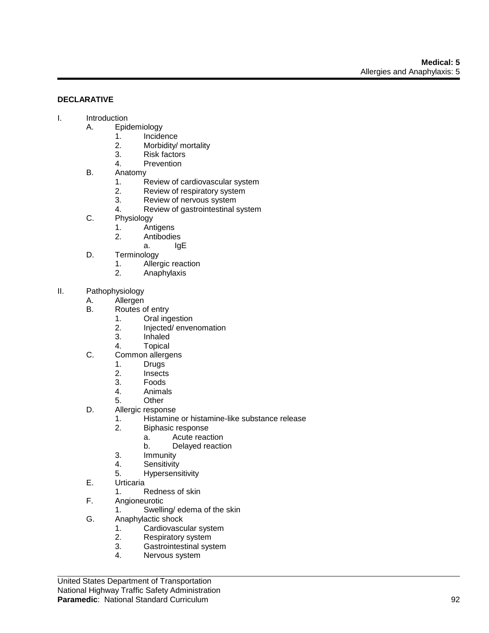# **DECLARATIVE**

- I. Introduction
	- A. Epidemiology
		- 1. Incidence<br>2. Morbidity/
		- Morbidity/ mortality
		- 3. Risk factors
		- 4. Prevention
	- B. Anatomy
		- 1. Review of cardiovascular system
		- 2. Review of respiratory system
		- 3. Review of nervous system
		- 4. Review of gastrointestinal system
	- C. Physiology
		- 1. Antigens
		- 2. Antibodies
			- a. IgE
	- D. Terminology
		- 1. Allergic reaction<br>2. Anaphylaxis
		- 2. Anaphylaxis
- II. Pathophysiology
	- A. Allergen<br>B. Routes c
		- Routes of entry
			- 1. Oral ingestion
			- 2. Injected/ envenomation
			- 3. Inhaled
			- 4. Topical
		- C. Common allergens
			- 1. Drugs
			- 2. Insects
			- 3. Foods
			- 4. Animals
			- 5. Other
		- D. Allergic response
			- 1. Histamine or histamine-like substance release<br>2. Biphasic response
				- Biphasic response
					- a. Acute reaction
					- b. Delayed reaction
			- 3. Immunity
			- 4. Sensitivity
			- 5. Hypersensitivity
		- E. Urticaria
			- 1. Redness of skin
		- F. Angioneurotic
			- 1. Swelling/ edema of the skin
		- G. Anaphylactic shock
			- 1. Cardiovascular system<br>2. Respiratory system
			- Respiratory system
			- 3. Gastrointestinal system
			- 4. Nervous system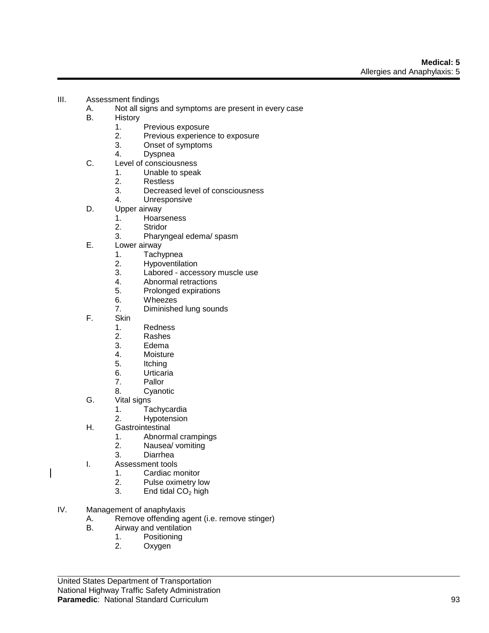- III. Assessment findings
	- A. Not all signs and symptoms are present in every case
	- B. History
		- 1. Previous exposure
		- 2. Previous experience to exposure
		- 3. Onset of symptoms
		- 4. Dyspnea
	- C. Level of consciousness
		- 1. Unable to speak
		- 2. Restless
		- 3. Decreased level of consciousness
		- 4. Unresponsive
	- D. Upper airway
		- 1. Hoarseness
			- 2. Stridor
		- 3. Pharyngeal edema/ spasm
	- E. Lower airway
		- 1. Tachypnea<br>2. Hypoventila
		- Hypoventilation
		- 3. Labored accessory muscle use
		- 4. Abnormal retractions<br>5. Prolonged expirations
		- 5. Prolonged expirations
		- 6. Wheezes
		- 7. Diminished lung sounds
	- F. Skin
		- 1. Redness
		- 2. Rashes
		- 3. Edema
		- 4. Moisture
		- 5. Itching
		- 6. Urticaria
		- 7. Pallor<br>8. Cvano
		- Cyanotic
	- G. Vital signs
		- 1. Tachycardia
		- 2. Hypotension
	- H. Gastrointestinal
		- 1. Abnormal crampings
		- 2. Nausea/ vomiting
		- 3. Diarrhea
	- I. Assessment tools
		- 1. Cardiac monitor
		- 2. Pulse oximetry low
		- 3. End tidal  $CO<sub>2</sub>$  high
- IV. Management of anaphylaxis
	- A. Remove offending agent (i.e. remove stinger)<br>B. Airway and ventilation
	- Airway and ventilation<br>1. Positioning
		- 1. Positioning<br>2. Oxygen
			- Oxygen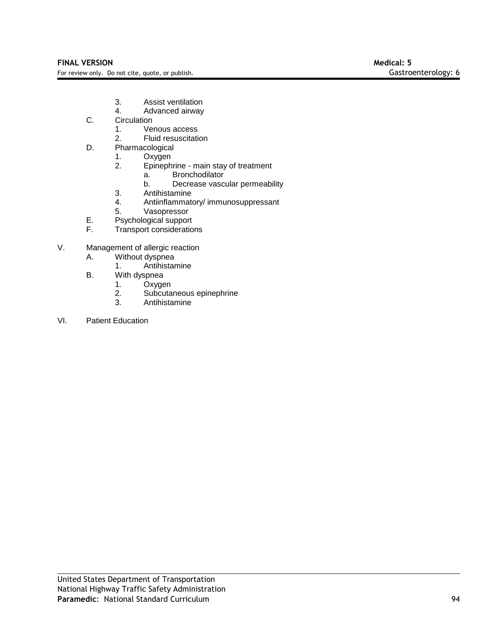- 3. Assist ventilation<br>4. Advanced airway
- Advanced airway
- C. Circulation
	- 1. Venous access
	- 2. Fluid resuscitation
- D. Pharmacological
	- 1. Oxygen
	- 2. Epinephrine main stay of treatment
		- a. Bronchodilator
		- b. Decrease vascular permeability
	- 3. Antihistamine
	- 4. Antiinflammatory/ immunosuppressant
	- 5. Vasopressor
- E. Psychological support
- F. Transport considerations
- V. Management of allergic reaction
	- A. Without dyspnea
		- 1. Antihistamine
	- B. With dyspnea
		- 1. Oxygen
		- 2. Subcutaneous epinephrine
		- 3. Antihistamine
- VI. Patient Education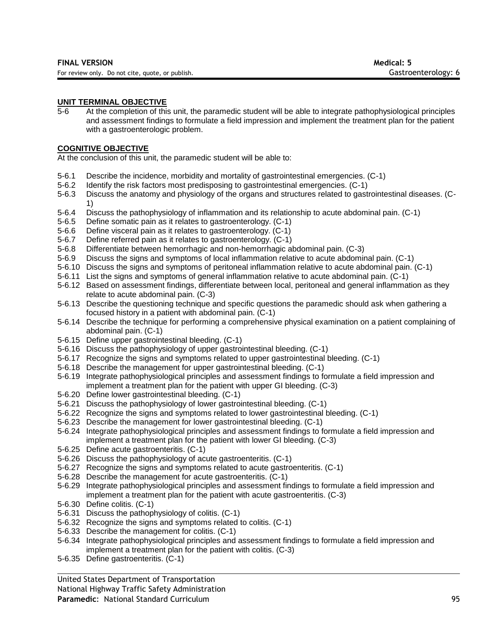# **UNIT TERMINAL OBJECTIVE**

5-6 At the completion of this unit, the paramedic student will be able to integrate pathophysiological principles and assessment findings to formulate a field impression and implement the treatment plan for the patient with a gastroenterologic problem.

## **COGNITIVE OBJECTIVE**

At the conclusion of this unit, the paramedic student will be able to:

- 5-6.1 Describe the incidence, morbidity and mortality of gastrointestinal emergencies. (C-1)
- 5-6.2 Identify the risk factors most predisposing to gastrointestinal emergencies. (C-1)
- 5-6.3 Discuss the anatomy and physiology of the organs and structures related to gastrointestinal diseases. (C-1)
- 5-6.4 Discuss the pathophysiology of inflammation and its relationship to acute abdominal pain. (C-1)
- 5-6.5 Define somatic pain as it relates to gastroenterology. (C-1)
- 5-6.6 Define visceral pain as it relates to gastroenterology. (C-1)
- 5-6.7 Define referred pain as it relates to gastroenterology. (C-1)
- 5-6.8 Differentiate between hemorrhagic and non-hemorrhagic abdominal pain. (C-3)
- 5-6.9 Discuss the signs and symptoms of local inflammation relative to acute abdominal pain. (C-1)
- 5-6.10 Discuss the signs and symptoms of peritoneal inflammation relative to acute abdominal pain. (C-1)
- 5-6.11 List the signs and symptoms of general inflammation relative to acute abdominal pain. (C-1)
- 5-6.12 Based on assessment findings, differentiate between local, peritoneal and general inflammation as they relate to acute abdominal pain. (C-3)
- 5-6.13 Describe the questioning technique and specific questions the paramedic should ask when gathering a focused history in a patient with abdominal pain. (C-1)
- 5-6.14 Describe the technique for performing a comprehensive physical examination on a patient complaining of abdominal pain. (C-1)
- 5-6.15 Define upper gastrointestinal bleeding. (C-1)
- 5-6.16 Discuss the pathophysiology of upper gastrointestinal bleeding. (C-1)
- 5-6.17 Recognize the signs and symptoms related to upper gastrointestinal bleeding. (C-1)
- 5-6.18 Describe the management for upper gastrointestinal bleeding. (C-1)
- 5-6.19 Integrate pathophysiological principles and assessment findings to formulate a field impression and implement a treatment plan for the patient with upper GI bleeding. (C-3)
- 5-6.20 Define lower gastrointestinal bleeding. (C-1)
- 5-6.21 Discuss the pathophysiology of lower gastrointestinal bleeding. (C-1)
- 5-6.22 Recognize the signs and symptoms related to lower gastrointestinal bleeding. (C-1)
- 5-6.23 Describe the management for lower gastrointestinal bleeding. (C-1)
- 5-6.24 Integrate pathophysiological principles and assessment findings to formulate a field impression and implement a treatment plan for the patient with lower GI bleeding. (C-3)
- 5-6.25 Define acute gastroenteritis. (C-1)
- 5-6.26 Discuss the pathophysiology of acute gastroenteritis. (C-1)
- 5-6.27 Recognize the signs and symptoms related to acute gastroenteritis. (C-1)
- 5-6.28 Describe the management for acute gastroenteritis. (C-1)
- 5-6.29 Integrate pathophysiological principles and assessment findings to formulate a field impression and implement a treatment plan for the patient with acute gastroenteritis. (C-3)
- 5-6.30 Define colitis. (C-1)
- 5-6.31 Discuss the pathophysiology of colitis. (C-1)
- 5-6.32 Recognize the signs and symptoms related to colitis. (C-1)
- 5-6.33 Describe the management for colitis. (C-1)
- 5-6.34 Integrate pathophysiological principles and assessment findings to formulate a field impression and implement a treatment plan for the patient with colitis. (C-3)
- 5-6.35 Define gastroenteritis. (C-1)

United States Department of Transportation

National Highway Traffic Safety Administration

## **Paramedic:** National Standard Curriculum **95 Paramedic: National Standard Curriculum**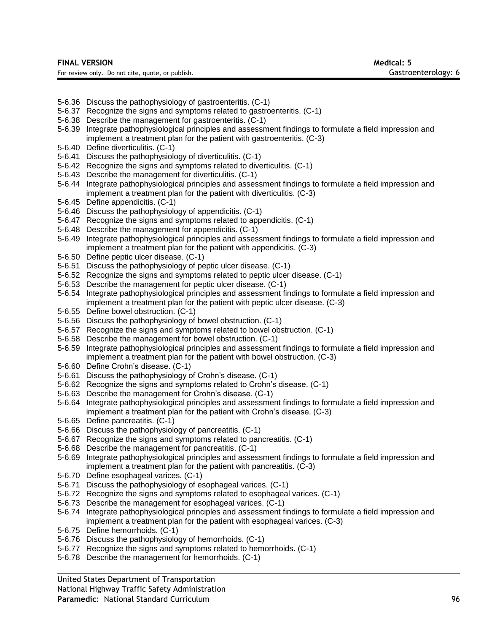**FINAL VERSION Medical: 5**

For review only. Do not cite, quote, or publish. Gastroenterology: 6 as for example of the Gastroenterology: 6

- 5-6.36 Discuss the pathophysiology of gastroenteritis. (C-1)
- 5-6.37 Recognize the signs and symptoms related to gastroenteritis. (C-1)
- 5-6.38 Describe the management for gastroenteritis. (C-1)
- 5-6.39 Integrate pathophysiological principles and assessment findings to formulate a field impression and implement a treatment plan for the patient with gastroenteritis. (C-3)
- 5-6.40 Define diverticulitis. (C-1)
- 5-6.41 Discuss the pathophysiology of diverticulitis. (C-1)
- 5-6.42 Recognize the signs and symptoms related to diverticulitis. (C-1)
- 5-6.43 Describe the management for diverticulitis. (C-1)
- 5-6.44 Integrate pathophysiological principles and assessment findings to formulate a field impression and implement a treatment plan for the patient with diverticulitis. (C-3)
- 5-6.45 Define appendicitis. (C-1)
- 5-6.46 Discuss the pathophysiology of appendicitis. (C-1)
- 5-6.47 Recognize the signs and symptoms related to appendicitis. (C-1)
- 5-6.48 Describe the management for appendicitis. (C-1)
- 5-6.49 Integrate pathophysiological principles and assessment findings to formulate a field impression and implement a treatment plan for the patient with appendicitis. (C-3)
- 5-6.50 Define peptic ulcer disease. (C-1)
- 5-6.51 Discuss the pathophysiology of peptic ulcer disease. (C-1)
- 5-6.52 Recognize the signs and symptoms related to peptic ulcer disease. (C-1)
- 5-6.53 Describe the management for peptic ulcer disease. (C-1)
- 5-6.54 Integrate pathophysiological principles and assessment findings to formulate a field impression and implement a treatment plan for the patient with peptic ulcer disease. (C-3)
- 5-6.55 Define bowel obstruction. (C-1)
- 5-6.56 Discuss the pathophysiology of bowel obstruction. (C-1)
- 5-6.57 Recognize the signs and symptoms related to bowel obstruction. (C-1)
- 5-6.58 Describe the management for bowel obstruction. (C-1)
- 5-6.59 Integrate pathophysiological principles and assessment findings to formulate a field impression and implement a treatment plan for the patient with bowel obstruction. (C-3)
- 5-6.60 Define Crohn's disease. (C-1)
- 5-6.61 Discuss the pathophysiology of Crohn's disease. (C-1)
- 5-6.62 Recognize the signs and symptoms related to Crohn's disease. (C-1)
- 5-6.63 Describe the management for Crohn's disease. (C-1)
- 5-6.64 Integrate pathophysiological principles and assessment findings to formulate a field impression and implement a treatment plan for the patient with Crohn's disease. (C-3)
- 5-6.65 Define pancreatitis. (C-1)
- 5-6.66 Discuss the pathophysiology of pancreatitis. (C-1)
- 5-6.67 Recognize the signs and symptoms related to pancreatitis. (C-1)
- 5-6.68 Describe the management for pancreatitis. (C-1)
- 5-6.69 Integrate pathophysiological principles and assessment findings to formulate a field impression and implement a treatment plan for the patient with pancreatitis. (C-3)
- 5-6.70 Define esophageal varices. (C-1)
- 5-6.71 Discuss the pathophysiology of esophageal varices. (C-1)
- 5-6.72 Recognize the signs and symptoms related to esophageal varices. (C-1)
- 5-6.73 Describe the management for esophageal varices. (C-1)
- 5-6.74 Integrate pathophysiological principles and assessment findings to formulate a field impression and implement a treatment plan for the patient with esophageal varices. (C-3)
- 5-6.75 Define hemorrhoids. (C-1)
- 5-6.76 Discuss the pathophysiology of hemorrhoids. (C-1)
- 5-6.77 Recognize the signs and symptoms related to hemorrhoids. (C-1)
- 5-6.78 Describe the management for hemorrhoids. (C-1)

United States Department of Transportation

National Highway Traffic Safety Administration

**Paramedic:** National Standard Curriculum **1996 Paramedic: National Standard Curriculum**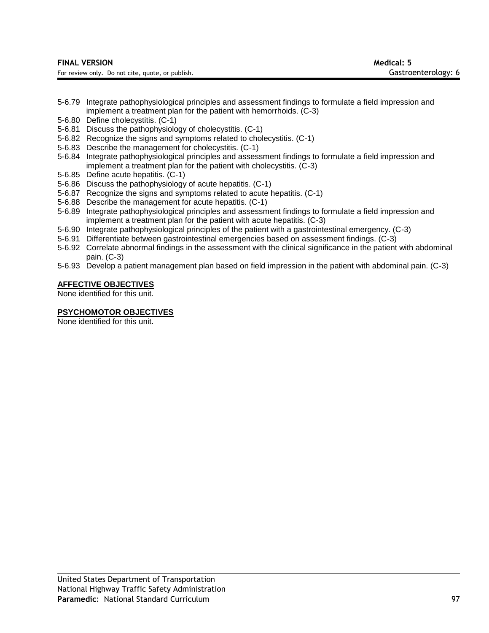| FINAL VERSION                                    | Medical: 5          |
|--------------------------------------------------|---------------------|
| For review only. Do not cite, quote, or publish. | Gastroenterology: 6 |
|                                                  |                     |

- 5-6.79 Integrate pathophysiological principles and assessment findings to formulate a field impression and implement a treatment plan for the patient with hemorrhoids. (C-3)
- 5-6.80 Define cholecystitis. (C-1)
- 5-6.81 Discuss the pathophysiology of cholecystitis. (C-1)
- 5-6.82 Recognize the signs and symptoms related to cholecystitis. (C-1)
- 5-6.83 Describe the management for cholecystitis. (C-1)
- 5-6.84 Integrate pathophysiological principles and assessment findings to formulate a field impression and implement a treatment plan for the patient with cholecystitis. (C-3)
- 5-6.85 Define acute hepatitis. (C-1)
- 5-6.86 Discuss the pathophysiology of acute hepatitis. (C-1)
- 5-6.87 Recognize the signs and symptoms related to acute hepatitis. (C-1)
- 5-6.88 Describe the management for acute hepatitis. (C-1)
- 5-6.89 Integrate pathophysiological principles and assessment findings to formulate a field impression and implement a treatment plan for the patient with acute hepatitis. (C-3)
- 5-6.90 Integrate pathophysiological principles of the patient with a gastrointestinal emergency. (C-3)
- 5-6.91 Differentiate between gastrointestinal emergencies based on assessment findings. (C-3)
- 5-6.92 Correlate abnormal findings in the assessment with the clinical significance in the patient with abdominal pain. (C-3)
- 5-6.93 Develop a patient management plan based on field impression in the patient with abdominal pain. (C-3)

## **AFFECTIVE OBJECTIVES**

None identified for this unit.

# **PSYCHOMOTOR OBJECTIVES**

None identified for this unit.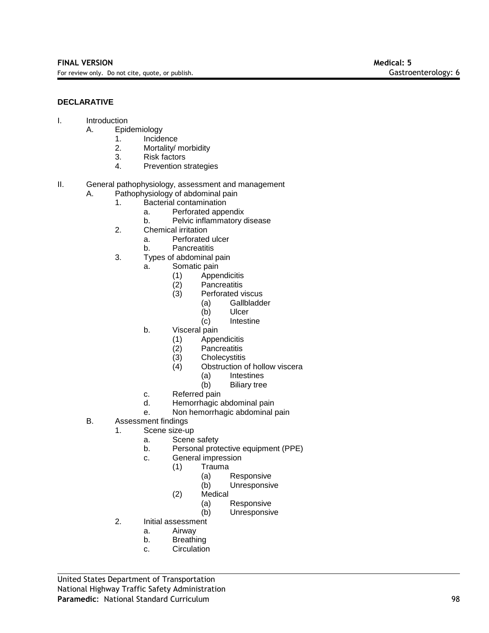# **DECLARATIVE**

## I. Introduction

A. Epidemiology

## 1. Incidence

- 2. Mortality/ morbidity
- 3. Risk factors
- 4. Prevention strategies

## II. General pathophysiology, assessment and management

- A. Pathophysiology of abdominal pain
	- 1. Bacterial contamination
		- a. Perforated appendix
		- b. Pelvic inflammatory disease
	- 2. Chemical irritation
		- a. Perforated ulcer
		- b. Pancreatitis
	- 3. Types of abdominal pain
		- a. Somatic pain
			- (1) Appendicitis
			- (2) Pancreatitis
			- (3) Perforated viscus
				- (a) Gallbladder
				- (b) Ulcer
				- (c) Intestine
		- b. Visceral pain
			- (1) Appendicitis
			- (2) Pancreatitis<br>(3) Cholecystitis
			- (3) Cholecystitis<br>(4) Obstruction of
				- Obstruction of hollow viscera
					- (a) Intestines
					- (b) Biliary tree
		- c. Referred pain
		- d. Hemorrhagic abdominal pain
		- e. Non hemorrhagic abdominal pain
- B. Assessment findings
	- 1. Scene size-up
		- a. Scene safety
		- b. Personal protective equipment (PPE)
		- c. General impression
			- (1) Trauma
				- (a) Responsive
				- (b) Unresponsive
			- (2) Medical
				- (a) Responsive
				- (b) Unresponsive
		- 2. Initial assessment
			- a. Airway
			- b. Breathing
			- c. Circulation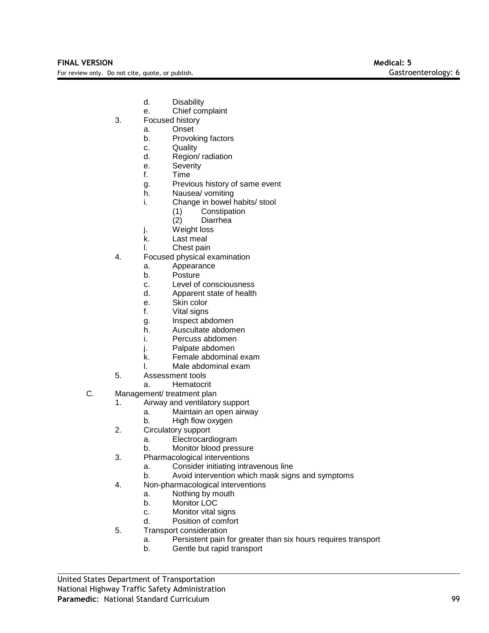- d. Disability
- e. Chief complaint
- 3. Focused history
	- a. Onset
	- b. Provoking factors
	- c. Quality
	- d. Region/ radiation
	- e. Severity
	- f. Time
	- g. Previous history of same event
	- h. Nausea/ vomiting
	- i. Change in bowel habits/ stool
		- (1) Constipation
		- Diarrhea
	- j. Weight loss
	- k. Last meal
	- l. Chest pain
- 4. Focused physical examination
	- a. Appearance
	- b. Posture
	- c. Level of consciousness
	- d. Apparent state of health
	- e. Skin color
	- f. Vital signs
	- g. Inspect abdomen
	- h. Auscultate abdomen
	- i. Percuss abdomen
	- j. Palpate abdomen
	- k. Female abdominal exam
	- l. Male abdominal exam
- 5. Assessment tools
	- a. Hematocrit
- C. Management/ treatment plan
	- 1. Airway and ventilatory support
		- a. Maintain an open airway
		- b. High flow oxygen
	- 2. Circulatory support
		- a. Electrocardiogram
		- b. Monitor blood pressure
	- 3. Pharmacological interventions
		- a. Consider initiating intravenous line
		- b. Avoid intervention which mask signs and symptoms
	- 4. Non-pharmacological interventions
		- a. Nothing by mouth
		- b. Monitor LOC
		- c. Monitor vital signs
		- d. Position of comfort
	- 5. Transport consideration
		- a. Persistent pain for greater than six hours requires transport
			- b. Gentle but rapid transport

United States Department of Transportation National Highway Traffic Safety Administration **Paramedic:** National Standard Curriculum **1999 Paramedic: National Standard Curriculum**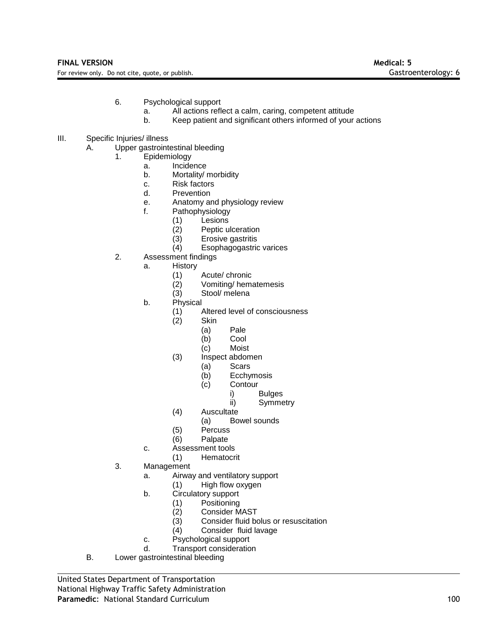- 6. Psychological support
	- a. All actions reflect a calm, caring, competent attitude
	- b. Keep patient and significant others informed of your actions
- III. Specific Injuries/ illness
	- A. Upper gastrointestinal bleeding
		- 1. Epidemiology
			- a. Incidence
			- b. Mortality/ morbidity
			- c. Risk factors<br>d. Prevention
			- Prevention
			- e. Anatomy and physiology review
			- f. Pathophysiology
				- (1) Lesions
				- (2) Peptic ulceration
				-
				- (3) Erosive gastritis<br>(4) Esophagogastric Esophagogastric varices
		- 2. Assessment findings
			- a. History
				- (1) Acute/ chronic
				- (2) Vomiting/hematemesis<br>(3) Stool/melena
				- Stool/ melena
			- b. Physical
				- (1) Altered level of consciousness
				- (2) Skin
					- (a) Pale
					- (b) Cool
					- (c) Moist
				- (3) Inspect abdomen
					- (a) Scars
					- (b) Ecchymosis
					- (c) Contour
						- i) Bulges
							- ii) Symmetry
				- (4) Auscultate
					- (a) Bowel sounds
				- (5) Percuss
				- (6) Palpate
			- c. Assessment tools
				- (1) Hematocrit
		- 3. Management
			- a. Airway and ventilatory support
				- (1) High flow oxygen
			- b. Circulatory support
				- (1) Positioning
				- Consider MAST
				- (3) Consider fluid bolus or resuscitation
				- (4) Consider fluid lavage
			- c. Psychological support
			- d. Transport consideration
	- B. Lower gastrointestinal bleeding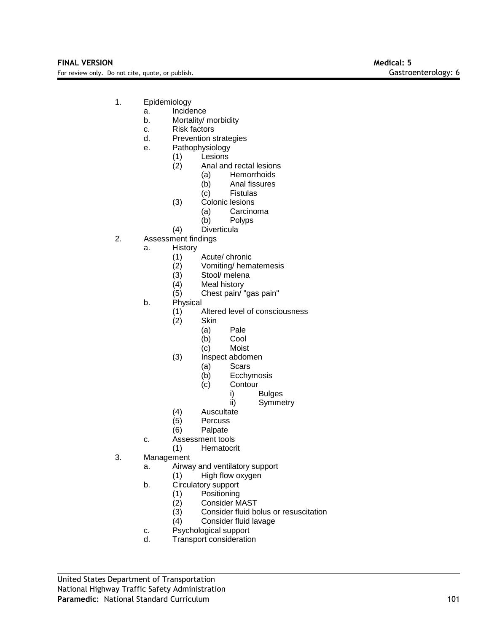- 1. Epidemiology
	- a. Incidence
	- b. Mortality/ morbidity
	- c. Risk factors
	- d. Prevention strategies
	- e. Pathophysiology
		- (1) Lesions
			- Anal and rectal lesions
				- (a) Hemorrhoids
				- (b) Anal fissures<br>(c) Fistulas
				- **Fistulas**
			- (3) Colonic lesions
				- (a) Carcinoma
				- (b) Polyps
			- (4) Diverticula
- 2. Assessment findings
	- a. History
		- (1) Acute/ chronic
		- (2) Vomiting/ hematemesis
		-
		- (3) Stool/ melena<br>(4) Meal history Meal history
		- (5) Chest pain/ "gas pain"
	- b. Physical
		- (1) Altered level of consciousness
		- (2) Skin
			- (a) Pale
			- (b) Cool
			- (c) Moist
		- (3) Inspect abdomen
			- (a) Scars
			- (b) Ecchymosis
			- (c) Contour
				- i) Bulges
					- ii) Symmetry
		- (4) Auscultate
		- (5) Percuss
		- (6) Palpate
	- c. Assessment tools
		- (1) Hematocrit
- 3. Management
	- a. Airway and ventilatory support
		- (1) High flow oxygen
	- b. Circulatory support
		- (1) Positioning
		- (2) Consider MAST
		- (3) Consider fluid bolus or resuscitation<br>(4) Consider fluid lavage
		- Consider fluid lavage
	- c. Psychological support
	- d. Transport consideration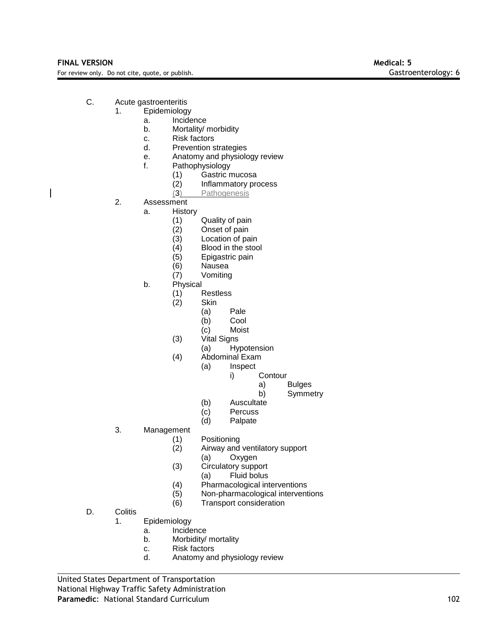- C. Acute gastroenteritis
	- 1. Epidemiology
		- a. Incidence
		- b. Mortality/ morbidity
		- c. Risk factors
		- d. Prevention strategies
		- e. Anatomy and physiology review
		- f. Pathophysiology
			- (1) Gastric mucosa
			- (2) Inflammatory process<br>(3) Pathogenesis
			- Pathogenesis
		- 2. Assessment
			- a. History
				- (1) Quality of pain
				-
				- (2) Onset of pain<br>(3) Location of pain
				- (3) Location of pain<br>(4) Blood in the stoc  $(4)$  Blood in the stool<br>(5) Epigastric pain
				- (5) Epigastric pain
				- (6) Nausea
				- (7) Vomiting
			- b. Physical
				- (1) Restless
				- (2) Skin
					- (a) Pale
					- (b) Cool
					- (c) Moist
				- (3) Vital Signs
					- (a) Hypotension
				- (4) Abdominal Exam
					- (a) Inspect
						- i) Contour
							- a) Bulges
								- b) Symmetry
					- (b) Auscultate
					- (c) Percuss
					- (d) Palpate
		- 3. Management
			- (1) Positioning
				- Airway and ventilatory support
				- (a) Oxygen
			- (3) Circulatory support
				- (a) Fluid bolus
			- (4) Pharmacological interventions
			- (5) Non-pharmacological interventions
			- (6) Transport consideration
- D. Colitis
	- 1. Epidemiology
		- a. Incidence
		- b. Morbidity/ mortality
		- c. Risk factors
		- d. Anatomy and physiology review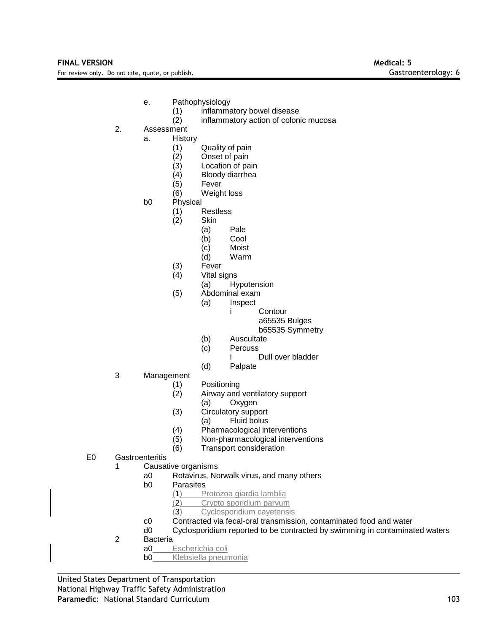- e. Pathophysiology
	- (1) inflammatory bowel disease
	- (2) inflammatory action of colonic mucosa
- 2. Assessment
	- a. History
		- (1) Quality of pain
		- (2) Onset of pain
		-
		- (3) Location of pain<br>(4) Bloody diarrhea Bloody diarrhea
		-
		- (5) Fever Weight loss
		- b0 Physical
			-
			- (1) Restless Skin
				- (a) Pale
					- (b) Cool
					-
					- (c) Moist Warm
			- (3) Fever
			- (4) Vital signs
			- (a) Hypotension
			- (5) Abdominal exam
			- (a) Inspect
				- i Contour
					- a65535 Bulges
						- b65535 Symmetry
				- (b) Auscultate
				- (c) Percuss
					- i Dull over bladder
				- (d) Palpate
- 3 Management
	- (1) Positioning
	- (2) Airway and ventilatory support
		- (a) Oxygen
	- (3) Circulatory support
		- (a) Fluid bolus
	- (4) Pharmacological interventions
	- (5) Non-pharmacological interventions
	- (6) Transport consideration
- E0 Gastroenteritis
	- 1 Causative organisms
		- a0 Rotavirus, Norwalk virus, and many others
		- b0 Parasites
			- (1) Protozoa giardia lamblia
			- (2) Crypto sporidium parvum
			- (3) Cyclosporidium cayetensis
		- c0 Contracted via fecal-oral transmission, contaminated food and water
		- d0 Cyclosporidium reported to be contracted by swimming in contaminated waters
	- 2 Bacteria
		- a0 Escherichia coli
		- b0 Klebsiella pneumonia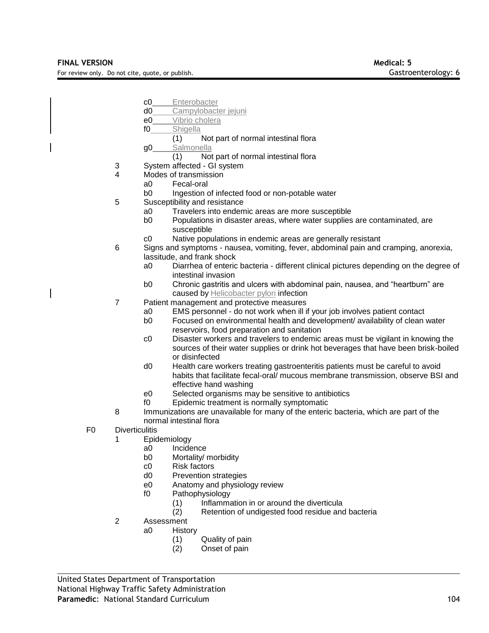- c0 Enterobacter
- d0 Campylobacter jejuni
- e0 Vibrio cholera
- f0 Shigella
	- (1) Not part of normal intestinal flora
- g0\_\_\_\_\_Salmonella
	- (1) Not part of normal intestinal flora
- 3 System affected GI system
- 4 Modes of transmission
	- a0 Fecal-oral
	- b0 Ingestion of infected food or non-potable water
- 5 Susceptibility and resistance
	- a0 Travelers into endemic areas are more susceptible
	- b0 Populations in disaster areas, where water supplies are contaminated, are susceptible
	- c0 Native populations in endemic areas are generally resistant
- 6 Signs and symptoms nausea, vomiting, fever, abdominal pain and cramping, anorexia, lassitude, and frank shock
	- a0 Diarrhea of enteric bacteria different clinical pictures depending on the degree of intestinal invasion
	- b0 Chronic gastritis and ulcers with abdominal pain, nausea, and "heartburn" are caused by Helicobacter pylori infection
- 7 Patient management and protective measures
	- a0 EMS personnel do not work when ill if your job involves patient contact
	- b0 Focused on environmental health and development/ availability of clean water reservoirs, food preparation and sanitation
	- c0 Disaster workers and travelers to endemic areas must be vigilant in knowing the sources of their water supplies or drink hot beverages that have been brisk-boiled or disinfected
	- d0 Health care workers treating gastroenteritis patients must be careful to avoid habits that facilitate fecal-oral/ mucous membrane transmission, observe BSI and effective hand washing
	- e0 Selected organisms may be sensitive to antibiotics
	- f0 Epidemic treatment is normally symptomatic
- 8 Immunizations are unavailable for many of the enteric bacteria, which are part of the normal intestinal flora
- F0 Diverticulitis
	- 1 Epidemiology<br>a0 Incide
		- **Incidence**
		- b0 Mortality/ morbidity
		- c0 Risk factors
		- d0 Prevention strategies
		- e0 Anatomy and physiology review
		- f0 Pathophysiology
			- (1) Inflammation in or around the diverticula<br>(2) Retention of undigested food residue and
			- Retention of undigested food residue and bacteria
	- 2 Assessment
		- a0 History
			- (1) Quality of pain
			- (2) Onset of pain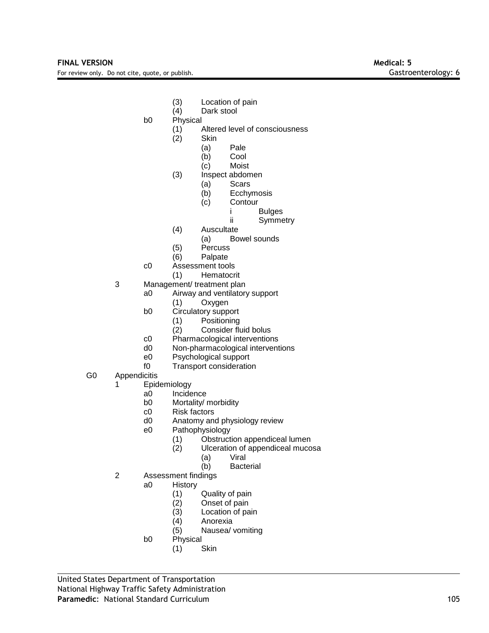- (3) Location of pain<br>(4) Dark stool
- Dark stool
- b0 Physical
	- (1) Altered level of consciousness
	- (2) Skin
		- (a) Pale
			- (b) Cool
			- (c) Moist
	- (3) Inspect abdomen
		-
		- (a) Scars<br>(b) Ecchy Ecchymosis
		- (c) Contour
			- - i Bulges<br>ii Symme Symmetry
	- (4) Auscultate
		- (a) Bowel sounds
	- (5) Percuss
	- (6) Palpate
- c0 Assessment tools
	- (1) Hematocrit
- 3 Management/ treatment plan
	- a0 Airway and ventilatory support
		- (1) Oxygen
	- b0 Circulatory support
		- (1) Positioning<br>(2) Consider flu
		- Consider fluid bolus
	- c0 Pharmacological interventions
	- d0 Non-pharmacological interventions
	- e0 Psychological support
	- f0 Transport consideration
- G0 Appendicitis
	- 1 Epidemiology
		- a0 Incidence
		- b0 Mortality/ morbidity
		- c0 Risk factors
		- d0 Anatomy and physiology review
		- e0 Pathophysiology
			- (1) Obstruction appendiceal lumen<br>(2) Ulceration of appendiceal muco
				- Ulceration of appendiceal mucosa
					- (a) Viral
					- (b) Bacterial
		- 2 Assessment findings
			- a0 History
				- (1) Quality of pain
				- (2) Onset of pain<br>(3) Location of pain
				- Location of pain
				- (4) Anorexia
				- (5) Nausea/ vomiting
			- b0 Physical
				- (1) Skin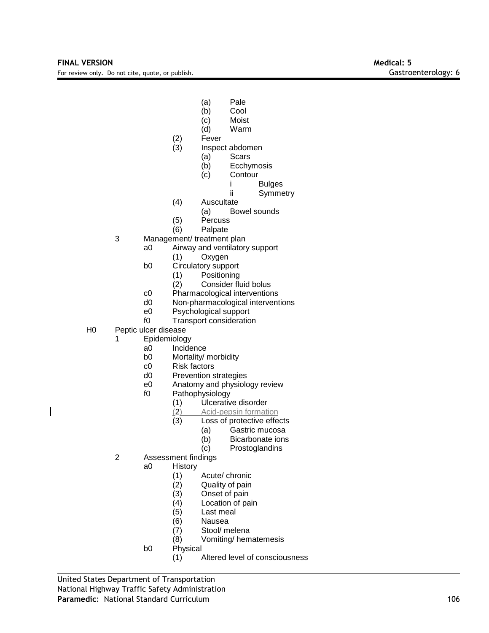- (a) Pale
- (b) Cool
- (c) Moist
- (d) Warm
- (2) Fever
- (3) Inspect abdomen
	- (a) Scars
	- (b) Ecchymosis
	- (c) Contour
		- i Bulges<br>ii Symme
			- Symmetry
- (4) Auscultate
	- (a) Bowel sounds
- (5) Percuss
- (6) Palpate
- 3 Management/ treatment plan
	- a0 Airway and ventilatory support
		- (1) Oxygen
	- b0 Circulatory support
		- (1) Positioning
		- (2) Consider fluid bolus
	- c0 Pharmacological interventions
	- d0 Non-pharmacological interventions
	- e0 Psychological support
	- f0 Transport consideration
- H0 Peptic ulcer disease
	- 1 Epidemiology
		- a0 Incidence
		- b0 Mortality/ morbidity<br>c0 Risk factors
		- **Risk factors**
		- d0 Prevention strategies
		- e0 Anatomy and physiology review
		- f0 Pathophysiology
			- (1) Ulcerative disorder
			- (2) Acid-pepsin formation
			- (3) Loss of protective effects
				- (a) Gastric mucosa
					- (b) Bicarbonate ions
					- (c) Prostoglandins
	- 2 Assessment findings
		- a0 History
			- (1) Acute/ chronic<br>(2) Quality of pain
			-
			- (2) Quality of pain<br>(3) Onset of pain Onset of pain
			- (4) Location of pain
			- (5) Last meal
			- (6) Nausea
			- (7) Stool/ melena
			- (8) Vomiting/ hematemesis
		- b0 Physical
			- (1) Altered level of consciousness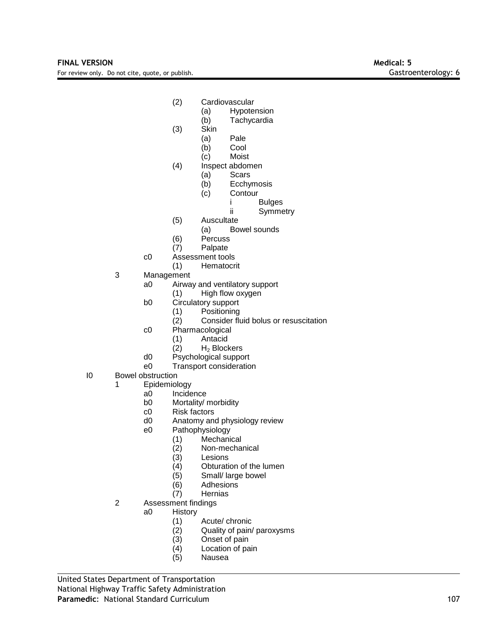- (2) Cardiovascular
	- (a) Hypotension
		- (b) Tachycardia
- (3) Skin
	- (a) Pale
	- (b) Cool
	- (c) Moist
- (4) Inspect abdomen
	- (a) Scars
		-
	- (b) Ecchymosis<br>(c) Contour **Contour** 
		- i Bulges
			- ii Symmetry
- (5) Auscultate
	- (a) Bowel sounds
- (6) Percuss
- (7) Palpate
- c0 Assessment tools
	- (1) Hematocrit
- 3 Management
	- a0 Airway and ventilatory support
		- (1) High flow oxygen
	- b0 Circulatory support
		- (1) Positioning
			- (2) Consider fluid bolus or resuscitation
	- c0 Pharmacological
		- (1) Antacid
		- $(2)$  H<sub>2</sub> Blockers
	- d0 Psychological support
	- e0 Transport consideration
- I0 Bowel obstruction
	- 1 Epidemiology
		- a0 Incidence
		- b0 Mortality/ morbidity
		- c0 Risk factors
		- d0 Anatomy and physiology review
		- e0 Pathophysiology
			-
			- (1) Mechanical Non-mechanical
			- (3) Lesions
			- (4) Obturation of the lumen<br>(5) Small/ large bowel
			- $(5)$  Small/ large bowel<br> $(6)$  Adhesions
			- Adhesions
			- (7) Hernias
		- 2 Assessment findings
			- a0 History
				- (1) Acute/ chronic
				- (2) Quality of pain/ paroxysms
				- Onset of pain
				- (4) Location of pain
				- (5) Nausea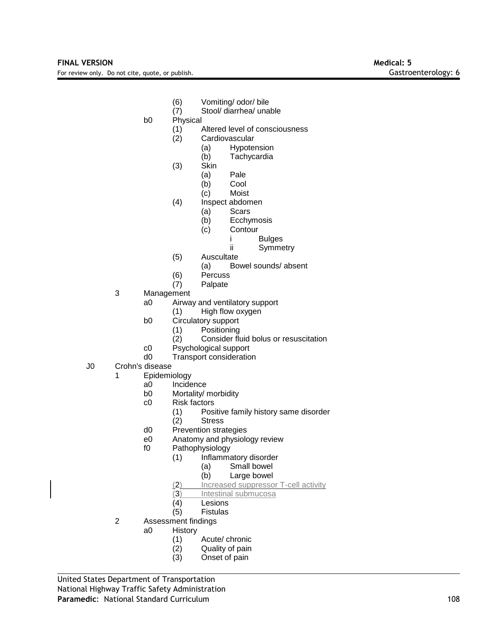- (6) Vomiting/ odor/ bile
- (7) Stool/ diarrhea/ unable
- b0 Physical
	- (1) Altered level of consciousness
	- (2) Cardiovascular
		- (a) Hypotension
		- (b) Tachycardia
	- (3) Skin
		- (a) Pale
		- (b) Cool
		- (c) Moist
	- (4) Inspect abdomen
		- (a) Scars
		- (b) Ecchymosis
		- (c) Contour
			- i Bulges
			- ii Symmetry
	- (5) Auscultate
		- (a) Bowel sounds/ absent
	- (6) Percuss
	- (7) Palpate
- 3 Management
	- a0 Airway and ventilatory support
		- (1) High flow oxygen
	- b0 Circulatory support
		- (1) Positioning<br>(2) Consider flu
		- Consider fluid bolus or resuscitation
	- c0 Psychological support
	- d0 Transport consideration
- J0 Crohn's disease
	- 1 Epidemiology
		- a0 Incidence
		- b0 Mortality/ morbidity
		- c0 Risk factors
			- (1) Positive family history same disorder
			- (2) Stress
		- d0 Prevention strategies
		- e0 Anatomy and physiology review<br>f0 Pathophysiology
		- Pathophysiology
			- (1) Inflammatory disorder
				- (a) Small bowel
				- (b) Large bowel
			- (2) Increased suppressor T-cell activity
			- (3) Intestinal submucosa
			- (4) Lesions
			- (5) Fistulas
	- 2 Assessment findings
		- a0 History
			- (1) Acute/ chronic
			- (2) Quality of pain
			- (3) Onset of pain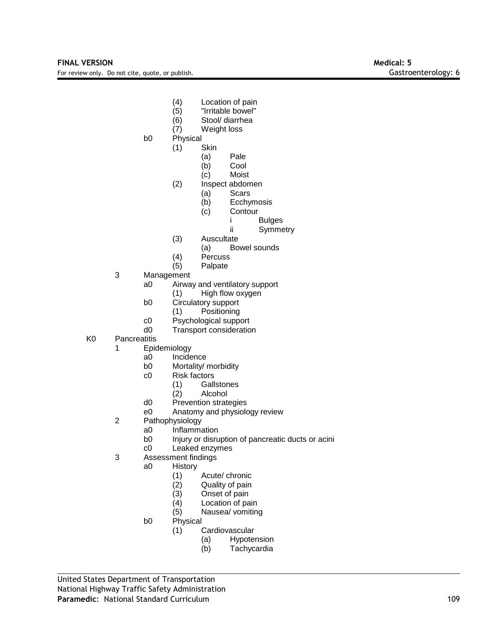- (4) Location of pain<br>(5) "Irritable bowel"
- "Irritable bowel"
- (6) Stool/ diarrhea
- (7) Weight loss
- b0 Physical
	- (1) Skin
		- (a) Pale
			- (b) Cool
			- (c) Moist
	- (2) Inspect abdomen
		- (a) Scars
			- (b) Ecchymosis
			- (c) Contour
				- i Bulges
					- ii Symmetry
	- (3) Auscultate
		- (a) Bowel sounds
	- (4) Percuss
	- (5) Palpate
- 3 Management
	- a0 Airway and ventilatory support
		- (1) High flow oxygen
	- b0 Circulatory support
		- (1) Positioning
	- c0 Psychological support<br>d0 Transport consideratio
	- Transport consideration
- K0 Pancreatitis
	- 1 Epidemiology
		- a0 Incidence
		- b0 Mortality/ morbidity
		- c0 Risk factors
			- (1) Gallstones
			- (2) Alcohol
		- d0 Prevention strategies
		- e0 Anatomy and physiology review
	- 2 Pathophysiology
		- a0 Inflammation
		- b0 Injury or disruption of pancreatic ducts or acini
		- c0 Leaked enzymes
	- 3 Assessment findings
		- a0 History
			- (1) Acute/ chronic<br>(2) Quality of pain
			- (2) Quality of pain<br>(3) Onset of pain
			- Onset of pain
			- (4) Location of pain
			- (5) Nausea/ vomiting
		- b0 Physical
			- (1) Cardiovascular
				- (a) Hypotension
					- (b) Tachycardia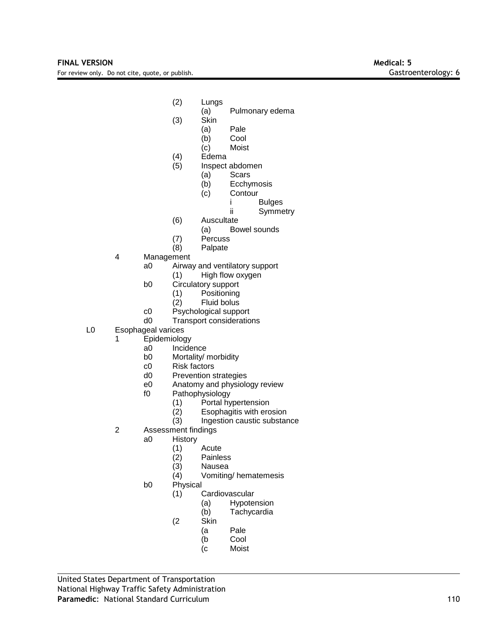- (2) Lungs
	- (a) Pulmonary edema
- (3) Skin
	- (a) Pale
	- (b) Cool
	- (c) Moist
- (4) Edema
- (5) Inspect abdomen
	- (a) Scars
		- (b) Ecchymosis<br>(c) Contour
		- **Contour** 
			- i Bulges

ii Symmetry

- (6) Auscultate
	- (a) Bowel sounds
- 
- (7) Percuss Palpate
- 4 Management
	- a0 Airway and ventilatory support
		- (1) High flow oxygen
	- b0 Circulatory support
		- (1) Positioning
		- Fluid bolus
	- c0 Psychological support
	- d0 Transport considerations
- L0 Esophageal varices
	- 1 Epidemiology
		- a0 Incidence
		- b0 Mortality/ morbidity
		- c0 Risk factors
		- d0 Prevention strategies
		- e0 Anatomy and physiology review
		- f0 Pathophysiology
			- (1) Portal hypertension
			-
			- (2) Esophagitis with erosion<br>(3) Ingestion caustic substar Ingestion caustic substance
	- 2 Assessment findings
		- a0 History
			- (1) Acute
			-
			- (2) Painless
			- (3) Nausea<br>(4) Vomiting Vomiting/ hematemesis
		- b0 Physical
			- (1) Cardiovascular
				- (a) Hypotension
				- (b) Tachycardia
			- (2 Skin
				- (a Pale
				- (b Cool
				- (c Moist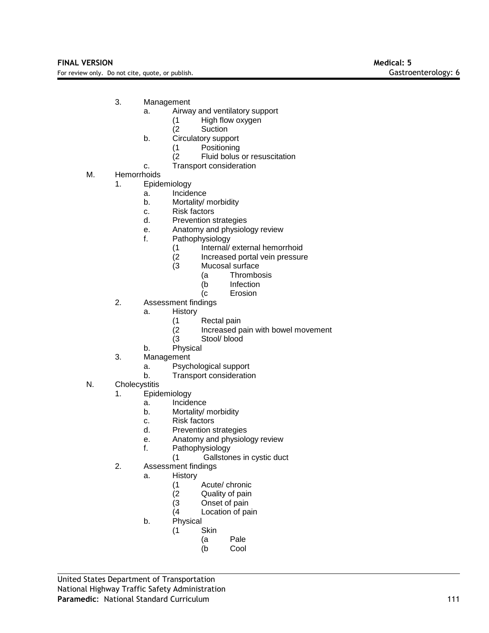- 3. Management
	- a. Airway and ventilatory support
		- (1 High flow oxygen
		- (2 Suction
	- b. Circulatory support
		- (1 Positioning
		- (2 Fluid bolus or resuscitation
	- c. Transport consideration
- M. Hemorrhoids
	- 1. Epidemiology
		- a. Incidence
		- b. Mortality/ morbidity
		- c. Risk factors
		- d. Prevention strategies
		- e. Anatomy and physiology review
		- f. Pathophysiology
			- (1 Internal/ external hemorrhoid<br>(2 Increased portal vein pressure
			- $(2 \t\t\t Increased portal vein pressure)$ <br> $(3 \t\t\t Mucosal surface)$
			- Mucosal surface
				- (a Thrombosis
				- (b Infection
				- (c Erosion
	- 2. Assessment findings
		- a. History
			-
			- (1 Rectal pain (2 Increased pain with bowel movement<br>(3 Stool/ blood
			- Stool/ blood
			- b. Physical
	- 3. Management
		- a. Psychological support
			- b. Transport consideration
- N. Cholecystitis
	- 1. Epidemiology
		- a. Incidence
		- b. Mortality/ morbidity
		- c. Risk factors
		- d. Prevention strategies
		- e. Anatomy and physiology review
		- f. Pathophysiology
			- (1 Gallstones in cystic duct
	- 2. Assessment findings
		- a. History
			- (1 Acute/ chronic
			- Quality of pain
			- (3 Onset of pain<br>(4 Location of pain
			- Location of pain
			- b. Physical
				- (1 Skin
					- (a Pale
						- (b Cool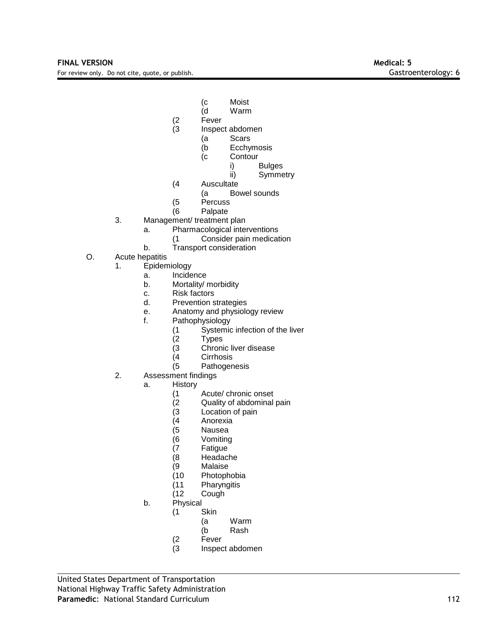- 
- (c Moist Warm
- (2 Fever
- (3 Inspect abdomen
	- (a Scars
		- (b Ecchymosis
		- (c Contour
			- i) Bulges
				- ii) Symmetry
- (4 Auscultate
	- (a Bowel sounds
- (5 Percuss
- (6 Palpate
- 3. Management/ treatment plan
	- a. Pharmacological interventions
		- (1 Consider pain medication
		- b. Transport consideration
- O. Acute hepatitis
	- 1. Epidemiology
		- a. Incidence
		- b. Mortality/ morbidity
		-
		- c. Risk factors<br>d. Prevention s **Prevention strategies**
		- e. Anatomy and physiology review
		- f. Pathophysiology
			- (1 Systemic infection of the liver
			-
			- (2 Types (3 Chronic liver disease<br>(4 Cirrhosis
			- **Cirrhosis**
			- (5 Pathogenesis
	- 2. Assessment findings
		- a. History
			- (1 Acute/ chronic onset<br>(2 Quality of abdominal
			- Quality of abdominal pain
			- (3 Location of pain
			-
			- (4 Anorexia **Nausea**
			-
			- (6 Vomiting<br>(7 Fatique **Fatigue**
			-
			- (8 Headache<br>(9 Malaise
			- (9 Malaise<br>(10 Photoph Photophobia
			-
			- (11 Pharyngitis Cough
		- b. Physical
			- (1 Skin
				- (a Warm
				- (b Rash
			- (2 Fever
			- (3 Inspect abdomen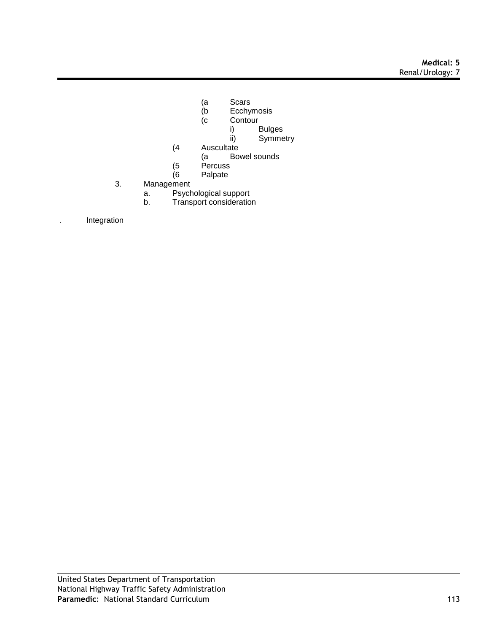## **Medical: 5** Renal/Urology: 7

- 
- (a Scars<br>(b Ecchyr Ecchymosis
- (c Contour
	- i) Bulges<br>ii) Symme
		- Symmetry
- (4 Auscultate
	- (a Bowel sounds
- (5 Percuss
- Palpate
- 3. Management
	- a. Psychological support<br>b. Transport consideration
	- Transport consideration

. Integration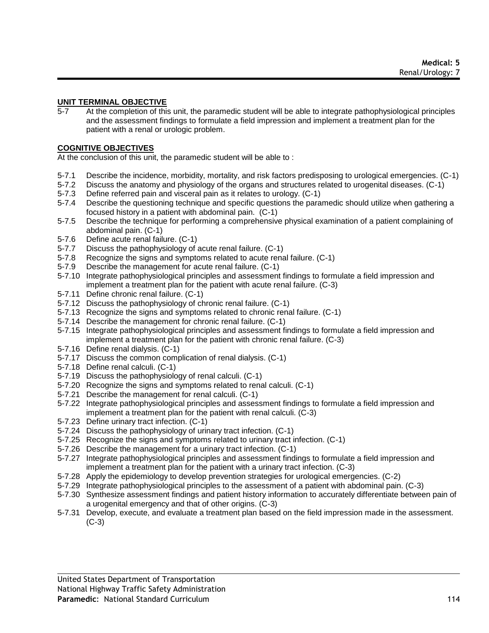#### **UNIT TERMINAL OBJECTIVE**

5-7 At the completion of this unit, the paramedic student will be able to integrate pathophysiological principles and the assessment findings to formulate a field impression and implement a treatment plan for the patient with a renal or urologic problem.

### **COGNITIVE OBJECTIVES**

At the conclusion of this unit, the paramedic student will be able to :

- 5-7.1 Describe the incidence, morbidity, mortality, and risk factors predisposing to urological emergencies. (C-1)<br>5-7.2 Discuss the anatomy and physiology of the organs and structures related to urogenital diseases. (C-1)
- Discuss the anatomy and physiology of the organs and structures related to urogenital diseases. (C-1)
- 5-7.3 Define referred pain and visceral pain as it relates to urology. (C-1)
- 5-7.4 Describe the questioning technique and specific questions the paramedic should utilize when gathering a focused history in a patient with abdominal pain. (C-1)
- 5-7.5 Describe the technique for performing a comprehensive physical examination of a patient complaining of abdominal pain. (C-1)
- 5-7.6 Define acute renal failure. (C-1)
- 5-7.7 Discuss the pathophysiology of acute renal failure. (C-1)
- 5-7.8 Recognize the signs and symptoms related to acute renal failure. (C-1)
- 5-7.9 Describe the management for acute renal failure. (C-1)
- 5-7.10 Integrate pathophysiological principles and assessment findings to formulate a field impression and implement a treatment plan for the patient with acute renal failure. (C-3)
- 5-7.11 Define chronic renal failure. (C-1)
- 5-7.12 Discuss the pathophysiology of chronic renal failure. (C-1)
- 5-7.13 Recognize the signs and symptoms related to chronic renal failure. (C-1)
- 5-7.14 Describe the management for chronic renal failure. (C-1)
- 5-7.15 Integrate pathophysiological principles and assessment findings to formulate a field impression and implement a treatment plan for the patient with chronic renal failure. (C-3)
- 5-7.16 Define renal dialysis. (C-1)
- 5-7.17 Discuss the common complication of renal dialysis. (C-1)
- 5-7.18 Define renal calculi. (C-1)
- 5-7.19 Discuss the pathophysiology of renal calculi. (C-1)
- 5-7.20 Recognize the signs and symptoms related to renal calculi. (C-1)
- 5-7.21 Describe the management for renal calculi. (C-1)
- 5-7.22 Integrate pathophysiological principles and assessment findings to formulate a field impression and implement a treatment plan for the patient with renal calculi. (C-3)
- 5-7.23 Define urinary tract infection. (C-1)
- 5-7.24 Discuss the pathophysiology of urinary tract infection. (C-1)
- 5-7.25 Recognize the signs and symptoms related to urinary tract infection. (C-1)
- 5-7.26 Describe the management for a urinary tract infection. (C-1)
- 5-7.27 Integrate pathophysiological principles and assessment findings to formulate a field impression and implement a treatment plan for the patient with a urinary tract infection. (C-3)
- 5-7.28 Apply the epidemiology to develop prevention strategies for urological emergencies. (C-2)
- 5-7.29 Integrate pathophysiological principles to the assessment of a patient with abdominal pain. (C-3)
- 5-7.30 Synthesize assessment findings and patient history information to accurately differentiate between pain of a urogenital emergency and that of other origins. (C-3)
- 5-7.31 Develop, execute, and evaluate a treatment plan based on the field impression made in the assessment. (C-3)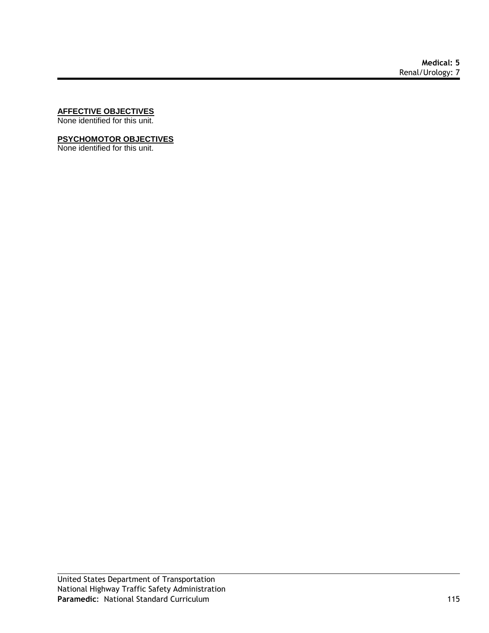#### **AFFECTIVE OBJECTIVES**

None identified for this unit.

## **PSYCHOMOTOR OBJECTIVES**

None identified for this unit.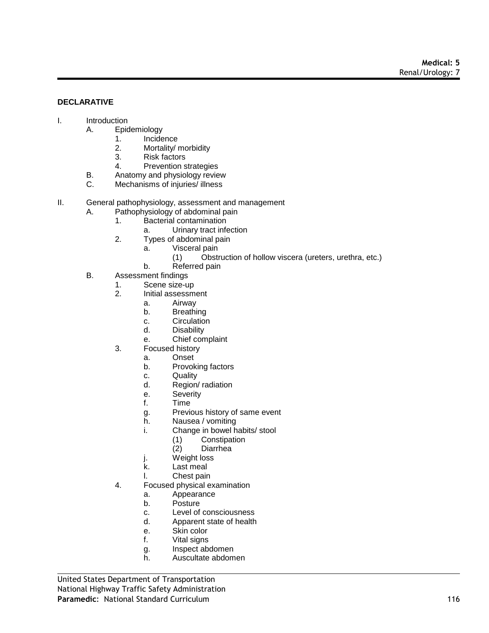## **DECLARATIVE**

#### I. Introduction

- A. Epidemiology
	- 1. Incidence
	- 2. Mortality/ morbidity
	- 3. Risk factors
	- 4. Prevention strategies
- B. Anatomy and physiology review<br>C. Mechanisms of iniuries/ illness
- Mechanisms of injuries/ illness
- II. General pathophysiology, assessment and management
	- A. Pathophysiology of abdominal pain
		- 1. Bacterial contamination
			- a. Urinary tract infection
		- 2. Types of abdominal pain
			- a. Visceral pain
				- (1) Obstruction of hollow viscera (ureters, urethra, etc.)
			- b. Referred pain
	- B. Assessment findings
		- 1. Scene size-up
			- 2. Initial assessment
				- a. Airway
				- b. Breathing
				- c. Circulation
				- d. Disability
				- e. Chief complaint
			- 3. Focused history
				- a. Onset
				- b. Provoking factors
				- c. Quality
				- d. Region/ radiation
				- e. Severity
				- f. Time
				- g. Previous history of same event
				- h. Nausea / vomiting
				- i. Change in bowel habits/ stool
					- (1) Constipation
					- Diarrhea
				- j. Weight loss
				- k. Last meal
				- l. Chest pain
			- 4. Focused physical examination
				- a. Appearance
				- b. Posture
				- c. Level of consciousness
				- d. Apparent state of health
				- e. Skin color
				- f. Vital signs
				- g. Inspect abdomen
				- h. Auscultate abdomen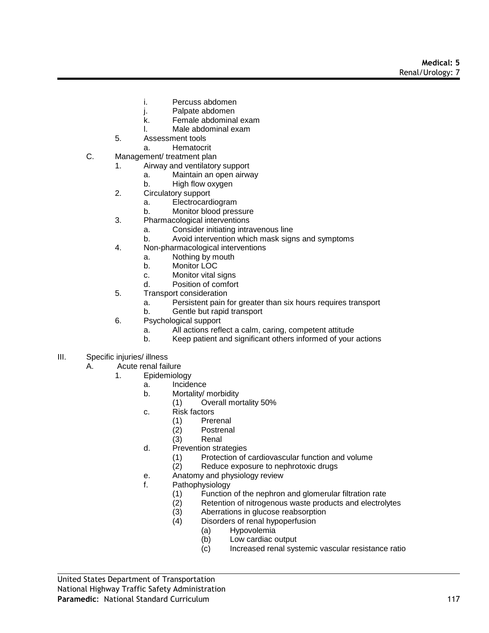- i. Percuss abdomen
- j. Palpate abdomen
- k. Female abdominal exam
- l. Male abdominal exam
- 5. Assessment tools
	- a. Hematocrit
- C. Management/ treatment plan
	- 1. Airway and ventilatory support
		- a. Maintain an open airway
		- b. High flow oxygen
	- 2. Circulatory support
		- a. Electrocardiogram
		- b. Monitor blood pressure
	- 3. Pharmacological interventions
		- a. Consider initiating intravenous line
		- b. Avoid intervention which mask signs and symptoms
	- 4. Non-pharmacological interventions
		- a. Nothing by mouth
		- b. Monitor LOC
		- c. Monitor vital signs
		- d. Position of comfort
	- 5. Transport consideration
		- a. Persistent pain for greater than six hours requires transport
		- b. Gentle but rapid transport
	- 6. Psychological support
		- a. All actions reflect a calm, caring, competent attitude
		- b. Keep patient and significant others informed of your actions
- III. Specific injuries/ illness
	- A. Acute renal failure
		- 1. Epidemiology
			- a. Incidence
			- b. Mortality/ morbidity
				- (1) Overall mortality 50%
			- c. Risk factors
				- (1) Prerenal
				- (2) Postrenal
				- (3) Renal
			- d. Prevention strategies
				- (1) Protection of cardiovascular function and volume
				- (2) Reduce exposure to nephrotoxic drugs
			- e. Anatomy and physiology review
			- f. Pathophysiology
				- (1) Function of the nephron and glomerular filtration rate
				- (2) Retention of nitrogenous waste products and electrolytes
				- (3) Aberrations in glucose reabsorption
				- (4) Disorders of renal hypoperfusion
					- (a) Hypovolemia
					- (b) Low cardiac output
					- (c) Increased renal systemic vascular resistance ratio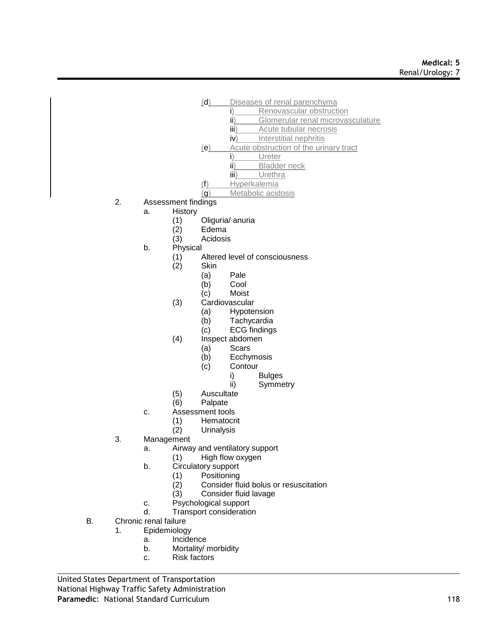## **Medical: 5** Renal/Urology: 7

- (d) Diseases of renal parenchyma
	- i) Renovascular obstruction
		- ii) Glomerular renal microvasculature
	- iii) Acute tubular necrosis
	- iv) Interstitial nephritis
- (e) Acute obstruction of the urinary tract
	- i) Ureter
	- ii) Bladder neck
	- iii) Urethra
- (f) Hyperkalemia
- (g) Metabolic acidosis
- 2. Assessment findings
	- a. History
		- (1) Oliguria/ anuria
		- (2) Edema
		- **Acidosis**
	- b. Physical
		- (1) Altered level of consciousness
			- (2) Skin
				- (a) Pale
				- (b) Cool
				- (c) Moist
		- (3) Cardiovascular
			- (a) Hypotension
				- (b) Tachycardia
				- (c) ECG findings
		- (4) Inspect abdomen
			- (a) Scars
				- (b) Ecchymosis
				- (c) Contour
					- i) Bulges
					- ii) Symmetry
		- (5) Auscultate
		- (6) Palpate
	- c. Assessment tools
		-
		- (1) Hematocrit **Urinalysis**
- 3. Management
	- a. Airway and ventilatory support
		- (1) High flow oxygen
	- b. Circulatory support
		- (1) Positioning
		- $(2)$  Consider fluid bolus or resuscitation<br> $(3)$  Consider fluid lavage
		- Consider fluid lavage
	- c. Psychological support
	- d. Transport consideration
- B. Chronic renal failure
	- 1. Epidemiology
		- a. Incidence
		- b. Mortality/ morbidity
		- c. Risk factors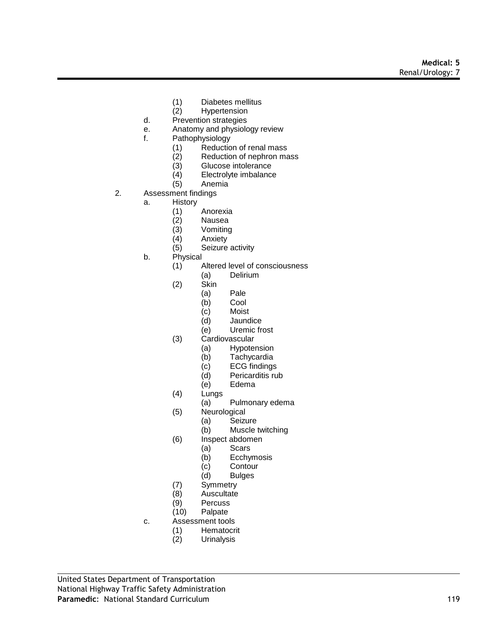- (1) Diabetes mellitus
- **Hypertension**
- d. Prevention strategies
- e. Anatomy and physiology review
- f. Pathophysiology
	- (1) Reduction of renal mass
	- (2) Reduction of nephron mass<br>(3) Glucose intolerance
	- (3) Glucose intolerance<br>(4) Electrolyte imbalance
	- Electrolyte imbalance
	- (5) Anemia
- 2. Assessment findings
	- a. History
		- (1) Anorexia
		- **Nausea**
		- (3) Vomiting<br>(4) Anxiety
		- (4) Anxiety
		- Seizure activity
		- b. Physical
			- (1) Altered level of consciousness
				- (a) Delirium
			- (2) Skin
				- (a) Pale
				- (b) Cool
				- (c) Moist
				- (d) Jaundice
				- (e) Uremic frost
			- (3) Cardiovascular
				- (a) Hypotension
				- (b) Tachycardia
				- (c) ECG findings
				- (d) Pericarditis rub
				- (e) Edema
			- (4) Lungs
				- (a) Pulmonary edema
			- (5) Neurological
				- (a) Seizure
					- (b) Muscle twitching
			- (6) Inspect abdomen
				- (a) Scars
				- (b) Ecchymosis
				- (c) Contour<br>(d) Bulges
				- **Bulges**
			-
			- (7) Symmetry<br>(8) Auscultate Auscultate
			- (9) Percuss
			- (10) Palpate
		- c. Assessment tools
			-
			- (1) Hematocrit **Urinalysis**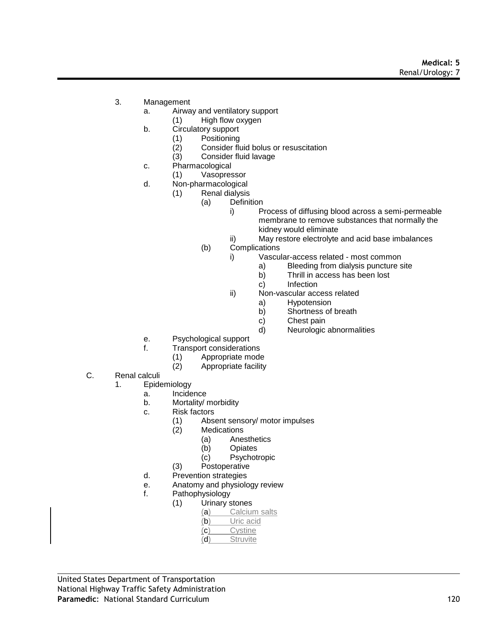- 3. Management
	- a. Airway and ventilatory support
		- (1) High flow oxygen
	- b. Circulatory support
		- (1) Positioning
		- (2) Consider fluid bolus or resuscitation
		- (3) Consider fluid lavage
	- c. Pharmacological
		- (1) Vasopressor
	- d. Non-pharmacological
		- (1) Renal dialysis
			- (a) Definition
				- i) Process of diffusing blood across a semi-permeable membrane to remove substances that normally the kidney would eliminate
				- ii) May restore electrolyte and acid base imbalances
			- (b) Complications
				- i) Vascular-access related most common
					- a) Bleeding from dialysis puncture site
					- b) Thrill in access has been lost
					- c) Infection
				- ii) Non-vascular access related
					- a) Hypotension
					- b) Shortness of breath
					- c) Chest pain
					- d) Neurologic abnormalities
	- e. Psychological support
	- f. Transport considerations
		- (1) Appropriate mode
		- (2) Appropriate facility
- C. Renal calculi
	- 1. Epidemiology
		- a. Incidence
		- b. Mortality/ morbidity
		- c. Risk factors
			- (1) Absent sensory/ motor impulses
			- (2) Medications
				- (a) Anesthetics
				- (b) Opiates
				- (c) Psychotropic
			- (3) Postoperative
		- d. Prevention strategies
		- e. Anatomy and physiology review
		- f. Pathophysiology
			- (1) Urinary stones
				- (a) Calcium salts
				- (b) Uric acid
				- (c) Cystine
				- (d) Struvite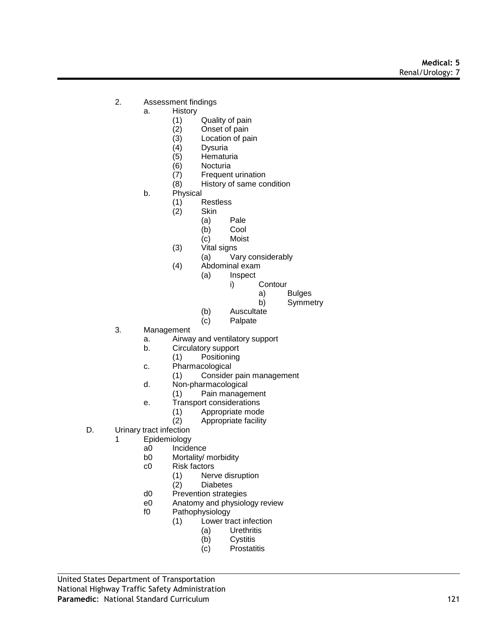- 2. Assessment findings
	- a. History
		- (1) Quality of pain<br>(2) Onset of pain
			- Onset of pain
		- (3) Location of pain
		- **Dysuria**
		- (5) Hematuria
		- (6) Nocturia
		- (7) Frequent urination
		- (8) History of same condition
		- b. Physical
			- (1) Restless
			- Skin
				- (a) Pale
				- (b) Cool
				- (c) Moist
			- (3) Vital signs
				- (a) Vary considerably
			- (4) Abdominal exam
				- (a) Inspect
					- i) Contour
						- a) Bulges
						- b) Symmetry
				- (b) Auscultate
				- (c) Palpate
- 3. Management
	- a. Airway and ventilatory support
	- b. Circulatory support
		- (1) Positioning
	- c. Pharmacological
		- (1) Consider pain management
	- d. Non-pharmacological
		- (1) Pain management
	- e. Transport considerations
		- (1) Appropriate mode
		- (2) Appropriate facility
- D. Urinary tract infection
	- 1 Epidemiology
		- a0 Incidence
		- b0 Mortality/ morbidity
		- c0 Risk factors
			- (1) Nerve disruption
			- **Diabetes**
		- d0 Prevention strategies
		- e0 Anatomy and physiology review
		- f0 Pathophysiology
			- (1) Lower tract infection
				- (a) Urethritis
				- (b) Cystitis
				- (c) Prostatitis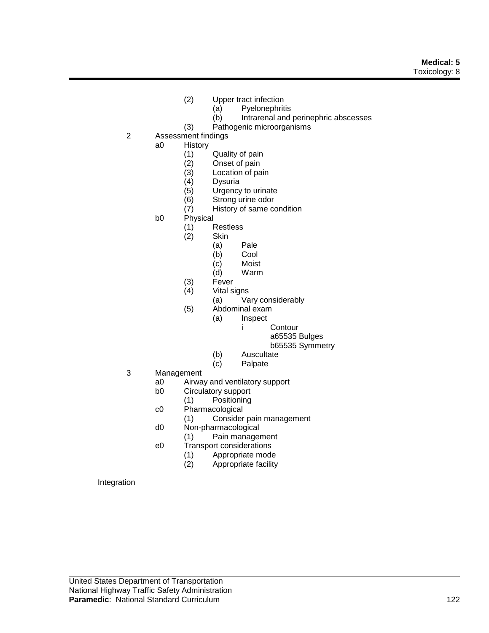- (2) Upper tract infection
	- (a) Pyelonephritis
	- (b) Intrarenal and perinephric abscesses
- (3) Pathogenic microorganisms
- 2 Assessment findings
	- a0 History
		- (1) Quality of pain<br>(2) Onset of pain
		- (2) Onset of pain<br>(3) Location of pa
		- (3) Location of pain
		- **Dysuria**
		- (5) Urgency to urinate
		- (6) Strong urine odor
		- (7) History of same condition
	- b0 Physical
		- (1) Restless
		- (2) Skin
			- (a) Pale
				- (b) Cool
				- (c) Moist
			- (d) Warm
		- (3) Fever
		- Vital signs
			- (a) Vary considerably
		- (5) Abdominal exam
			- (a) Inspect
				- i Contour
					- a65535 Bulges
					- b65535 Symmetry
			- (b) Auscultate
			- (c) Palpate
- 3 Management
	- a0 Airway and ventilatory support<br>b0 Circulatory support
		- Circulatory support
			- (1) Positioning
	- c0 Pharmacological
		- (1) Consider pain management
	- d0 Non-pharmacological
		- (1) Pain management
	- e0 Transport considerations
		- (1) Appropriate mode
			- (2) Appropriate facility

#### Integration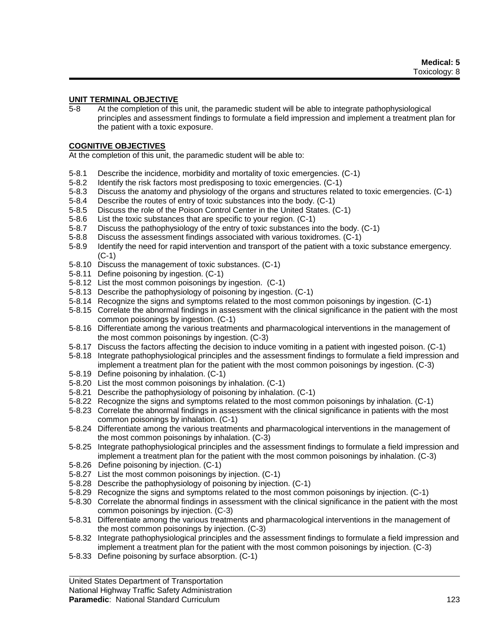#### **UNIT TERMINAL OBJECTIVE**

5-8 At the completion of this unit, the paramedic student will be able to integrate pathophysiological principles and assessment findings to formulate a field impression and implement a treatment plan for the patient with a toxic exposure.

### **COGNITIVE OBJECTIVES**

At the completion of this unit, the paramedic student will be able to:

- 5-8.1 Describe the incidence, morbidity and mortality of toxic emergencies. (C-1)
- 5-8.2 Identify the risk factors most predisposing to toxic emergencies. (C-1)
- 5-8.3 Discuss the anatomy and physiology of the organs and structures related to toxic emergencies. (C-1)
- 5-8.4 Describe the routes of entry of toxic substances into the body. (C-1)
- 5-8.5 Discuss the role of the Poison Control Center in the United States. (C-1)
- 5-8.6 List the toxic substances that are specific to your region. (C-1)
- 5-8.7 Discuss the pathophysiology of the entry of toxic substances into the body. (C-1)
- 5-8.8 Discuss the assessment findings associated with various toxidromes. (C-1)
- 5-8.9 Identify the need for rapid intervention and transport of the patient with a toxic substance emergency. (C-1)
- 5-8.10 Discuss the management of toxic substances. (C-1)
- 5-8.11 Define poisoning by ingestion. (C-1)
- 5-8.12 List the most common poisonings by ingestion. (C-1)
- 5-8.13 Describe the pathophysiology of poisoning by ingestion. (C-1)
- 5-8.14 Recognize the signs and symptoms related to the most common poisonings by ingestion. (C-1)
- 5-8.15 Correlate the abnormal findings in assessment with the clinical significance in the patient with the most common poisonings by ingestion. (C-1)
- 5-8.16 Differentiate among the various treatments and pharmacological interventions in the management of the most common poisonings by ingestion. (C-3)
- 5-8.17 Discuss the factors affecting the decision to induce vomiting in a patient with ingested poison. (C-1)
- 5-8.18 Integrate pathophysiological principles and the assessment findings to formulate a field impression and implement a treatment plan for the patient with the most common poisonings by ingestion. (C-3)
- 5-8.19 Define poisoning by inhalation. (C-1)
- 5-8.20 List the most common poisonings by inhalation. (C-1)
- 5-8.21 Describe the pathophysiology of poisoning by inhalation. (C-1)
- 5-8.22 Recognize the signs and symptoms related to the most common poisonings by inhalation. (C-1)
- 5-8.23 Correlate the abnormal findings in assessment with the clinical significance in patients with the most common poisonings by inhalation. (C-1)
- 5-8.24 Differentiate among the various treatments and pharmacological interventions in the management of the most common poisonings by inhalation. (C-3)
- 5-8.25 Integrate pathophysiological principles and the assessment findings to formulate a field impression and implement a treatment plan for the patient with the most common poisonings by inhalation. (C-3)
- 5-8.26 Define poisoning by injection. (C-1)
- 5-8.27 List the most common poisonings by injection. (C-1)
- 5-8.28 Describe the pathophysiology of poisoning by injection. (C-1)
- 5-8.29 Recognize the signs and symptoms related to the most common poisonings by injection. (C-1)
- 5-8.30 Correlate the abnormal findings in assessment with the clinical significance in the patient with the most common poisonings by injection. (C-3)
- 5-8.31 Differentiate among the various treatments and pharmacological interventions in the management of the most common poisonings by injection. (C-3)
- 5-8.32 Integrate pathophysiological principles and the assessment findings to formulate a field impression and implement a treatment plan for the patient with the most common poisonings by injection. (C-3)
- 5-8.33 Define poisoning by surface absorption. (C-1)

United States Department of Transportation

## National Highway Traffic Safety Administration

#### **Paramedic**: National Standard Curriculum 123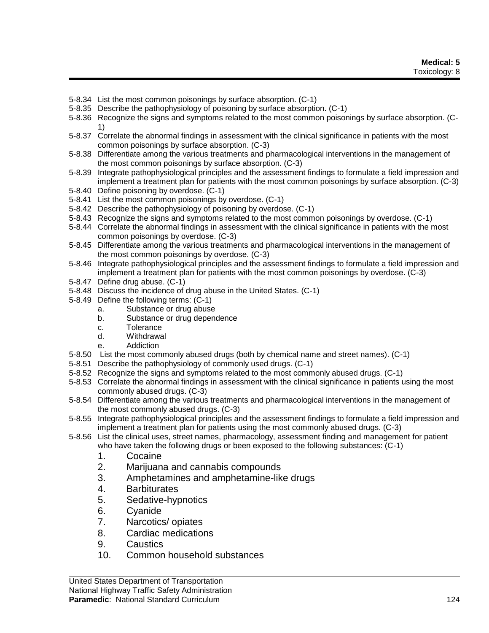- 5-8.34 List the most common poisonings by surface absorption. (C-1)
- 5-8.35 Describe the pathophysiology of poisoning by surface absorption. (C-1)
- 5-8.36 Recognize the signs and symptoms related to the most common poisonings by surface absorption. (C-1)
- 5-8.37 Correlate the abnormal findings in assessment with the clinical significance in patients with the most common poisonings by surface absorption. (C-3)
- 5-8.38 Differentiate among the various treatments and pharmacological interventions in the management of the most common poisonings by surface absorption. (C-3)
- 5-8.39 Integrate pathophysiological principles and the assessment findings to formulate a field impression and implement a treatment plan for patients with the most common poisonings by surface absorption. (C-3)
- 5-8.40 Define poisoning by overdose. (C-1)
- 5-8.41 List the most common poisonings by overdose. (C-1)
- 5-8.42 Describe the pathophysiology of poisoning by overdose. (C-1)
- 5-8.43 Recognize the signs and symptoms related to the most common poisonings by overdose. (C-1)
- 5-8.44 Correlate the abnormal findings in assessment with the clinical significance in patients with the most common poisonings by overdose. (C-3)
- 5-8.45 Differentiate among the various treatments and pharmacological interventions in the management of the most common poisonings by overdose. (C-3)
- 5-8.46 Integrate pathophysiological principles and the assessment findings to formulate a field impression and implement a treatment plan for patients with the most common poisonings by overdose. (C-3)
- 5-8.47 Define drug abuse. (C-1)
- 5-8.48 Discuss the incidence of drug abuse in the United States. (C-1)
- 5-8.49 Define the following terms: (C-1)
	- a. Substance or drug abuse
	- b. Substance or drug dependence
	- c. Tolerance
	- d. Withdrawal
	- e. Addiction
- 5-8.50 List the most commonly abused drugs (both by chemical name and street names). (C-1)
- 5-8.51 Describe the pathophysiology of commonly used drugs. (C-1)
- 5-8.52 Recognize the signs and symptoms related to the most commonly abused drugs. (C-1)
- 5-8.53 Correlate the abnormal findings in assessment with the clinical significance in patients using the most commonly abused drugs. (C-3)
- 5-8.54 Differentiate among the various treatments and pharmacological interventions in the management of the most commonly abused drugs. (C-3)
- 5-8.55 Integrate pathophysiological principles and the assessment findings to formulate a field impression and implement a treatment plan for patients using the most commonly abused drugs. (C-3)
- 5-8.56 List the clinical uses, street names, pharmacology, assessment finding and management for patient who have taken the following drugs or been exposed to the following substances: (C-1)
	- 1. Cocaine
	- 2. Marijuana and cannabis compounds
	- 3. Amphetamines and amphetamine-like drugs
	- 4. Barbiturates
	- 5. Sedative-hypnotics
	- 6. Cyanide
	- 7. Narcotics/ opiates
	- 8. Cardiac medications
	- 9. Caustics
	- 10. Common household substances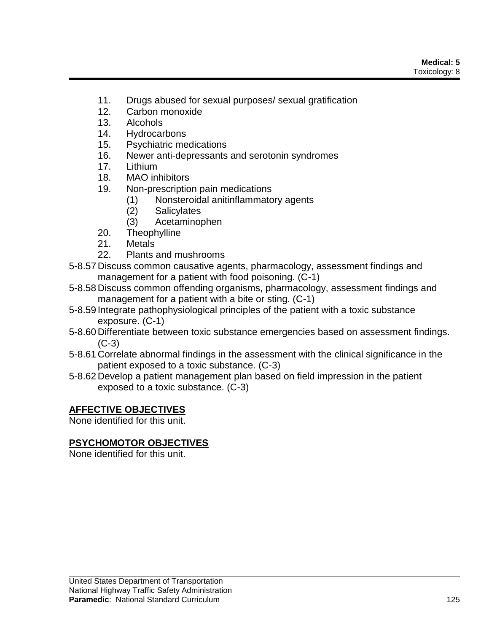- 11. Drugs abused for sexual purposes/ sexual gratification
- 12. Carbon monoxide
- 13. Alcohols
- 14. Hydrocarbons
- 15. Psychiatric medications
- 16. Newer anti-depressants and serotonin syndromes
- 17. Lithium
- 18. MAO inhibitors
- 19. Non-prescription pain medications
	- (1) Nonsteroidal anitinflammatory agents
	- (2) Salicylates
	- (3) Acetaminophen
- 20. Theophylline
- 21. Metals
- 22. Plants and mushrooms
- 5-8.57 Discuss common causative agents, pharmacology, assessment findings and management for a patient with food poisoning. (C-1)
- 5-8.58 Discuss common offending organisms, pharmacology, assessment findings and management for a patient with a bite or sting. (C-1)
- 5-8.59 Integrate pathophysiological principles of the patient with a toxic substance exposure. (C-1)
- 5-8.60 Differentiate between toxic substance emergencies based on assessment findings.  $(C-3)$
- 5-8.61 Correlate abnormal findings in the assessment with the clinical significance in the patient exposed to a toxic substance. (C-3)
- 5-8.62 Develop a patient management plan based on field impression in the patient exposed to a toxic substance. (C-3)

# **AFFECTIVE OBJECTIVES**

None identified for this unit.

# **PSYCHOMOTOR OBJECTIVES**

None identified for this unit.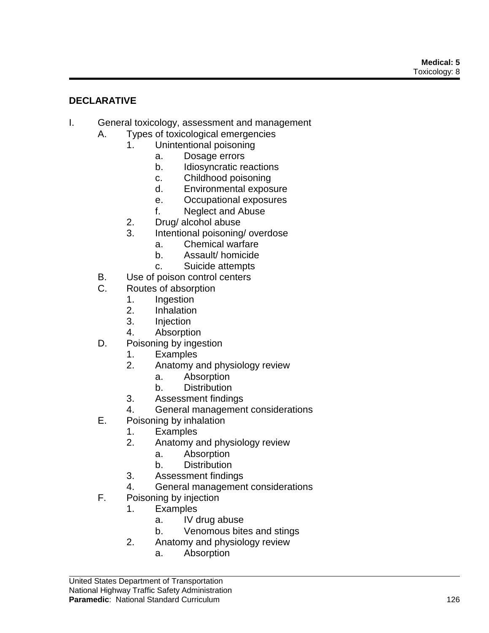## **DECLARATIVE**

- I. General toxicology, assessment and management
	- A. Types of toxicological emergencies
		- 1. Unintentional poisoning
			- a. Dosage errors
			- b. Idiosyncratic reactions
			- c. Childhood poisoning
			- d. Environmental exposure
			- e. Occupational exposures
			- f. Neglect and Abuse
			- 2. Drug/ alcohol abuse
			- 3. Intentional poisoning/ overdose
				- a. Chemical warfare
				- b. Assault/ homicide
				- c. Suicide attempts
	- B. Use of poison control centers
	- C. Routes of absorption
		- 1. Ingestion
		- 2. Inhalation
		- 3. Injection
		- 4. Absorption
	- D. Poisoning by ingestion
		- 1. Examples
		- 2. Anatomy and physiology review
			- a. Absorption
			- b. Distribution
		- 3. Assessment findings
		- 4. General management considerations
	- E. Poisoning by inhalation
		- 1. Examples
		- 2. Anatomy and physiology review
			- a. Absorption
			- b. Distribution
		- 3. Assessment findings
		- 4. General management considerations
	- F. Poisoning by injection
		- 1. Examples
			- a. IV drug abuse
			- b. Venomous bites and stings
		- 2. Anatomy and physiology review
			- a. Absorption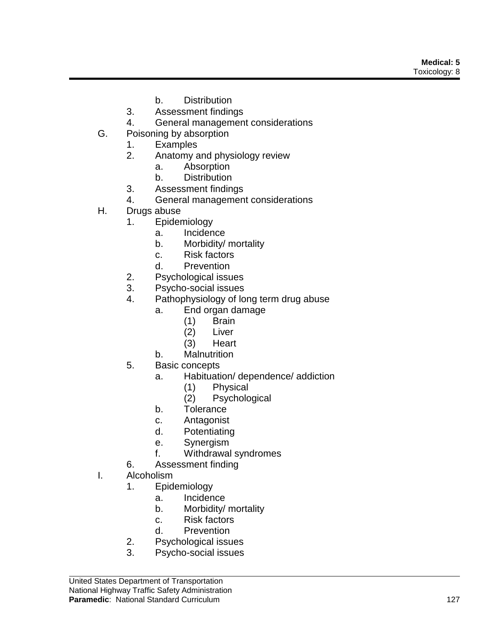- b. Distribution
- 3. Assessment findings
- 4. General management considerations
- G. Poisoning by absorption
	- 1. Examples
	- 2. Anatomy and physiology review
		- a. Absorption
		- b. Distribution
	- 3. Assessment findings
	- 4. General management considerations
- H. Drugs abuse
	- 1. Epidemiology
		- a. Incidence
		- b. Morbidity/ mortality
		- c. Risk factors
		- d. Prevention
	- 2. Psychological issues
	- 3. Psycho-social issues
	- 4. Pathophysiology of long term drug abuse
		- a. End organ damage
			- (1) Brain
			- (2) Liver
			- (3) Heart
			- b. Malnutrition
	- 5. Basic concepts
		- a. Habituation/ dependence/ addiction
			- (1) Physical
			- (2) Psychological
			- b. Tolerance
			- c. Antagonist
			- d. Potentiating
			- e. Synergism
			- f. Withdrawal syndromes
	- 6. Assessment finding
- I. Alcoholism
	- 1. Epidemiology
		- a. Incidence
		- b. Morbidity/ mortality
		- c. Risk factors
		- d. Prevention
	- 2. Psychological issues
	- 3. Psycho-social issues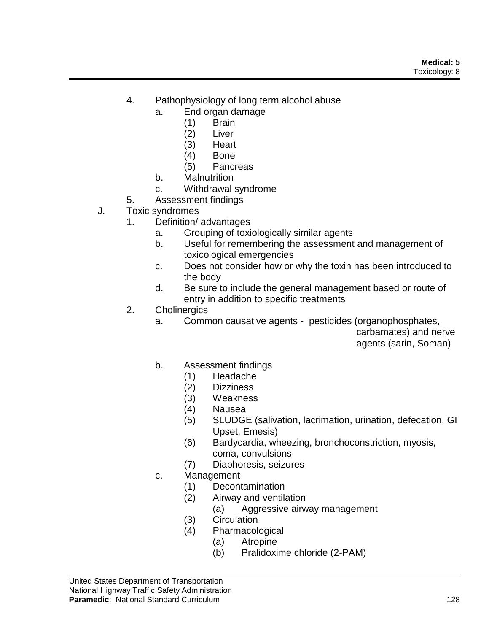- 4. Pathophysiology of long term alcohol abuse
	- a. End organ damage
		- (1) Brain
		- (2) Liver
		- (3) Heart
		- (4) Bone
		- (5) Pancreas
		- b. Malnutrition
	- c. Withdrawal syndrome
- 5. Assessment findings
- J. Toxic syndromes
	- 1. Definition/ advantages
		- a. Grouping of toxiologically similar agents
		- b. Useful for remembering the assessment and management of toxicological emergencies
		- c. Does not consider how or why the toxin has been introduced to the body
		- d. Be sure to include the general management based or route of entry in addition to specific treatments
	- 2. Cholinergics
		- a. Common causative agents pesticides (organophosphates,

carbamates) and nerve agents (sarin, Soman)

- 
- b. Assessment findings
	- (1) Headache
	- (2) Dizziness
	- (3) Weakness
	- (4) Nausea
	- (5) SLUDGE (salivation, lacrimation, urination, defecation, GI Upset, Emesis)
	- (6) Bardycardia, wheezing, bronchoconstriction, myosis, coma, convulsions
	- (7) Diaphoresis, seizures
- c. Management
	- (1) Decontamination
	- (2) Airway and ventilation
		- (a) Aggressive airway management
	- (3) Circulation
	- (4) Pharmacological
		- (a) Atropine
		- (b) Pralidoxime chloride (2-PAM)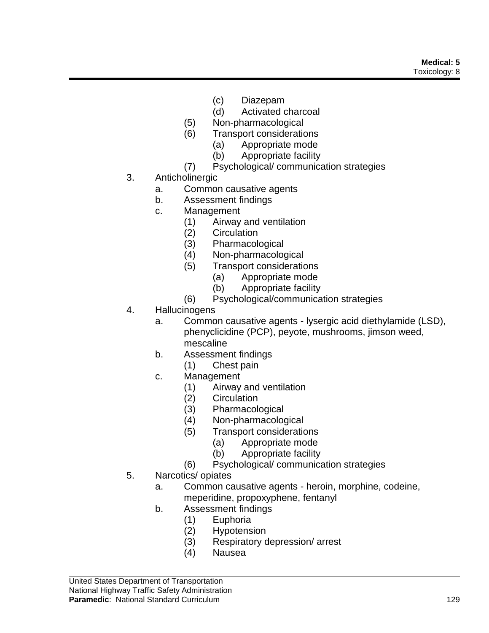- (c) Diazepam
- (d) Activated charcoal
- (5) Non-pharmacological
- (6) Transport considerations
	- (a) Appropriate mode
	- (b) Appropriate facility
- (7) Psychological/ communication strategies
- 3. Anticholinergic
	- a. Common causative agents
	- b. Assessment findings
	- c. Management
		- (1) Airway and ventilation
		- (2) Circulation
		- (3) Pharmacological
		- (4) Non-pharmacological
		- (5) Transport considerations
			- (a) Appropriate mode
			- (b) Appropriate facility
		- (6) Psychological/communication strategies
- 4. Hallucinogens
	- a. Common causative agents lysergic acid diethylamide (LSD), phenyclicidine (PCP), peyote, mushrooms, jimson weed, mescaline
	- b. Assessment findings
		- (1) Chest pain
	- c. Management
		- (1) Airway and ventilation
		- (2) Circulation
		- (3) Pharmacological
		- (4) Non-pharmacological
		- (5) Transport considerations
			- (a) Appropriate mode
				- (b) Appropriate facility
		- (6) Psychological/ communication strategies
- 5. Narcotics/ opiates
	- a. Common causative agents heroin, morphine, codeine, meperidine, propoxyphene, fentanyl
	- b. Assessment findings
		- (1) Euphoria
		- (2) Hypotension
		- (3) Respiratory depression/ arrest
		- (4) Nausea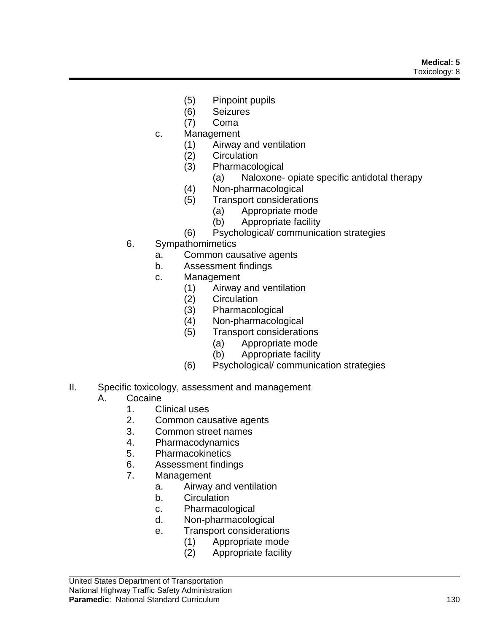- (5) Pinpoint pupils
- (6) Seizures
- (7) Coma
- c. Management
	- (1) Airway and ventilation
	- (2) Circulation
	- (3) Pharmacological
		- (a) Naloxone- opiate specific antidotal therapy
	- (4) Non-pharmacological
	- (5) Transport considerations
		- (a) Appropriate mode
		- (b) Appropriate facility
	- (6) Psychological/ communication strategies
- 6. Sympathomimetics
	- a. Common causative agents
	- b. Assessment findings
	- c. Management
		- (1) Airway and ventilation
			- (2) Circulation
			- (3) Pharmacological
			- (4) Non-pharmacological
			- (5) Transport considerations
				- (a) Appropriate mode
				- (b) Appropriate facility
			- (6) Psychological/ communication strategies
- II. Specific toxicology, assessment and management
	- A. Cocaine<br>1. Cl
		- Clinical uses
		- 2. Common causative agents
		- 3. Common street names
		- 4. Pharmacodynamics
		- 5. Pharmacokinetics
		- 6. Assessment findings
		- 7. Management
			- a. Airway and ventilation
			- b. Circulation
			- c. Pharmacological
			- d. Non-pharmacological
			- e. Transport considerations
				- (1) Appropriate mode
				- (2) Appropriate facility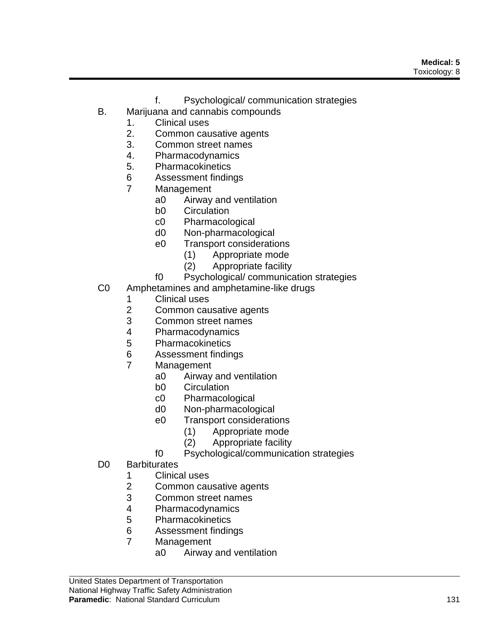- f. Psychological/ communication strategies
- B. Marijuana and cannabis compounds
	- 1. Clinical uses
	- 2. Common causative agents
	- 3. Common street names
	- 4. Pharmacodynamics
	- 5. Pharmacokinetics
	- 6 Assessment findings
	- 7 Management
		- a0 Airway and ventilation
		- b0 Circulation
		- c0 Pharmacological
		- d0 Non-pharmacological
		- e0 Transport considerations
			- (1) Appropriate mode
			- (2) Appropriate facility
		- f0 Psychological/ communication strategies
- C0 Amphetamines and amphetamine-like drugs
	- 1 Clinical uses
	- 2 Common causative agents
	- 3 Common street names
	- 4 Pharmacodynamics
	- 5 Pharmacokinetics
	- 6 Assessment findings
	- 7 Management
		- a0 Airway and ventilation
		- b0 Circulation
		- c0 Pharmacological
		- d0 Non-pharmacological
		- e0 Transport considerations
			- (1) Appropriate mode
				- (2) Appropriate facility
		- f0 Psychological/communication strategies
- D0 Barbiturates
	- 1 Clinical uses
	- 2 Common causative agents
	- 3 Common street names
	- 4 Pharmacodynamics<br>5 Pharmacokinetics
	- **Pharmacokinetics**
	- 6 Assessment findings
	- 7 Management
		- a0 Airway and ventilation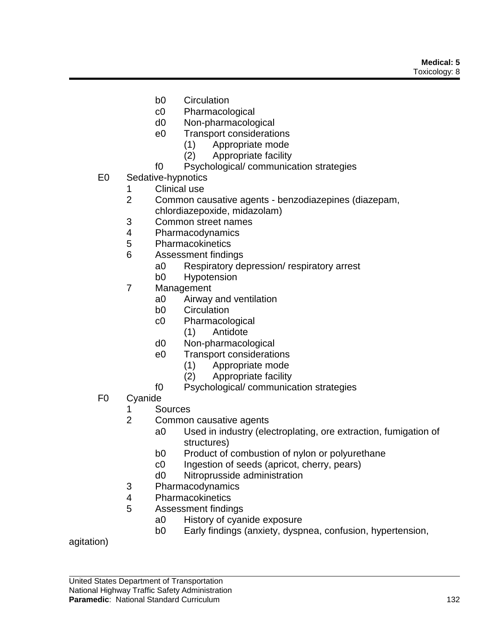- b0 Circulation
- c0 Pharmacological
- d0 Non-pharmacological
- e0 Transport considerations
	- (1) Appropriate mode
	- (2) Appropriate facility
- f0 Psychological/ communication strategies
- E0 Sedative-hypnotics
	- 1 Clinical use
	- 2 Common causative agents benzodiazepines (diazepam, chlordiazepoxide, midazolam)
	- 3 Common street names
	- 4 Pharmacodynamics
	- 5 Pharmacokinetics
	- 6 Assessment findings
		- a0 Respiratory depression/ respiratory arrest
		- b0 Hypotension
	- 7 Management
		- a0 Airway and ventilation
		- b0 Circulation
		- c0 Pharmacological
			- (1) Antidote
		- d0 Non-pharmacological
		- e0 Transport considerations
			- (1) Appropriate mode
				- (2) Appropriate facility
		- f0 Psychological/ communication strategies
- F0 Cyanide
	- 1 Sources
	- 2 Common causative agents
		- a0 Used in industry (electroplating, ore extraction, fumigation of structures)
		- b0 Product of combustion of nylon or polyurethane
		- c0 Ingestion of seeds (apricot, cherry, pears)
		- d0 Nitroprusside administration
	- 3 Pharmacodynamics
	- 4 Pharmacokinetics
	- 5 Assessment findings
		- a0 History of cyanide exposure
		- b0 Early findings (anxiety, dyspnea, confusion, hypertension,

agitation)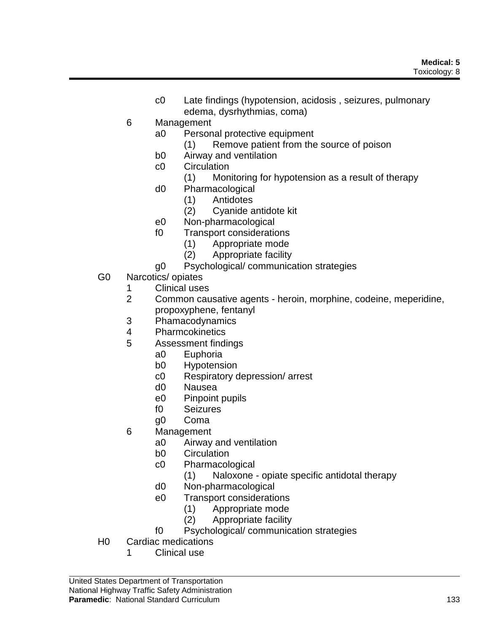- c0 Late findings (hypotension, acidosis , seizures, pulmonary edema, dysrhythmias, coma)
- 6 Management
	- a0 Personal protective equipment
		- (1) Remove patient from the source of poison
	- b0 Airway and ventilation
	- c0 Circulation
		- (1) Monitoring for hypotension as a result of therapy
	- d0 Pharmacological
		- (1) Antidotes
		- (2) Cyanide antidote kit
	- e0 Non-pharmacological
	- f0 Transport considerations
		- (1) Appropriate mode
		- (2) Appropriate facility
	- g0 Psychological/ communication strategies
- G0 Narcotics/ opiates
	- 1 Clinical uses
	- 2 Common causative agents heroin, morphine, codeine, meperidine, propoxyphene, fentanyl
	- 3 Phamacodynamics
	- 4 Pharmcokinetics
	- 5 Assessment findings
		- a0 Euphoria
		- b0 Hypotension
		- c0 Respiratory depression/ arrest
		- d0 Nausea
		- e0 Pinpoint pupils
		- f0 Seizures
		- g0 Coma
	- 6 Management
		- a0 Airway and ventilation
		- b0 Circulation
		- c0 Pharmacological
			- (1) Naloxone opiate specific antidotal therapy
		- d0 Non-pharmacological
		- e0 Transport considerations
			- (1) Appropriate mode
			- (2) Appropriate facility
		- f0 Psychological/ communication strategies
- H0 Cardiac medications
	- 1 Clinical use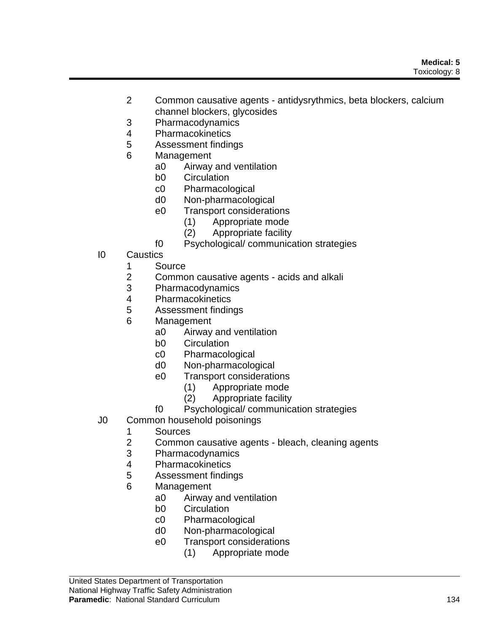- 2 Common causative agents antidysrythmics, beta blockers, calcium channel blockers, glycosides
- 3 Pharmacodynamics
- 4 Pharmacokinetics
- 5 Assessment findings
- 6 Management
	- a0 Airway and ventilation
	- b0 Circulation
	- c0 Pharmacological
	- d0 Non-pharmacological
	- e0 Transport considerations
		- (1) Appropriate mode
		- (2) Appropriate facility
	- f0 Psychological/ communication strategies
- I0 Caustics
	- 1 Source
	- 2 Common causative agents acids and alkali
	- 3 Pharmacodynamics
	- 4 Pharmacokinetics
	- 5 Assessment findings
	- 6 Management
		- a0 Airway and ventilation
		- b0 Circulation
		- c0 Pharmacological
		- d0 Non-pharmacological
		- e0 Transport considerations
			- (1) Appropriate mode
			- (2) Appropriate facility
		- f0 Psychological/ communication strategies
- J0 Common household poisonings
	- 1 Sources
	- 2 Common causative agents bleach, cleaning agents
	- 3 Pharmacodynamics<br>4 Pharmacokinetics
	- **Pharmacokinetics**
	- 5 Assessment findings
	- 6 Management
		- a0 Airway and ventilation
		- b0 Circulation
		- c0 Pharmacological
		- d0 Non-pharmacological
		- e0 Transport considerations
			- (1) Appropriate mode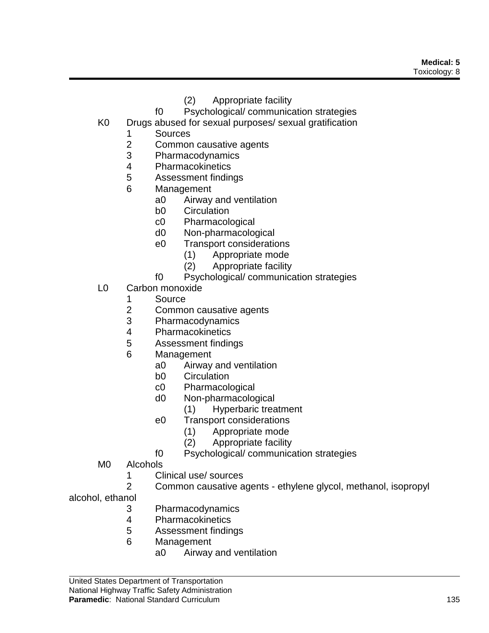- (2) Appropriate facility
- f0 Psychological/ communication strategies
- K0 Drugs abused for sexual purposes/ sexual gratification
	- 1 Sources
	- 2 Common causative agents
	- 3 Pharmacodynamics
	- 4 Pharmacokinetics
	- 5 Assessment findings
	- 6 Management
		- a0 Airway and ventilation
		- b0 Circulation
		- c0 Pharmacological
		- d0 Non-pharmacological
		- e0 Transport considerations
			- (1) Appropriate mode
			- (2) Appropriate facility
		- f0 Psychological/ communication strategies
- L0 Carbon monoxide
	- 1 Source
	- 2 Common causative agents
	- 3 Pharmacodynamics
	- 4 Pharmacokinetics
	- 5 Assessment findings
	- 6 Management
		- a0 Airway and ventilation
		- b0 Circulation
		- c0 Pharmacological
		- d0 Non-pharmacological
			- (1) Hyperbaric treatment
		- e0 Transport considerations
			- (1) Appropriate mode
				- (2) Appropriate facility
		- f0 Psychological/ communication strategies
- M0 Alcohols
	- 1 Clinical use/ sources
	- 2 Common causative agents ethylene glycol, methanol, isopropyl
- alcohol, ethanol
	- 3 Pharmacodynamics
	- 4 Pharmacokinetics
	- 5 Assessment findings
	- 6 Management
		- a0 Airway and ventilation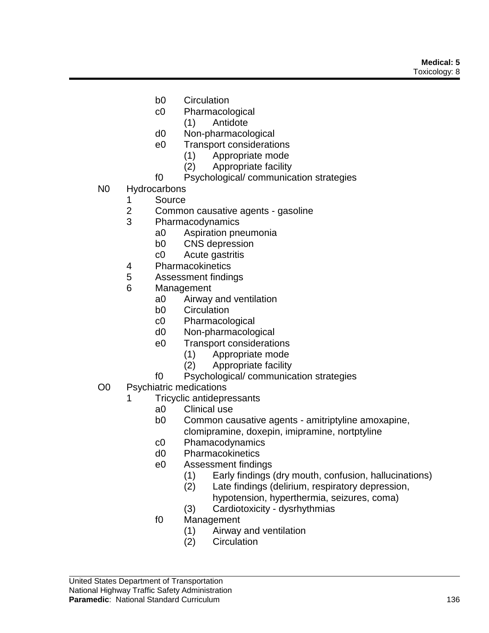- b0 Circulation
- c0 Pharmacological
	- (1) Antidote
- d0 Non-pharmacological
- e0 Transport considerations
	- (1) Appropriate mode
		- (2) Appropriate facility
- f0 Psychological/ communication strategies
- N0 Hydrocarbons
	- 1 Source
	- 2 Common causative agents gasoline
	- 3 Pharmacodynamics
		- a0 Aspiration pneumonia
		- b0 CNS depression
		- c0 Acute gastritis
	- 4 Pharmacokinetics
	- 5 Assessment findings
	- 6 Management
		- a0 Airway and ventilation
		- b0 Circulation
		- c0 Pharmacological
		- d0 Non-pharmacological
		- e0 Transport considerations
			- (1) Appropriate mode
			- (2) Appropriate facility
		- f0 Psychological/ communication strategies
- O0 Psychiatric medications
	- 1 Tricyclic antidepressants
		- a0 Clinical use
		- b0 Common causative agents amitriptyline amoxapine, clomipramine, doxepin, imipramine, nortptyline
		- c0 Phamacodynamics
		- d0 Pharmacokinetics
		- e0 Assessment findings
			- (1) Early findings (dry mouth, confusion, hallucinations)
			- (2) Late findings (delirium, respiratory depression,
				- hypotension, hyperthermia, seizures, coma)
			- (3) Cardiotoxicity dysrhythmias
		- f0 Management
			- (1) Airway and ventilation
			- (2) Circulation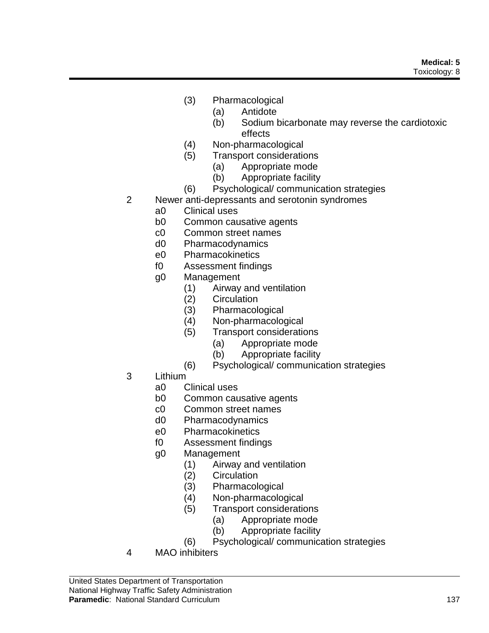- (3) Pharmacological
	- (a) Antidote
	- (b) Sodium bicarbonate may reverse the cardiotoxic effects
- (4) Non-pharmacological
- (5) Transport considerations
	- (a) Appropriate mode
		- (b) Appropriate facility
- (6) Psychological/ communication strategies
- 2 Newer anti-depressants and serotonin syndromes
	- a0 Clinical uses
	- b0 Common causative agents
	- c0 Common street names
	- d0 Pharmacodynamics
	- e0 Pharmacokinetics
	- f0 Assessment findings
	- g0 Management
		- (1) Airway and ventilation
			- (2) Circulation
			- (3) Pharmacological
			- (4) Non-pharmacological
			- (5) Transport considerations
				- (a) Appropriate mode
				- (b) Appropriate facility
			- (6) Psychological/ communication strategies
- 3 Lithium
	- a0 Clinical uses
	- b0 Common causative agents
	- c0 Common street names
	- d0 Pharmacodynamics
	- e0 Pharmacokinetics
	- f0 Assessment findings
	- g0 Management
		- (1) Airway and ventilation
		- (2) Circulation
		- (3) Pharmacological
		- (4) Non-pharmacological
		- (5) Transport considerations
			- (a) Appropriate mode
			- (b) Appropriate facility
		- (6) Psychological/ communication strategies
- 4 MAO inhibiters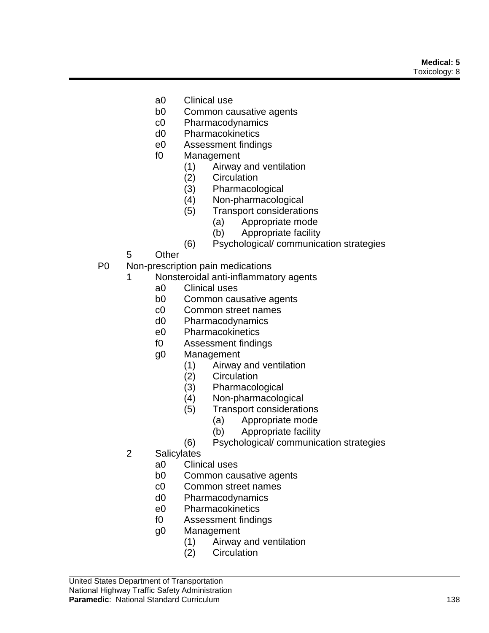- a0 Clinical use
- b0 Common causative agents
- c0 Pharmacodynamics
- d0 Pharmacokinetics
- e0 Assessment findings
- f0 Management
	- (1) Airway and ventilation
	- (2) Circulation
	- (3) Pharmacological
	- (4) Non-pharmacological
	- (5) Transport considerations
		- (a) Appropriate mode
		- (b) Appropriate facility
	- (6) Psychological/ communication strategies
- 5 Other
- P0 Non-prescription pain medications
	- 1 Nonsteroidal anti-inflammatory agents
		- a0 Clinical uses
		- b0 Common causative agents
		- c0 Common street names
		- d0 Pharmacodynamics
		- e0 Pharmacokinetics
		- f0 Assessment findings
		- g0 Management
			- (1) Airway and ventilation
			- (2) Circulation
			- (3) Pharmacological
			- (4) Non-pharmacological
			- (5) Transport considerations
				- (a) Appropriate mode
				- (b) Appropriate facility
			- (6) Psychological/ communication strategies
	- 2 Salicylates
		- a0 Clinical uses
		- b0 Common causative agents
		- c0 Common street names
		- d0 Pharmacodynamics
		- e0 Pharmacokinetics
		- f0 Assessment findings
		- g0 Management
			- (1) Airway and ventilation
			- (2) Circulation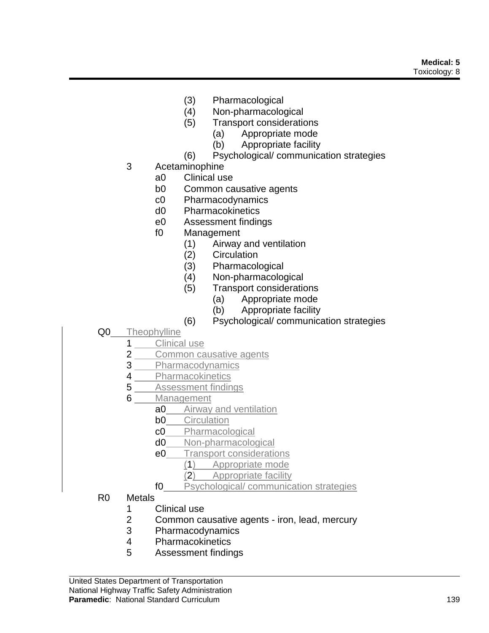- (3) Pharmacological
- (4) Non-pharmacological
- (5) Transport considerations
	- (a) Appropriate mode
	- (b) Appropriate facility
- (6) Psychological/ communication strategies
- 3 Acetaminophine
	- a0 Clinical use
	- b0 Common causative agents
	- c0 Pharmacodynamics
	- d0 Pharmacokinetics
	- e0 Assessment findings
	- f0 Management
		- (1) Airway and ventilation
		- (2) Circulation
		- (3) Pharmacological
		- (4) Non-pharmacological
		- (5) Transport considerations
			- (a) Appropriate mode
			- (b) Appropriate facility
		- (6) Psychological/ communication strategies
- Q0\_\_Theophylline
	- 1 Clinical use
		- 2 Common causative agents
		- 3 Pharmacodynamics
		- 4 Pharmacokinetics
		- 5 Assessment findings
		- 6 Management
			- a0 Airway and ventilation
			- **b0** Circulation
			- c0 Pharmacological
			- d0 Non-pharmacological
			- e0 Transport considerations
				- (1) Appropriate mode
				- (2) Appropriate facility
			- f0 Psychological/ communication strategies
- R0 Metals
	- 1 Clinical use
	- 2 Common causative agents iron, lead, mercury
	- 3 Pharmacodynamics
	- 4 Pharmacokinetics
	- 5 Assessment findings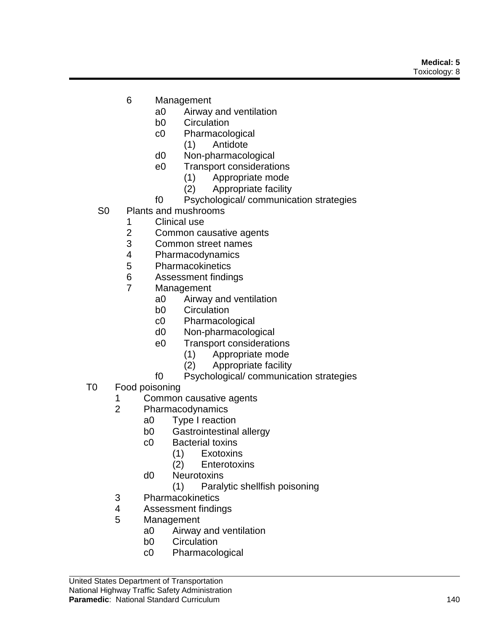- 6 Management
	- a0 Airway and ventilation
	- b0 Circulation
	- c0 Pharmacological
		- (1) Antidote
	- d0 Non-pharmacological
	- e0 Transport considerations
		- (1) Appropriate mode
		- (2) Appropriate facility
	- f0 Psychological/ communication strategies
- S0 Plants and mushrooms
	- 1 Clinical use
	- 2 Common causative agents
	- 3 Common street names
	- 4 Pharmacodynamics
	- 5 Pharmacokinetics
	- 6 Assessment findings
	- 7 Management
		- a0 Airway and ventilation
		- b0 Circulation
		- c0 Pharmacological
		- d0 Non-pharmacological
		- e0 Transport considerations
			- (1) Appropriate mode
			- (2) Appropriate facility
		- f0 Psychological/ communication strategies
- T0 Food poisoning
	- 1 Common causative agents<br>2 Pharmacodynamics
	- **Pharmacodynamics** 
		- a0 Type I reaction
		- b0 Gastrointestinal allergy
		- c0 Bacterial toxins
			- (1) Exotoxins
			- (2) Enterotoxins
		- d0 Neurotoxins
			- (1) Paralytic shellfish poisoning
	- 3 Pharmacokinetics
	- 4 Assessment findings
	- 5 Management
		- a0 Airway and ventilation
		- b0 Circulation
		- c0 Pharmacological